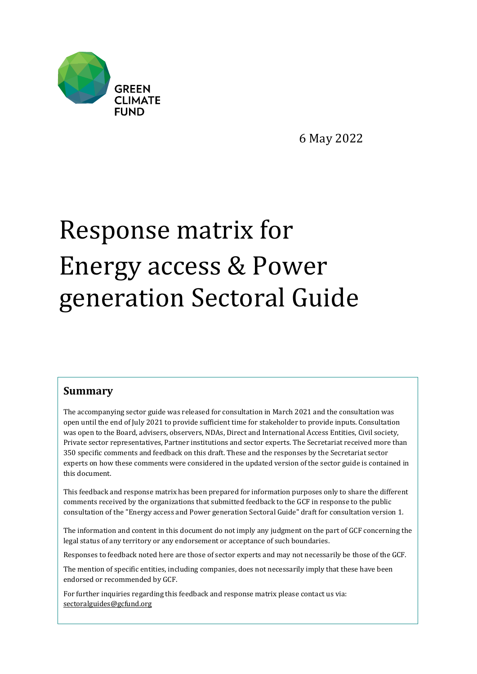

6 May 2022

## Response matrix for Energy access & Power generation Sectoral Guide

## **Summary**

The accompanying sector guide was released for consultation in March 2021 and the consultation was open until the end of July 2021 to provide sufficient time for stakeholder to provide inputs. Consultation was open to the Board, advisers, observers, NDAs, Direct and International Access Entities, Civil society, Private sector representatives, Partner institutions and sector experts. The Secretariat received more than 350 specific comments and feedback on this draft. These and the responses by the Secretariat sector experts on how these comments were considered in the updated version of the sector guide is contained in this document.

This feedback and response matrix has been prepared for information purposes only to share the different comments received by the organizations that submitted feedback to the GCF in response to the public consultation of the "Energy access and Power generation Sectoral Guide" draft for consultation version 1.

The information and content in this document do not imply any judgment on the part of GCF concerning the legal status of any territory or any endorsement or acceptance of such boundaries.

Responses to feedback noted here are those of sector experts and may not necessarily be those of the GCF.

The mention of specific entities, including companies, does not necessarily imply that these have been endorsed or recommended by GCF.

For further inquiries regarding this feedback and response matrix please contact us via: [sectoralguides@gcfund.org](mailto:sectoralguides@gcfund.org)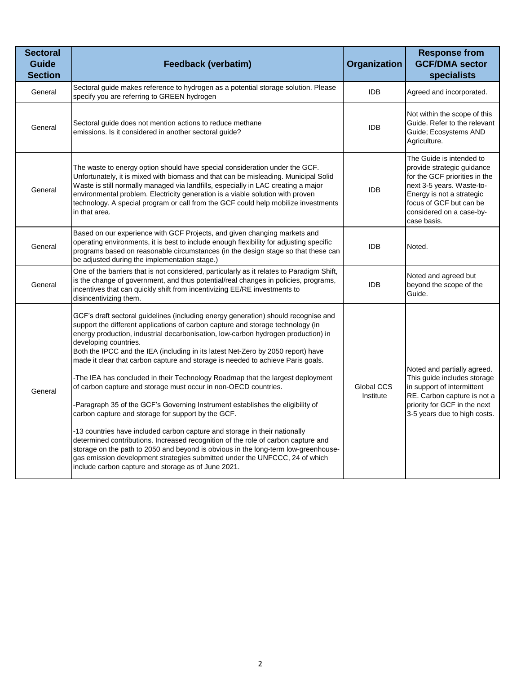| <b>Sectoral</b><br><b>Guide</b><br><b>Section</b> | Feedback (verbatim)                                                                                                                                                                                                                                                                                                                                                                                                                                                                                                                                                                                                                                                                                                                                                                                                                                                                                                                                                                                                                                                                                                                                   | Organization            | <b>Response from</b><br><b>GCF/DMA</b> sector<br>specialists                                                                                                                                                            |
|---------------------------------------------------|-------------------------------------------------------------------------------------------------------------------------------------------------------------------------------------------------------------------------------------------------------------------------------------------------------------------------------------------------------------------------------------------------------------------------------------------------------------------------------------------------------------------------------------------------------------------------------------------------------------------------------------------------------------------------------------------------------------------------------------------------------------------------------------------------------------------------------------------------------------------------------------------------------------------------------------------------------------------------------------------------------------------------------------------------------------------------------------------------------------------------------------------------------|-------------------------|-------------------------------------------------------------------------------------------------------------------------------------------------------------------------------------------------------------------------|
| General                                           | Sectoral guide makes reference to hydrogen as a potential storage solution. Please<br>specify you are referring to GREEN hydrogen                                                                                                                                                                                                                                                                                                                                                                                                                                                                                                                                                                                                                                                                                                                                                                                                                                                                                                                                                                                                                     | <b>IDB</b>              | Agreed and incorporated.                                                                                                                                                                                                |
| General                                           | Sectoral guide does not mention actions to reduce methane<br>emissions. Is it considered in another sectoral guide?                                                                                                                                                                                                                                                                                                                                                                                                                                                                                                                                                                                                                                                                                                                                                                                                                                                                                                                                                                                                                                   | <b>IDB</b>              | Not within the scope of this<br>Guide. Refer to the relevant<br>Guide; Ecosystems AND<br>Agriculture.                                                                                                                   |
| General                                           | The waste to energy option should have special consideration under the GCF.<br>Unfortunately, it is mixed with biomass and that can be misleading. Municipal Solid<br>Waste is still normally managed via landfills, especially in LAC creating a major<br>environmental problem. Electricity generation is a viable solution with proven<br>technology. A special program or call from the GCF could help mobilize investments<br>in that area.                                                                                                                                                                                                                                                                                                                                                                                                                                                                                                                                                                                                                                                                                                      | <b>IDB</b>              | The Guide is intended to<br>provide strategic guidance<br>for the GCF priorities in the<br>next 3-5 years. Waste-to-<br>Energy is not a strategic<br>focus of GCF but can be<br>considered on a case-by-<br>case basis. |
| General                                           | Based on our experience with GCF Projects, and given changing markets and<br>operating environments, it is best to include enough flexibility for adjusting specific<br>programs based on reasonable circumstances (in the design stage so that these can<br>be adjusted during the implementation stage.)                                                                                                                                                                                                                                                                                                                                                                                                                                                                                                                                                                                                                                                                                                                                                                                                                                            | <b>IDB</b>              | Noted.                                                                                                                                                                                                                  |
| General                                           | One of the barriers that is not considered, particularly as it relates to Paradigm Shift,<br>is the change of government, and thus potential/real changes in policies, programs,<br>incentives that can quickly shift from incentivizing EE/RE investments to<br>disincentivizing them.                                                                                                                                                                                                                                                                                                                                                                                                                                                                                                                                                                                                                                                                                                                                                                                                                                                               | <b>IDB</b>              | Noted and agreed but<br>beyond the scope of the<br>Guide.                                                                                                                                                               |
| General                                           | GCF's draft sectoral guidelines (including energy generation) should recognise and<br>support the different applications of carbon capture and storage technology (in<br>energy production, industrial decarbonisation, low-carbon hydrogen production) in<br>developing countries.<br>Both the IPCC and the IEA (including in its latest Net-Zero by 2050 report) have<br>made it clear that carbon capture and storage is needed to achieve Paris goals.<br>-The IEA has concluded in their Technology Roadmap that the largest deployment<br>of carbon capture and storage must occur in non-OECD countries.<br>Paragraph 35 of the GCF's Governing Instrument establishes the eligibility of<br>carbon capture and storage for support by the GCF.<br>-13 countries have included carbon capture and storage in their nationally<br>determined contributions. Increased recognition of the role of carbon capture and<br>storage on the path to 2050 and beyond is obvious in the long-term low-greenhouse-<br>gas emission development strategies submitted under the UNFCCC, 24 of which<br>include carbon capture and storage as of June 2021. | Global CCS<br>Institute | Noted and partially agreed.<br>This guide includes storage<br>in support of intermittent<br>RE. Carbon capture is not a<br>priority for GCF in the next<br>3-5 years due to high costs.                                 |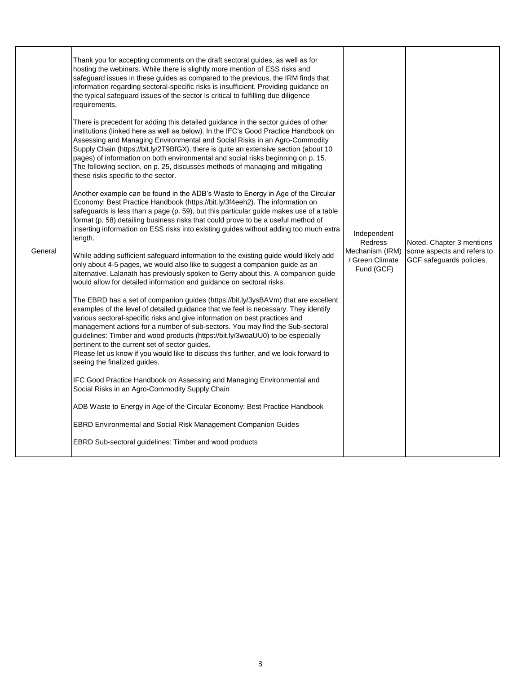|         | Thank you for accepting comments on the draft sectoral guides, as well as for<br>hosting the webinars. While there is slightly more mention of ESS risks and<br>safeguard issues in these guides as compared to the previous, the IRM finds that<br>information regarding sectoral-specific risks is insufficient. Providing guidance on<br>the typical safeguard issues of the sector is critical to fulfilling due diligence<br>requirements.                                                                                                                                                      |                                                                            |                                                                                     |
|---------|------------------------------------------------------------------------------------------------------------------------------------------------------------------------------------------------------------------------------------------------------------------------------------------------------------------------------------------------------------------------------------------------------------------------------------------------------------------------------------------------------------------------------------------------------------------------------------------------------|----------------------------------------------------------------------------|-------------------------------------------------------------------------------------|
| General | There is precedent for adding this detailed guidance in the sector guides of other<br>institutions (linked here as well as below). In the IFC's Good Practice Handbook on<br>Assessing and Managing Environmental and Social Risks in an Agro-Commodity<br>Supply Chain (https://bit.ly/2T9BfGX), there is quite an extensive section (about 10<br>pages) of information on both environmental and social risks beginning on p. 15.<br>The following section, on p. 25, discusses methods of managing and mitigating<br>these risks specific to the sector.                                          | Independent<br>Redress<br>Mechanism (IRM)<br>/ Green Climate<br>Fund (GCF) | Noted. Chapter 3 mentions<br>some aspects and refers to<br>GCF safeguards policies. |
|         | Another example can be found in the ADB's Waste to Energy in Age of the Circular<br>Economy: Best Practice Handbook (https://bit.ly/3f4eeh2). The information on<br>safeguards is less than a page (p. 59), but this particular guide makes use of a table<br>format (p. 58) detailing business risks that could prove to be a useful method of<br>inserting information on ESS risks into existing guides without adding too much extra<br>length.                                                                                                                                                  |                                                                            |                                                                                     |
|         | While adding sufficient safeguard information to the existing guide would likely add<br>only about 4-5 pages, we would also like to suggest a companion guide as an<br>alternative. Lalanath has previously spoken to Gerry about this. A companion guide<br>would allow for detailed information and guidance on sectoral risks.                                                                                                                                                                                                                                                                    |                                                                            |                                                                                     |
|         | The EBRD has a set of companion guides (https://bit.ly/3ysBAVm) that are excellent<br>examples of the level of detailed guidance that we feel is necessary. They identify<br>various sectoral-specific risks and give information on best practices and<br>management actions for a number of sub-sectors. You may find the Sub-sectoral<br>guidelines: Timber and wood products (https://bit.ly/3woaUU0) to be especially<br>pertinent to the current set of sector guides.<br>Please let us know if you would like to discuss this further, and we look forward to<br>seeing the finalized guides. |                                                                            |                                                                                     |
|         | IFC Good Practice Handbook on Assessing and Managing Environmental and<br>Social Risks in an Agro-Commodity Supply Chain                                                                                                                                                                                                                                                                                                                                                                                                                                                                             |                                                                            |                                                                                     |
|         | ADB Waste to Energy in Age of the Circular Economy: Best Practice Handbook                                                                                                                                                                                                                                                                                                                                                                                                                                                                                                                           |                                                                            |                                                                                     |
|         | EBRD Environmental and Social Risk Management Companion Guides                                                                                                                                                                                                                                                                                                                                                                                                                                                                                                                                       |                                                                            |                                                                                     |
|         | EBRD Sub-sectoral guidelines: Timber and wood products                                                                                                                                                                                                                                                                                                                                                                                                                                                                                                                                               |                                                                            |                                                                                     |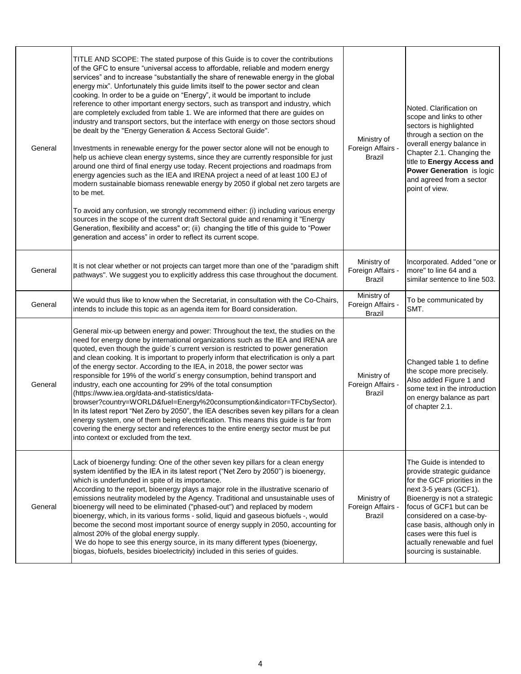| General | TITLE AND SCOPE: The stated purpose of this Guide is to cover the contributions<br>of the GFC to ensure "universal access to affordable, reliable and modern energy<br>services" and to increase "substantially the share of renewable energy in the global<br>energy mix". Unfortunately this guide limits itself to the power sector and clean<br>cooking. In order to be a guide on "Energy", it would be important to include<br>reference to other important energy sectors, such as transport and industry, which<br>are completely excluded from table 1. We are informed that there are guides on<br>industry and transport sectors, but the interface with energy on those sectors shoud<br>be dealt by the "Energy Generation & Access Sectoral Guide".<br>Investments in renewable energy for the power sector alone will not be enough to<br>help us achieve clean energy systems, since they are currently responsible for just<br>around one third of final energy use today. Recent projections and roadmaps from<br>energy agencies such as the IEA and IRENA project a need of at least 100 EJ of<br>modern sustainable biomass renewable energy by 2050 if global net zero targets are<br>to be met.<br>To avoid any confusion, we strongly recommend either: (i) including various energy<br>sources in the scope of the current draft Sectoral guide and renaming it "Energy<br>Generation, flexibility and access" or; (ii) changing the title of this guide to "Power<br>generation and access" in order to reflect its current scope. | Ministry of<br>Foreign Affairs -<br><b>Brazil</b> | Noted. Clarification on<br>scope and links to other<br>sectors is highlighted<br>through a section on the<br>overall energy balance in<br>Chapter 2.1. Changing the<br>title to Energy Access and<br>Power Generation is logic<br>and agreed from a sector<br>point of view.                                                    |
|---------|--------------------------------------------------------------------------------------------------------------------------------------------------------------------------------------------------------------------------------------------------------------------------------------------------------------------------------------------------------------------------------------------------------------------------------------------------------------------------------------------------------------------------------------------------------------------------------------------------------------------------------------------------------------------------------------------------------------------------------------------------------------------------------------------------------------------------------------------------------------------------------------------------------------------------------------------------------------------------------------------------------------------------------------------------------------------------------------------------------------------------------------------------------------------------------------------------------------------------------------------------------------------------------------------------------------------------------------------------------------------------------------------------------------------------------------------------------------------------------------------------------------------------------------------------------------|---------------------------------------------------|---------------------------------------------------------------------------------------------------------------------------------------------------------------------------------------------------------------------------------------------------------------------------------------------------------------------------------|
| General | It is not clear whether or not projects can target more than one of the "paradigm shift<br>pathways". We suggest you to explicitly address this case throughout the document.                                                                                                                                                                                                                                                                                                                                                                                                                                                                                                                                                                                                                                                                                                                                                                                                                                                                                                                                                                                                                                                                                                                                                                                                                                                                                                                                                                                | Ministry of<br>Foreign Affairs -<br>Brazil        | Incorporated. Added "one or<br>more" to line 64 and a<br>similar sentence to line 503.                                                                                                                                                                                                                                          |
| General | We would thus like to know when the Secretariat, in consultation with the Co-Chairs,<br>intends to include this topic as an agenda item for Board consideration.                                                                                                                                                                                                                                                                                                                                                                                                                                                                                                                                                                                                                                                                                                                                                                                                                                                                                                                                                                                                                                                                                                                                                                                                                                                                                                                                                                                             | Ministry of<br>Foreign Affairs -<br><b>Brazil</b> | To be communicated by<br>SMT.                                                                                                                                                                                                                                                                                                   |
| General | General mix-up between energy and power: Throughout the text, the studies on the<br>need for energy done by international organizations such as the IEA and IRENA are<br>quoted, even though the guide's current version is restricted to power generation<br>and clean cooking. It is important to properly inform that electrification is only a part<br>of the energy sector. According to the IEA, in 2018, the power sector was<br>responsible for 19% of the world's energy consumption, behind transport and<br>industry, each one accounting for 29% of the total consumption<br>(https://www.iea.org/data-and-statistics/data-<br>browser?country=WORLD&fuel=Energy%20consumption&indicator=TFCbySector).<br>In its latest report "Net Zero by 2050", the IEA describes seven key pillars for a clean<br>energy system, one of them being electrification. This means this guide is far from<br>covering the energy sector and references to the entire energy sector must be put<br>into context or excluded from the text.                                                                                                                                                                                                                                                                                                                                                                                                                                                                                                                        | Ministry of<br>Foreign Affairs -<br>Brazil        | Changed table 1 to define<br>the scope more precisely.<br>Also added Figure 1 and<br>some text in the introduction<br>on energy balance as part<br>of chapter 2.1.                                                                                                                                                              |
| General | Lack of bioenergy funding: One of the other seven key pillars for a clean energy<br>system identified by the IEA in its latest report ("Net Zero by 2050") is bioenergy,<br>which is underfunded in spite of its importance.<br>According to the report, bioenergy plays a major role in the illustrative scenario of<br>emissions neutrality modeled by the Agency. Traditional and unsustainable uses of<br>bioenergy will need to be eliminated ("phased-out") and replaced by modern<br>bioenergy, which, in its various forms - solid, liquid and gaseous biofuels -, would<br>become the second most important source of energy supply in 2050, accounting for<br>almost 20% of the global energy supply.<br>We do hope to see this energy source, in its many different types (bioenergy,<br>biogas, biofuels, besides bioelectricity) included in this series of guides.                                                                                                                                                                                                                                                                                                                                                                                                                                                                                                                                                                                                                                                                             | Ministry of<br>Foreign Affairs -<br><b>Brazil</b> | The Guide is intended to<br>provide strategic guidance<br>for the GCF priorities in the<br>next 3-5 years (GCF1).<br>Bioenergy is not a strategic<br>focus of GCF1 but can be<br>considered on a case-by-<br>case basis, although only in<br>cases were this fuel is<br>actually renewable and fuel<br>sourcing is sustainable. |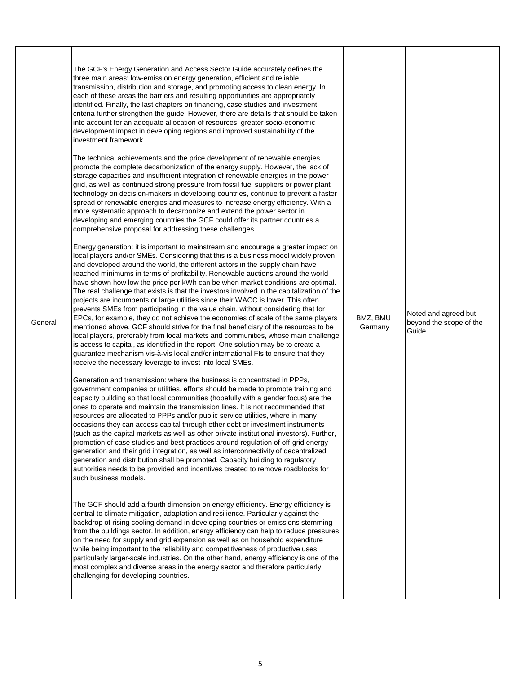| General | The GCF's Energy Generation and Access Sector Guide accurately defines the<br>three main areas: low-emission energy generation, efficient and reliable<br>transmission, distribution and storage, and promoting access to clean energy. In<br>each of these areas the barriers and resulting opportunities are appropriately<br>identified. Finally, the last chapters on financing, case studies and investment<br>criteria further strengthen the guide. However, there are details that should be taken<br>into account for an adequate allocation of resources, greater socio-economic<br>development impact in developing regions and improved sustainability of the<br>investment framework.<br>The technical achievements and the price development of renewable energies<br>promote the complete decarbonization of the energy supply. However, the lack of<br>storage capacities and insufficient integration of renewable energies in the power<br>grid, as well as continued strong pressure from fossil fuel suppliers or power plant<br>technology on decision-makers in developing countries, continue to prevent a faster<br>spread of renewable energies and measures to increase energy efficiency. With a<br>more systematic approach to decarbonize and extend the power sector in<br>developing and emerging countries the GCF could offer its partner countries a<br>comprehensive proposal for addressing these challenges.<br>Energy generation: it is important to mainstream and encourage a greater impact on<br>local players and/or SMEs. Considering that this is a business model widely proven<br>and developed around the world, the different actors in the supply chain have<br>reached minimums in terms of profitability. Renewable auctions around the world<br>have shown how low the price per kWh can be when market conditions are optimal.<br>The real challenge that exists is that the investors involved in the capitalization of the<br>projects are incumbents or large utilities since their WACC is lower. This often<br>prevents SMEs from participating in the value chain, without considering that for<br>EPCs, for example, they do not achieve the economies of scale of the same players<br>mentioned above. GCF should strive for the final beneficiary of the resources to be<br>local players, preferably from local markets and communities, whose main challenge<br>is access to capital, as identified in the report. One solution may be to create a<br>guarantee mechanism vis-à-vis local and/or international FIs to ensure that they<br>receive the necessary leverage to invest into local SMEs.<br>Generation and transmission: where the business is concentrated in PPPs,<br>government companies or utilities, efforts should be made to promote training and<br>capacity building so that local communities (hopefully with a gender focus) are the<br>ones to operate and maintain the transmission lines. It is not recommended that<br>resources are allocated to PPPs and/or public service utilities, where in many<br>occasions they can access capital through other debt or investment instruments<br>(such as the capital markets as well as other private institutional investors). Further,<br>promotion of case studies and best practices around regulation of off-grid energy<br>generation and their grid integration, as well as interconnectivity of decentralized<br>generation and distribution shall be promoted. Capacity building to regulatory<br>authorities needs to be provided and incentives created to remove roadblocks for<br>such business models.<br>The GCF should add a fourth dimension on energy efficiency. Energy efficiency is<br>central to climate mitigation, adaptation and resilience. Particularly against the<br>backdrop of rising cooling demand in developing countries or emissions stemming<br>from the buildings sector. In addition, energy efficiency can help to reduce pressures<br>on the need for supply and grid expansion as well as on household expenditure<br>while being important to the reliability and competitiveness of productive uses,<br>particularly larger-scale industries. On the other hand, energy efficiency is one of the<br>most complex and diverse areas in the energy sector and therefore particularly<br>challenging for developing countries. | BMZ, BMU<br>Germany | Noted and agreed but<br>beyond the scope of the<br>Guide. |
|---------|----------------------------------------------------------------------------------------------------------------------------------------------------------------------------------------------------------------------------------------------------------------------------------------------------------------------------------------------------------------------------------------------------------------------------------------------------------------------------------------------------------------------------------------------------------------------------------------------------------------------------------------------------------------------------------------------------------------------------------------------------------------------------------------------------------------------------------------------------------------------------------------------------------------------------------------------------------------------------------------------------------------------------------------------------------------------------------------------------------------------------------------------------------------------------------------------------------------------------------------------------------------------------------------------------------------------------------------------------------------------------------------------------------------------------------------------------------------------------------------------------------------------------------------------------------------------------------------------------------------------------------------------------------------------------------------------------------------------------------------------------------------------------------------------------------------------------------------------------------------------------------------------------------------------------------------------------------------------------------------------------------------------------------------------------------------------------------------------------------------------------------------------------------------------------------------------------------------------------------------------------------------------------------------------------------------------------------------------------------------------------------------------------------------------------------------------------------------------------------------------------------------------------------------------------------------------------------------------------------------------------------------------------------------------------------------------------------------------------------------------------------------------------------------------------------------------------------------------------------------------------------------------------------------------------------------------------------------------------------------------------------------------------------------------------------------------------------------------------------------------------------------------------------------------------------------------------------------------------------------------------------------------------------------------------------------------------------------------------------------------------------------------------------------------------------------------------------------------------------------------------------------------------------------------------------------------------------------------------------------------------------------------------------------------------------------------------------------------------------------------------------------------------------------------------------------------------------------------------------------------------------------------------------------------------------------------------------------------------------------------------------------------------------------------------------------------------------------------------------------------------------------------------------------------------------------------------------------------------------------------------------------------------------------------------------------------------------------------------------------------------------------------------------------|---------------------|-----------------------------------------------------------|
|---------|----------------------------------------------------------------------------------------------------------------------------------------------------------------------------------------------------------------------------------------------------------------------------------------------------------------------------------------------------------------------------------------------------------------------------------------------------------------------------------------------------------------------------------------------------------------------------------------------------------------------------------------------------------------------------------------------------------------------------------------------------------------------------------------------------------------------------------------------------------------------------------------------------------------------------------------------------------------------------------------------------------------------------------------------------------------------------------------------------------------------------------------------------------------------------------------------------------------------------------------------------------------------------------------------------------------------------------------------------------------------------------------------------------------------------------------------------------------------------------------------------------------------------------------------------------------------------------------------------------------------------------------------------------------------------------------------------------------------------------------------------------------------------------------------------------------------------------------------------------------------------------------------------------------------------------------------------------------------------------------------------------------------------------------------------------------------------------------------------------------------------------------------------------------------------------------------------------------------------------------------------------------------------------------------------------------------------------------------------------------------------------------------------------------------------------------------------------------------------------------------------------------------------------------------------------------------------------------------------------------------------------------------------------------------------------------------------------------------------------------------------------------------------------------------------------------------------------------------------------------------------------------------------------------------------------------------------------------------------------------------------------------------------------------------------------------------------------------------------------------------------------------------------------------------------------------------------------------------------------------------------------------------------------------------------------------------------------------------------------------------------------------------------------------------------------------------------------------------------------------------------------------------------------------------------------------------------------------------------------------------------------------------------------------------------------------------------------------------------------------------------------------------------------------------------------------------------------------------------------------------------------------------------------------------------------------------------------------------------------------------------------------------------------------------------------------------------------------------------------------------------------------------------------------------------------------------------------------------------------------------------------------------------------------------------------------------------------------------------------------------------------------------------------------|---------------------|-----------------------------------------------------------|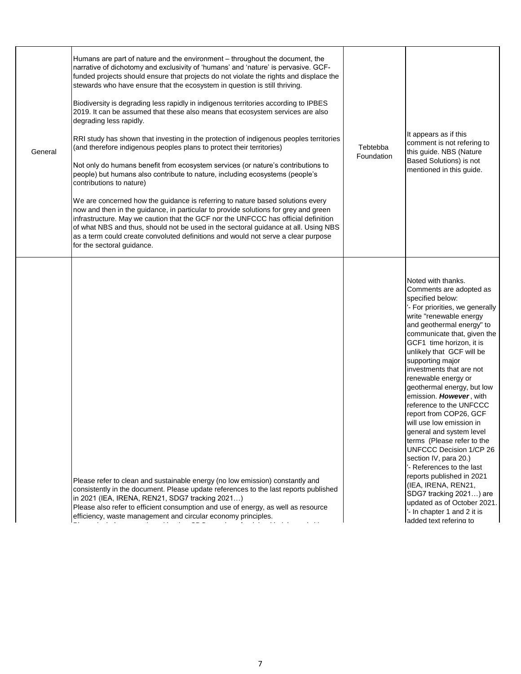| General | Humans are part of nature and the environment – throughout the document, the<br>narrative of dichotomy and exclusivity of 'humans' and 'nature' is pervasive. GCF-<br>funded projects should ensure that projects do not violate the rights and displace the<br>stewards who have ensure that the ecosystem in question is still thriving.<br>Biodiversity is degrading less rapidly in indigenous territories according to IPBES<br>2019. It can be assumed that these also means that ecosystem services are also<br>degrading less rapidly.<br>RRI study has shown that investing in the protection of indigenous peoples territories<br>(and therefore indigenous peoples plans to protect their territories)<br>Not only do humans benefit from ecosystem services (or nature's contributions to<br>people) but humans also contribute to nature, including ecosystems (people's<br>contributions to nature)<br>We are concerned how the guidance is referring to nature based solutions every<br>now and then in the guidance, in particular to provide solutions for grey and green<br>infrastructure. May we caution that the GCF nor the UNFCCC has official definition<br>of what NBS and thus, should not be used in the sectoral guidance at all. Using NBS<br>as a term could create convoluted definitions and would not serve a clear purpose<br>for the sectoral guidance. | Tebtebba<br>Foundation | It appears as if this<br>comment is not refering to<br>this guide. NBS (Nature<br>Based Solutions) is not<br>mentioned in this quide.                                                                                                                                                                                                                                                                                                                                                                                                                                                                                                                                                                                                                                                   |
|---------|--------------------------------------------------------------------------------------------------------------------------------------------------------------------------------------------------------------------------------------------------------------------------------------------------------------------------------------------------------------------------------------------------------------------------------------------------------------------------------------------------------------------------------------------------------------------------------------------------------------------------------------------------------------------------------------------------------------------------------------------------------------------------------------------------------------------------------------------------------------------------------------------------------------------------------------------------------------------------------------------------------------------------------------------------------------------------------------------------------------------------------------------------------------------------------------------------------------------------------------------------------------------------------------------------------------------------------------------------------------------------------------------|------------------------|-----------------------------------------------------------------------------------------------------------------------------------------------------------------------------------------------------------------------------------------------------------------------------------------------------------------------------------------------------------------------------------------------------------------------------------------------------------------------------------------------------------------------------------------------------------------------------------------------------------------------------------------------------------------------------------------------------------------------------------------------------------------------------------------|
|         | Please refer to clean and sustainable energy (no low emission) constantly and<br>consistently in the document. Please update references to the last reports published<br>in 2021 (IEA, IRENA, REN21, SDG7 tracking 2021)<br>Please also refer to efficient consumption and use of energy, as well as resource<br>efficiency, waste management and circular economy principles.                                                                                                                                                                                                                                                                                                                                                                                                                                                                                                                                                                                                                                                                                                                                                                                                                                                                                                                                                                                                             |                        | Noted with thanks.<br>Comments are adopted as<br>specified below:<br>'- For priorities, we generally<br>write "renewable energy<br>and geothermal energy" to<br>communicate that, given the<br>GCF1 time horizon, it is<br>unlikely that GCF will be<br>supporting major<br>investments that are not<br>renewable energy or<br>geothermal energy, but low<br>emission. However, with<br>reference to the UNFCCC<br>report from COP26, GCF<br>will use low emission in<br>general and system level<br>terms (Please refer to the<br>UNFCCC Decision 1/CP 26<br>section IV, para 20.)<br>'- References to the last<br>reports published in 2021<br>(IEA, IRENA, REN21,<br>SDG7 tracking 2021) are<br>updated as of October 2021.<br>'- In chapter 1 and 2 it is<br>added text refering to |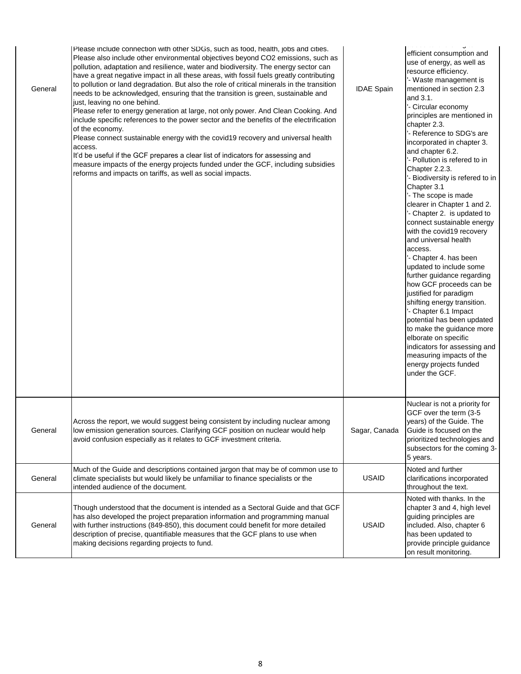| General | Please include connection with other SDGs, such as food, health, jobs and cities.<br>Please also include other environmental objectives beyond CO2 emissions, such as<br>pollution, adaptation and resilience, water and biodiversity. The energy sector can<br>have a great negative impact in all these areas, with fossil fuels greatly contributing<br>to pollution or land degradation. But also the role of critical minerals in the transition<br>needs to be acknowledged, ensuring that the transition is green, sustainable and<br>just, leaving no one behind.<br>Please refer to energy generation at large, not only power. And Clean Cooking. And<br>include specific references to the power sector and the benefits of the electrification<br>of the economy.<br>Please connect sustainable energy with the covid19 recovery and universal health<br>access.<br>It'd be useful if the GCF prepares a clear list of indicators for assessing and<br>measure impacts of the energy projects funded under the GCF, including subsidies<br>reforms and impacts on tariffs, as well as social impacts. | <b>IDAE Spain</b> | auuuu lomaalumigad<br>efficient consumption and<br>use of energy, as well as<br>resource efficiency.<br>'- Waste management is<br>mentioned in section 2.3<br>and 3.1.<br>'- Circular economy<br>principles are mentioned in<br>chapter 2.3.<br>'- Reference to SDG's are<br>incorporated in chapter 3.<br>and chapter 6.2.<br>'- Pollution is refered to in<br>Chapter 2.2.3.<br>'- Biodiversity is refered to in<br>Chapter 3.1<br>'- The scope is made<br>clearer in Chapter 1 and 2.<br>- Chapter 2. is updated to<br>connect sustainable energy<br>with the covid19 recovery<br>and universal health<br>access.<br>'- Chapter 4. has been<br>updated to include some<br>further guidance regarding<br>how GCF proceeds can be<br>justified for paradigm<br>shifting energy transition.<br>'- Chapter 6.1 Impact<br>potential has been updated<br>to make the guidance more<br>elborate on specific<br>indicators for assessing and<br>measuring impacts of the<br>energy projects funded<br>under the GCF. |
|---------|-------------------------------------------------------------------------------------------------------------------------------------------------------------------------------------------------------------------------------------------------------------------------------------------------------------------------------------------------------------------------------------------------------------------------------------------------------------------------------------------------------------------------------------------------------------------------------------------------------------------------------------------------------------------------------------------------------------------------------------------------------------------------------------------------------------------------------------------------------------------------------------------------------------------------------------------------------------------------------------------------------------------------------------------------------------------------------------------------------------------|-------------------|-----------------------------------------------------------------------------------------------------------------------------------------------------------------------------------------------------------------------------------------------------------------------------------------------------------------------------------------------------------------------------------------------------------------------------------------------------------------------------------------------------------------------------------------------------------------------------------------------------------------------------------------------------------------------------------------------------------------------------------------------------------------------------------------------------------------------------------------------------------------------------------------------------------------------------------------------------------------------------------------------------------------|
| General | Across the report, we would suggest being consistent by including nuclear among<br>low emission generation sources. Clarifying GCF position on nuclear would help<br>avoid confusion especially as it relates to GCF investment criteria.                                                                                                                                                                                                                                                                                                                                                                                                                                                                                                                                                                                                                                                                                                                                                                                                                                                                         | Sagar, Canada     | Nuclear is not a priority for<br>GCF over the term (3-5<br>vears) of the Guide. The<br>Guide is focused on the<br>prioritized technologies and<br>subsectors for the coming 3-<br>5 years.                                                                                                                                                                                                                                                                                                                                                                                                                                                                                                                                                                                                                                                                                                                                                                                                                      |
| General | Much of the Guide and descriptions contained jargon that may be of common use to<br>climate specialists but would likely be unfamiliar to finance specialists or the<br>intended audience of the document.                                                                                                                                                                                                                                                                                                                                                                                                                                                                                                                                                                                                                                                                                                                                                                                                                                                                                                        | <b>USAID</b>      | Noted and further<br>clarifications incorporated<br>throughout the text.                                                                                                                                                                                                                                                                                                                                                                                                                                                                                                                                                                                                                                                                                                                                                                                                                                                                                                                                        |
| General | Though understood that the document is intended as a Sectoral Guide and that GCF<br>has also developed the project preparation information and programming manual<br>with further instructions (849-850), this document could benefit for more detailed<br>description of precise, quantifiable measures that the GCF plans to use when<br>making decisions regarding projects to fund.                                                                                                                                                                                                                                                                                                                                                                                                                                                                                                                                                                                                                                                                                                                           | <b>USAID</b>      | Noted with thanks. In the<br>chapter 3 and 4, high level<br>guiding principles are<br>included. Also, chapter 6<br>has been updated to<br>provide principle guidance<br>on result monitoring.                                                                                                                                                                                                                                                                                                                                                                                                                                                                                                                                                                                                                                                                                                                                                                                                                   |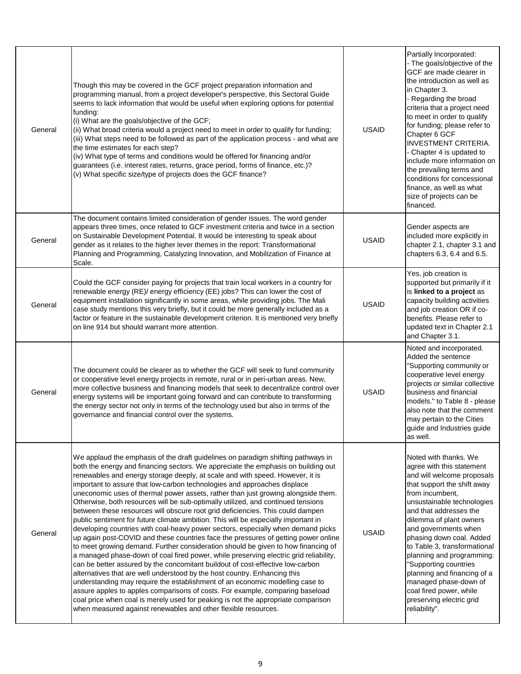| General | Though this may be covered in the GCF project preparation information and<br>programming manual, from a project developer's perspective, this Sectoral Guide<br>seems to lack information that would be useful when exploring options for potential<br>funding:<br>(i) What are the goals/objective of the GCF;<br>(ii) What broad criteria would a project need to meet in order to qualify for funding;<br>(iii) What steps need to be followed as part of the application process - and what are<br>the time estimates for each step?<br>(iv) What type of terms and conditions would be offered for financing and/or<br>guarantees (i.e. interest rates, returns, grace period, forms of finance, etc.)?<br>(v) What specific size/type of projects does the GCF finance?                                                                                                                                                                                                                                                                                                                                                                                                                                                                                                                                                                                                                                                                                                                                                      | <b>USAID</b> | Partially Incorporated:<br>- The goals/objective of the<br>GCF are made clearer in<br>the introduction as well as<br>in Chapter 3.<br>- Regarding the broad<br>criteria that a project need<br>to meet in order to qualify<br>for funding; please refer to<br>Chapter 6 GCF<br><b>INVESTMENT CRITERIA.</b><br>- Chapter 4 is updated to<br>include more information on<br>the prevailing terms and<br>conditions for concessional<br>finance, as well as what<br>size of projects can be<br>financed. |
|---------|------------------------------------------------------------------------------------------------------------------------------------------------------------------------------------------------------------------------------------------------------------------------------------------------------------------------------------------------------------------------------------------------------------------------------------------------------------------------------------------------------------------------------------------------------------------------------------------------------------------------------------------------------------------------------------------------------------------------------------------------------------------------------------------------------------------------------------------------------------------------------------------------------------------------------------------------------------------------------------------------------------------------------------------------------------------------------------------------------------------------------------------------------------------------------------------------------------------------------------------------------------------------------------------------------------------------------------------------------------------------------------------------------------------------------------------------------------------------------------------------------------------------------------|--------------|-------------------------------------------------------------------------------------------------------------------------------------------------------------------------------------------------------------------------------------------------------------------------------------------------------------------------------------------------------------------------------------------------------------------------------------------------------------------------------------------------------|
| General | The document contains limited consideration of gender issues. The word gender<br>appears three times, once related to GCF investment criteria and twice in a section<br>on Sustainable Development Potential. It would be interesting to speak about<br>gender as it relates to the higher lever themes in the report: Transformational<br>Planning and Programming, Catalyzing Innovation, and Mobilization of Finance at<br>Scale.                                                                                                                                                                                                                                                                                                                                                                                                                                                                                                                                                                                                                                                                                                                                                                                                                                                                                                                                                                                                                                                                                               | <b>USAID</b> | Gender aspects are<br>included more explicitly in<br>chapter 2.1, chapter 3.1 and<br>chapters 6.3, 6.4 and 6.5.                                                                                                                                                                                                                                                                                                                                                                                       |
| General | Could the GCF consider paying for projects that train local workers in a country for<br>renewable energy (RE)/ energy efficiency (EE) jobs? This can lower the cost of<br>equipment installation significantly in some areas, while providing jobs. The Mali<br>case study mentions this very briefly, but it could be more generally included as a<br>factor or feature in the sustainable development criterion. It is mentioned very briefly<br>on line 914 but should warrant more attention.                                                                                                                                                                                                                                                                                                                                                                                                                                                                                                                                                                                                                                                                                                                                                                                                                                                                                                                                                                                                                                  | <b>USAID</b> | Yes, job creation is<br>supported but primarily if it<br>is linked to a project as<br>capacity building activities<br>and job creation OR if co-<br>benefits. Please refer to<br>updated text in Chapter 2.1<br>and Chapter 3.1.                                                                                                                                                                                                                                                                      |
| General | The document could be clearer as to whether the GCF will seek to fund community<br>or cooperative level energy projects in remote, rural or in peri-urban areas. New,<br>more collective business and financing models that seek to decentralize control over<br>energy systems will be important going forward and can contribute to transforming<br>the energy sector not only in terms of the technology used but also in terms of the<br>governance and financial control over the systems.                                                                                                                                                                                                                                                                                                                                                                                                                                                                                                                                                                                                                                                                                                                                                                                                                                                                                                                                                                                                                                    | <b>USAID</b> | Noted and incorporated.<br>Added the sentence<br>"Supporting community or<br>cooperative level energy<br>projects or similar collective<br>business and financial<br>models." to Table 8 - please<br>also note that the comment<br>may pertain to the Cities<br>guide and Industries guide<br>as well.                                                                                                                                                                                                |
| General | We applaud the emphasis of the draft guidelines on paradigm shifting pathways in<br>both the energy and financing sectors. We appreciate the emphasis on building out<br>renewables and energy storage deeply, at scale and with speed. However, it is<br>important to assure that low-carbon technologies and approaches displace<br>uneconomic uses of thermal power assets, rather than just growing alongside them.<br>Otherwise, both resources will be sub-optimally utilized, and continued tensions<br>between these resources will obscure root grid deficiencies. This could dampen<br>public sentiment for future climate ambition. This will be especially important in<br>developing countries with coal-heavy power sectors, especially when demand picks<br>up again post-COVID and these countries face the pressures of getting power online<br>to meet growing demand. Further consideration should be given to how financing of<br>a managed phase-down of coal fired power, while preserving electric grid reliability,<br>can be better assured by the concomitant buildout of cost-effective low-carbon<br>alternatives that are well understood by the host country. Enhancing this<br>understanding may require the establishment of an economic modelling case to<br>assure apples to apples comparisons of costs. For example, comparing baseload<br>coal price when coal is merely used for peaking is not the appropriate comparison<br>when measured against renewables and other flexible resources. | <b>USAID</b> | Noted with thanks. We<br>agree with this statement<br>and will welcome proposals<br>that support the shift away<br>from incumbent,<br>unsustainable technologies<br>and that addresses the<br>dilemma of plant owners<br>and governments when<br>phasing down coal. Added<br>to Table 3, transformational<br>planning and programming:<br>"Supporting countries<br>planning and financing of a<br>managed phase-down of<br>coal fired power, while<br>preserving electric grid<br>reliability".       |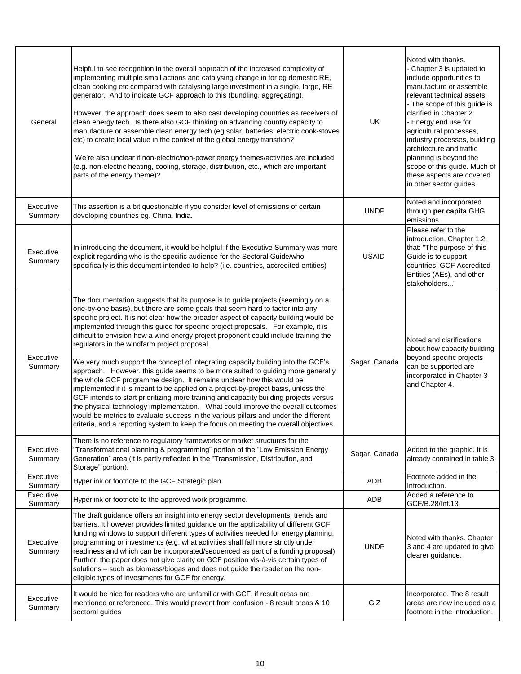| General              | Helpful to see recognition in the overall approach of the increased complexity of<br>implementing multiple small actions and catalysing change in for eg domestic RE,<br>clean cooking etc compared with catalysing large investment in a single, large, RE<br>generator. And to indicate GCF approach to this (bundling, aggregating).<br>However, the approach does seem to also cast developing countries as receivers of<br>clean energy tech. Is there also GCF thinking on advancing country capacity to<br>manufacture or assemble clean energy tech (eg solar, batteries, electric cook-stoves<br>etc) to create local value in the context of the global energy transition?<br>We're also unclear if non-electric/non-power energy themes/activities are included<br>(e.g. non-electric heating, cooling, storage, distribution, etc., which are important<br>parts of the energy theme)?                                                                                                                                                                                                                                                                                        | UK            | Noted with thanks.<br>- Chapter 3 is updated to<br>include opportunities to<br>manufacture or assemble<br>relevant technical assets.<br>- The scope of this guide is<br>clarified in Chapter 2.<br>- Energy end use for<br>agricultural processes,<br>industry processes, building<br>architecture and traffic<br>planning is beyond the<br>scope of this guide. Much of<br>these aspects are covered<br>in other sector guides. |
|----------------------|-------------------------------------------------------------------------------------------------------------------------------------------------------------------------------------------------------------------------------------------------------------------------------------------------------------------------------------------------------------------------------------------------------------------------------------------------------------------------------------------------------------------------------------------------------------------------------------------------------------------------------------------------------------------------------------------------------------------------------------------------------------------------------------------------------------------------------------------------------------------------------------------------------------------------------------------------------------------------------------------------------------------------------------------------------------------------------------------------------------------------------------------------------------------------------------------|---------------|----------------------------------------------------------------------------------------------------------------------------------------------------------------------------------------------------------------------------------------------------------------------------------------------------------------------------------------------------------------------------------------------------------------------------------|
| Executive<br>Summary | This assertion is a bit questionable if you consider level of emissions of certain<br>developing countries eg. China, India.                                                                                                                                                                                                                                                                                                                                                                                                                                                                                                                                                                                                                                                                                                                                                                                                                                                                                                                                                                                                                                                              | <b>UNDP</b>   | Noted and incorporated<br>through per capita GHG<br>emissions                                                                                                                                                                                                                                                                                                                                                                    |
| Executive<br>Summary | In introducing the document, it would be helpful if the Executive Summary was more<br>explicit regarding who is the specific audience for the Sectoral Guide/who<br>specifically is this document intended to help? (i.e. countries, accredited entities)                                                                                                                                                                                                                                                                                                                                                                                                                                                                                                                                                                                                                                                                                                                                                                                                                                                                                                                                 | <b>USAID</b>  | Please refer to the<br>introduction, Chapter 1.2,<br>that: "The purpose of this<br>Guide is to support<br>countries, GCF Accredited<br>Entities (AEs), and other<br>stakeholders"                                                                                                                                                                                                                                                |
| Executive<br>Summary | The documentation suggests that its purpose is to guide projects (seemingly on a<br>one-by-one basis), but there are some goals that seem hard to factor into any<br>specific project. It is not clear how the broader aspect of capacity building would be<br>implemented through this guide for specific project proposals. For example, it is<br>difficult to envision how a wind energy project proponent could include training the<br>regulators in the windfarm project proposal.<br>We very much support the concept of integrating capacity building into the GCF's<br>approach. However, this guide seems to be more suited to guiding more generally<br>the whole GCF programme design. It remains unclear how this would be<br>implemented if it is meant to be applied on a project-by-project basis, unless the<br>GCF intends to start prioritizing more training and capacity building projects versus<br>the physical technology implementation. What could improve the overall outcomes<br>would be metrics to evaluate success in the various pillars and under the different<br>criteria, and a reporting system to keep the focus on meeting the overall objectives. | Sagar, Canada | Noted and clarifications<br>about how capacity building<br>beyond specific projects<br>can be supported are<br>incorporated in Chapter 3<br>and Chapter 4.                                                                                                                                                                                                                                                                       |
| Executive<br>Summary | There is no reference to regulatory frameworks or market structures for the<br>"Transformational planning & programming" portion of the "Low Emission Energy<br>Generation" area (it is partly reflected in the "Transmission, Distribution, and<br>Storage" portion).                                                                                                                                                                                                                                                                                                                                                                                                                                                                                                                                                                                                                                                                                                                                                                                                                                                                                                                    | Sagar, Canada | Added to the graphic. It is<br>already contained in table 3                                                                                                                                                                                                                                                                                                                                                                      |
| Executive<br>Summary | Hyperlink or footnote to the GCF Strategic plan                                                                                                                                                                                                                                                                                                                                                                                                                                                                                                                                                                                                                                                                                                                                                                                                                                                                                                                                                                                                                                                                                                                                           | ADB           | Footnote added in the<br>Introduction.                                                                                                                                                                                                                                                                                                                                                                                           |
| Executive<br>Summary | Hyperlink or footnote to the approved work programme.                                                                                                                                                                                                                                                                                                                                                                                                                                                                                                                                                                                                                                                                                                                                                                                                                                                                                                                                                                                                                                                                                                                                     | ADB           | Added a reference to<br>GCF/B.28/Inf.13                                                                                                                                                                                                                                                                                                                                                                                          |
| Executive<br>Summary | The draft guidance offers an insight into energy sector developments, trends and<br>barriers. It however provides limited guidance on the applicability of different GCF<br>funding windows to support different types of activities needed for energy planning,<br>programming or investments (e.g. what activities shall fall more strictly under<br>readiness and which can be incorporated/sequenced as part of a funding proposal).<br>Further, the paper does not give clarity on GCF position vis-à-vis certain types of<br>solutions - such as biomass/biogas and does not guide the reader on the non-<br>eligible types of investments for GCF for energy.                                                                                                                                                                                                                                                                                                                                                                                                                                                                                                                      | <b>UNDP</b>   | Noted with thanks. Chapter<br>3 and 4 are updated to give<br>clearer guidance.                                                                                                                                                                                                                                                                                                                                                   |
| Executive<br>Summary | It would be nice for readers who are unfamiliar with GCF, if result areas are<br>mentioned or referenced. This would prevent from confusion - 8 result areas & 10<br>sectoral guides                                                                                                                                                                                                                                                                                                                                                                                                                                                                                                                                                                                                                                                                                                                                                                                                                                                                                                                                                                                                      | GIZ           | Incorporated. The 8 result<br>areas are now included as a<br>footnote in the introduction.                                                                                                                                                                                                                                                                                                                                       |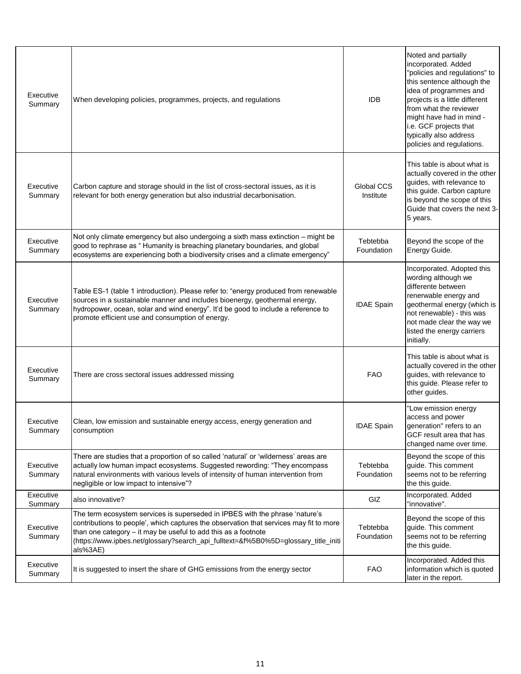| Executive<br>Summary | When developing policies, programmes, projects, and regulations                                                                                                                                                                                                                                                                            | <b>IDB</b>              | Noted and partially<br>incorporated. Added<br>"policies and regulations" to<br>this sentence although the<br>idea of programmes and<br>projects is a little different<br>from what the reviewer<br>might have had in mind -<br>i.e. GCF projects that<br>typically also address<br>policies and regulations. |
|----------------------|--------------------------------------------------------------------------------------------------------------------------------------------------------------------------------------------------------------------------------------------------------------------------------------------------------------------------------------------|-------------------------|--------------------------------------------------------------------------------------------------------------------------------------------------------------------------------------------------------------------------------------------------------------------------------------------------------------|
| Executive<br>Summary | Carbon capture and storage should in the list of cross-sectoral issues, as it is<br>relevant for both energy generation but also industrial decarbonisation.                                                                                                                                                                               | Global CCS<br>Institute | This table is about what is<br>actually covered in the other<br>guides, with relevance to<br>this guide. Carbon capture<br>is beyond the scope of this<br>Guide that covers the next 3-<br>5 years.                                                                                                          |
| Executive<br>Summary | Not only climate emergency but also undergoing a sixth mass extinction - might be<br>good to rephrase as "Humanity is breaching planetary boundaries, and global<br>ecosystems are experiencing both a biodiversity crises and a climate emergency"                                                                                        | Tebtebba<br>Foundation  | Beyond the scope of the<br>Energy Guide.                                                                                                                                                                                                                                                                     |
| Executive<br>Summary | Table ES-1 (table 1 introduction). Please refer to: "energy produced from renewable<br>sources in a sustainable manner and includes bioenergy, geothermal energy,<br>hydropower, ocean, solar and wind energy". It'd be good to include a reference to<br>promote efficient use and consumption of energy.                                 | <b>IDAE Spain</b>       | Incorporated. Adopted this<br>wording although we<br>differente between<br>renerwable energy and<br>geothermal energy (which is<br>not renewable) - this was<br>not made clear the way we<br>listed the energy carriers<br>initially.                                                                        |
| Executive<br>Summary | There are cross sectoral issues addressed missing                                                                                                                                                                                                                                                                                          | <b>FAO</b>              | This table is about what is<br>actually covered in the other<br>guides, with relevance to<br>this guide. Please refer to<br>other guides.                                                                                                                                                                    |
| Executive<br>Summary | Clean, low emission and sustainable energy access, energy generation and<br>consumption                                                                                                                                                                                                                                                    | <b>IDAE Spain</b>       | "Low emission energy<br>access and power<br>generation" refers to an<br>GCF result area that has<br>changed name over time.                                                                                                                                                                                  |
| Executive<br>Summary | There are studies that a proportion of so called 'natural' or 'wilderness' areas are<br>actually low human impact ecosystems. Suggested rewording: "They encompass<br>natural environments with various levels of intensity of human intervention from<br>negligible or low impact to intensive"?                                          | Tebtebba<br>Foundation  | Beyond the scope of this<br>guide. This comment<br>seems not to be referring<br>the this guide.                                                                                                                                                                                                              |
| Executive<br>Summary | also innovative?                                                                                                                                                                                                                                                                                                                           | <b>GIZ</b>              | Incorporated. Added<br>"innovative".                                                                                                                                                                                                                                                                         |
| Executive<br>Summary | The term ecosystem services is superseded in IPBES with the phrase 'nature's<br>contributions to people', which captures the observation that services may fit to more<br>than one category - it may be useful to add this as a footnote<br>(https://www.ipbes.net/glossary?search_api_fulltext=&f%5B0%5D=glossary_title_initi<br>als%3AE) | Tebtebba<br>Foundation  | Beyond the scope of this<br>quide. This comment<br>seems not to be referring<br>the this guide.                                                                                                                                                                                                              |
| Executive<br>Summary | It is suggested to insert the share of GHG emissions from the energy sector                                                                                                                                                                                                                                                                | <b>FAO</b>              | Incorporated. Added this<br>information which is quoted<br>later in the report.                                                                                                                                                                                                                              |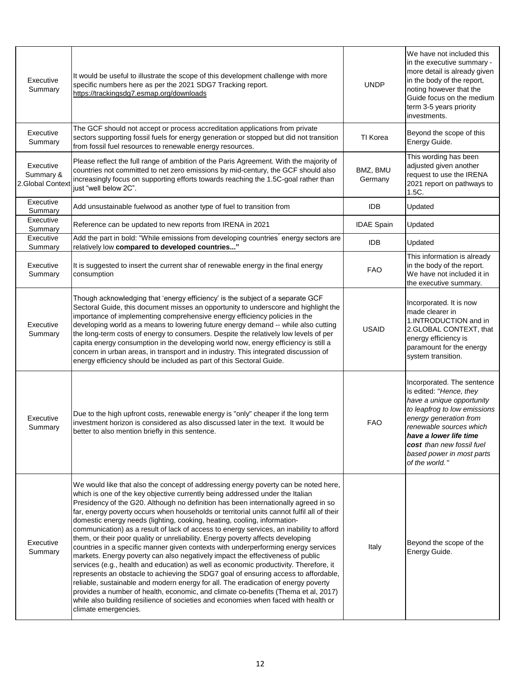| Executive<br>Summary                      | It would be useful to illustrate the scope of this development challenge with more<br>specific numbers here as per the 2021 SDG7 Tracking report.<br>https://trackingsdg7.esmap.org/downloads                                                                                                                                                                                                                                                                                                                                                                                                                                                                                                                                                                                                                                                                                                                                                                                                                                                                                                                                                                                                                                                                          | <b>UNDP</b>         | We have not included this<br>in the executive summary -<br>more detail is already given<br>in the body of the report,<br>noting however that the<br>Guide focus on the medium<br>term 3-5 years priority<br>investments.                                                      |
|-------------------------------------------|------------------------------------------------------------------------------------------------------------------------------------------------------------------------------------------------------------------------------------------------------------------------------------------------------------------------------------------------------------------------------------------------------------------------------------------------------------------------------------------------------------------------------------------------------------------------------------------------------------------------------------------------------------------------------------------------------------------------------------------------------------------------------------------------------------------------------------------------------------------------------------------------------------------------------------------------------------------------------------------------------------------------------------------------------------------------------------------------------------------------------------------------------------------------------------------------------------------------------------------------------------------------|---------------------|-------------------------------------------------------------------------------------------------------------------------------------------------------------------------------------------------------------------------------------------------------------------------------|
| Executive<br>Summary                      | The GCF should not accept or process accreditation applications from private<br>sectors supporting fossil fuels for energy generation or stopped but did not transition<br>from fossil fuel resources to renewable energy resources.                                                                                                                                                                                                                                                                                                                                                                                                                                                                                                                                                                                                                                                                                                                                                                                                                                                                                                                                                                                                                                   | TI Korea            | Beyond the scope of this<br>Energy Guide.                                                                                                                                                                                                                                     |
| Executive<br>Summary &<br>2.Global Contex | Please reflect the full range of ambition of the Paris Agreement. With the majority of<br>countries not committed to net zero emissions by mid-century, the GCF should also<br>increasingly focus on supporting efforts towards reaching the 1.5C-goal rather than<br>just "well below 2C".                                                                                                                                                                                                                                                                                                                                                                                                                                                                                                                                                                                                                                                                                                                                                                                                                                                                                                                                                                            | BMZ, BMU<br>Germany | This wording has been<br>adjusted given another<br>request to use the IRENA<br>2021 report on pathways to<br>1.5C.                                                                                                                                                            |
| Executive<br>Summary                      | Add unsustainable fuelwood as another type of fuel to transition from                                                                                                                                                                                                                                                                                                                                                                                                                                                                                                                                                                                                                                                                                                                                                                                                                                                                                                                                                                                                                                                                                                                                                                                                  | <b>IDB</b>          | Updated                                                                                                                                                                                                                                                                       |
| Executive<br>Summary                      | Reference can be updated to new reports from IRENA in 2021                                                                                                                                                                                                                                                                                                                                                                                                                                                                                                                                                                                                                                                                                                                                                                                                                                                                                                                                                                                                                                                                                                                                                                                                             | <b>IDAE Spain</b>   | Updated                                                                                                                                                                                                                                                                       |
| Executive<br>Summary                      | Add the part in bold: "While emissions from developing countries' energy sectors are<br>relatively low compared to developed countries"                                                                                                                                                                                                                                                                                                                                                                                                                                                                                                                                                                                                                                                                                                                                                                                                                                                                                                                                                                                                                                                                                                                                | <b>IDB</b>          | Updated                                                                                                                                                                                                                                                                       |
| Executive<br>Summary                      | It is suggested to insert the current shar of renewable energy in the final energy<br>consumption                                                                                                                                                                                                                                                                                                                                                                                                                                                                                                                                                                                                                                                                                                                                                                                                                                                                                                                                                                                                                                                                                                                                                                      | <b>FAO</b>          | This information is already<br>in the body of the report.<br>We have not included it in<br>the executive summary.                                                                                                                                                             |
| Executive<br>Summary                      | Though acknowledging that 'energy efficiency' is the subject of a separate GCF<br>Sectoral Guide, this document misses an opportunity to underscore and highlight the<br>importance of implementing comprehensive energy efficiency policies in the<br>developing world as a means to lowering future energy demand -- while also cutting<br>the long-term costs of energy to consumers. Despite the relatively low levels of per<br>capita energy consumption in the developing world now, energy efficiency is still a<br>concern in urban areas, in transport and in industry. This integrated discussion of<br>energy efficiency should be included as part of this Sectoral Guide.                                                                                                                                                                                                                                                                                                                                                                                                                                                                                                                                                                                | <b>USAID</b>        | Incorporated. It is now<br>made clearer in<br>1.INTRODUCTION and in<br>2.GLOBAL CONTEXT, that<br>energy efficiency is<br>paramount for the energy<br>system transition.                                                                                                       |
| Executive<br>Summary                      | Due to the high upfront costs, renewable energy is "only" cheaper if the long term<br>investment horizon is considered as also discussed later in the text. It would be<br>better to also mention briefly in this sentence.                                                                                                                                                                                                                                                                                                                                                                                                                                                                                                                                                                                                                                                                                                                                                                                                                                                                                                                                                                                                                                            | <b>FAO</b>          | Incorporated. The sentence<br>is edited: "Hence, they<br>have a unique opportunity<br>to leapfrog to low emissions<br>energy generation from<br>renewable sources which<br>have a lower life time<br>cost than new fossil fuel<br>based power in most parts<br>of the world." |
| Executive<br>Summary                      | We would like that also the concept of addressing energy poverty can be noted here,<br>which is one of the key objective currently being addressed under the Italian<br>Presidency of the G20. Although no definition has been internationally agreed in so<br>far, energy poverty occurs when households or territorial units cannot fulfil all of their<br>domestic energy needs (lighting, cooking, heating, cooling, information-<br>communication) as a result of lack of access to energy services, an inability to afford<br>them, or their poor quality or unreliability. Energy poverty affects developing<br>countries in a specific manner given contexts with underperforming energy services<br>markets. Energy poverty can also negatively impact the effectiveness of public<br>services (e.g., health and education) as well as economic productivity. Therefore, it<br>represents an obstacle to achieving the SDG7 goal of ensuring access to affordable,<br>reliable, sustainable and modern energy for all. The eradication of energy poverty<br>provides a number of health, economic, and climate co-benefits (Thema et al, 2017)<br>while also building resilience of societies and economies when faced with health or<br>climate emergencies. | Italy               | Beyond the scope of the<br>Energy Guide.                                                                                                                                                                                                                                      |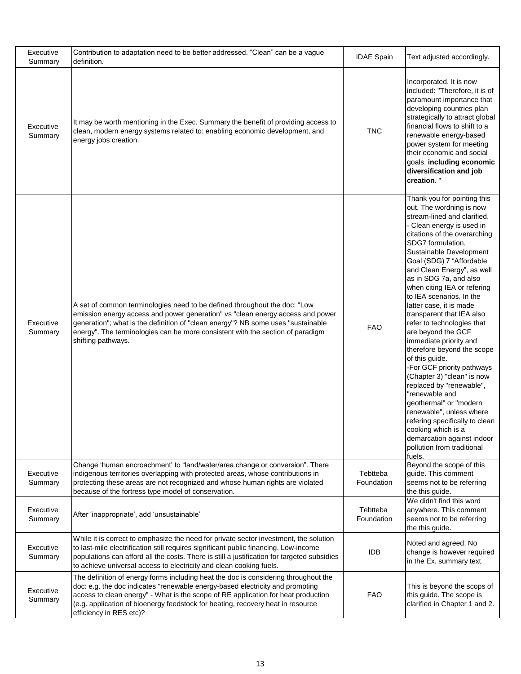| Executive<br>Summary | Contribution to adaptation need to be better addressed. "Clean" can be a vague<br>definition.                                                                                                                                                                                                                                                                           | <b>IDAE Spain</b>      | Text adjusted accordingly.                                                                                                                                                                                                                                                                                                                                                                                                                                                                                                                                                                                                                                                                                                                                                                                                             |
|----------------------|-------------------------------------------------------------------------------------------------------------------------------------------------------------------------------------------------------------------------------------------------------------------------------------------------------------------------------------------------------------------------|------------------------|----------------------------------------------------------------------------------------------------------------------------------------------------------------------------------------------------------------------------------------------------------------------------------------------------------------------------------------------------------------------------------------------------------------------------------------------------------------------------------------------------------------------------------------------------------------------------------------------------------------------------------------------------------------------------------------------------------------------------------------------------------------------------------------------------------------------------------------|
| Executive<br>Summary | It may be worth mentioning in the Exec. Summary the benefit of providing access to<br>clean, modern energy systems related to: enabling economic development, and<br>energy jobs creation.                                                                                                                                                                              | <b>TNC</b>             | Incorporated. It is now<br>included: "Therefore, it is of<br>paramount importance that<br>developing countries plan<br>strategically to attract global<br>financial flows to shift to a<br>renewable energy-based<br>power system for meeting<br>their economic and social<br>goals, including economic<br>diversification and job<br>creation."                                                                                                                                                                                                                                                                                                                                                                                                                                                                                       |
| Executive<br>Summary | A set of common terminologies need to be defined throughout the doc: "Low<br>emission energy access and power generation" vs "clean energy access and power<br>generation"; what is the definition of "clean energy"? NB some uses "sustainable<br>energy". The terminologies can be more consistent with the section of paradigm<br>shifting pathways.                 | <b>FAO</b>             | Thank you for pointing this<br>out. The wordning is now<br>stream-lined and clarified.<br>- Clean energy is used in<br>citations of the overarching<br>SDG7 formulation,<br>Sustainable Development<br>Goal (SDG) 7 "Affordable<br>and Clean Energy", as well<br>as in SDG 7a, and also<br>when citing IEA or refering<br>to IEA scenarios. In the<br>latter case, it is made<br>transparent that IEA also<br>refer to technologies that<br>are beyond the GCF<br>immediate priority and<br>therefore beyond the scope<br>of this guide.<br>-For GCF priority pathways<br>(Chapter 3) "clean" is now<br>replaced by "renewable",<br>"renewable and<br>geothermal" or "modern<br>renewable", unless where<br>refering specifically to clean<br>cooking which is a<br>demarcation against indoor<br>pollution from traditional<br>fuels. |
| Executive<br>Summary | Change 'human encroachment' to "land/water/area change or conversion". There<br>indigenous territories overlapping with protected areas, whose contributions in<br>protecting these areas are not recognized and whose human rights are violated<br>because of the fortress type model of conservation.                                                                 | Tebtteba<br>Foundation | Beyond the scope of this<br>guide. This comment<br>seems not to be referring<br>the this guide.                                                                                                                                                                                                                                                                                                                                                                                                                                                                                                                                                                                                                                                                                                                                        |
| Executive<br>Summary | After 'inappropriate', add 'unsustainable'                                                                                                                                                                                                                                                                                                                              | Tebtteba<br>Foundation | We didn't find this word<br>anywhere. This comment<br>seems not to be referring<br>the this guide.                                                                                                                                                                                                                                                                                                                                                                                                                                                                                                                                                                                                                                                                                                                                     |
| Executive<br>Summary | While it is correct to emphasize the need for private sector investment, the solution<br>to last-mile electrification still requires significant public financing. Low-income<br>populations can afford all the costs. There is still a justification for targeted subsidies<br>to achieve universal access to electricity and clean cooking fuels.                     | IDB                    | Noted and agreed. No<br>change is however required<br>in the Ex. summary text.                                                                                                                                                                                                                                                                                                                                                                                                                                                                                                                                                                                                                                                                                                                                                         |
| Executive<br>Summary | The definition of energy forms including heat the doc is considering throughout the<br>doc: e.g. the doc indicates "renewable energy-based electricity and promoting<br>access to clean energy" - What is the scope of RE application for heat production<br>(e.g. application of bioenergy feedstock for heating, recovery heat in resource<br>efficiency in RES etc)? | <b>FAO</b>             | This is beyond the scops of<br>this guide. The scope is<br>clarified in Chapter 1 and 2.                                                                                                                                                                                                                                                                                                                                                                                                                                                                                                                                                                                                                                                                                                                                               |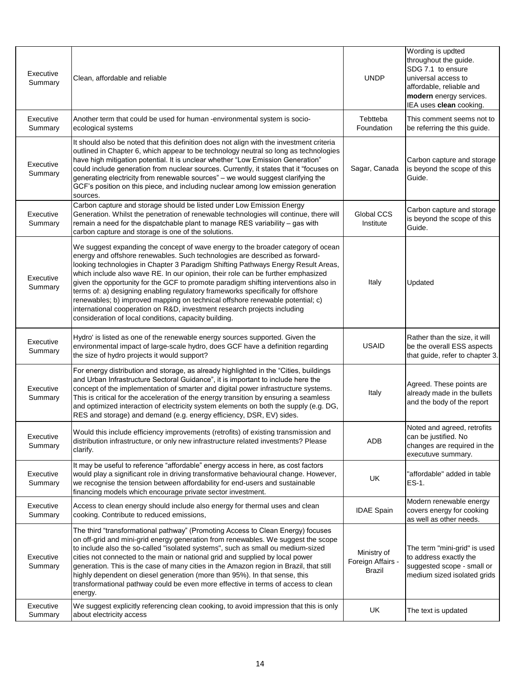| Executive<br>Summary | Clean, affordable and reliable                                                                                                                                                                                                                                                                                                                                                                                                                                                                                                                                                                                                                                                                                                            | <b>UNDP</b>                                | Wording is updted<br>throughout the guide.<br>SDG 7.1 to ensure<br>universal access to<br>affordable, reliable and<br>modern energy services.<br>IEA uses clean cooking. |
|----------------------|-------------------------------------------------------------------------------------------------------------------------------------------------------------------------------------------------------------------------------------------------------------------------------------------------------------------------------------------------------------------------------------------------------------------------------------------------------------------------------------------------------------------------------------------------------------------------------------------------------------------------------------------------------------------------------------------------------------------------------------------|--------------------------------------------|--------------------------------------------------------------------------------------------------------------------------------------------------------------------------|
| Executive<br>Summary | Another term that could be used for human -environmental system is socio-<br>ecological systems                                                                                                                                                                                                                                                                                                                                                                                                                                                                                                                                                                                                                                           | Tebtteba<br>Foundation                     | This comment seems not to<br>be referring the this guide.                                                                                                                |
| Executive<br>Summary | It should also be noted that this definition does not align with the investment criteria<br>outlined in Chapter 6, which appear to be technology neutral so long as technologies<br>have high mitigation potential. It is unclear whether "Low Emission Generation"<br>could include generation from nuclear sources. Currently, it states that it "focuses on<br>generating electricity from renewable sources" - we would suggest clarifying the<br>GCF's position on this piece, and including nuclear among low emission generation<br>sources.                                                                                                                                                                                       | Sagar, Canada                              | Carbon capture and storage<br>is beyond the scope of this<br>Guide.                                                                                                      |
| Executive<br>Summary | Carbon capture and storage should be listed under Low Emission Energy<br>Generation. Whilst the penetration of renewable technologies will continue, there will<br>remain a need for the dispatchable plant to manage RES variability - gas with<br>carbon capture and storage is one of the solutions.                                                                                                                                                                                                                                                                                                                                                                                                                                   | Global CCS<br>Institute                    | Carbon capture and storage<br>is beyond the scope of this<br>Guide.                                                                                                      |
| Executive<br>Summary | We suggest expanding the concept of wave energy to the broader category of ocean<br>energy and offshore renewables. Such technologies are described as forward-<br>looking technologies in Chapter 3 Paradigm Shifting Pathways Energy Result Areas,<br>which include also wave RE. In our opinion, their role can be further emphasized<br>given the opportunity for the GCF to promote paradigm shifting interventions also in<br>terms of: a) designing enabling regulatory frameworks specifically for offshore<br>renewables; b) improved mapping on technical offshore renewable potential; c)<br>international cooperation on R&D, investment research projects including<br>consideration of local conditions, capacity building. | Italy                                      | Updated                                                                                                                                                                  |
| Executive<br>Summary | Hydro' is listed as one of the renewable energy sources supported. Given the<br>environmental impact of large-scale hydro, does GCF have a definition regarding<br>the size of hydro projects it would support?                                                                                                                                                                                                                                                                                                                                                                                                                                                                                                                           | <b>USAID</b>                               | Rather than the size, it will<br>be the overall ESS aspects<br>that guide, refer to chapter 3.                                                                           |
| Executive<br>Summary | For energy distribution and storage, as already highlighted in the "Cities, buildings<br>and Urban Infrastructure Sectoral Guidance", it is important to include here the<br>concept of the implementation of smarter and digital power infrastructure systems.<br>This is critical for the acceleration of the energy transition by ensuring a seamless<br>and optimized interaction of electricity system elements on both the supply (e.g. DG,<br>RES and storage) and demand (e.g. energy efficiency, DSR, EV) sides.                                                                                                                                                                                                                 | Italy                                      | Agreed. These points are<br>already made in the bullets<br>and the body of the report                                                                                    |
| Executive<br>Summary | Would this include efficiency improvements (retrofits) of existing transmission and<br>distribution infrastructure, or only new infrastructure related investments? Please<br>clarify.                                                                                                                                                                                                                                                                                                                                                                                                                                                                                                                                                    | ADB                                        | Noted and agreed, retrofits<br>can be justified. No<br>changes are required in the<br>executuve summary.                                                                 |
| Executive<br>Summary | It may be useful to reference "affordable" energy access in here, as cost factors<br>would play a significant role in driving transformative behavioural change. However,<br>we recognise the tension between affordability for end-users and sustainable<br>financing models which encourage private sector investment.                                                                                                                                                                                                                                                                                                                                                                                                                  | UK                                         | "affordable" added in table<br>ES-1.                                                                                                                                     |
| Executive<br>Summary | Access to clean energy should include also energy for thermal uses and clean<br>cooking. Contribute to reduced emissions,                                                                                                                                                                                                                                                                                                                                                                                                                                                                                                                                                                                                                 | <b>IDAE Spain</b>                          | Modern renewable energy<br>covers energy for cooking<br>as well as other needs.                                                                                          |
| Executive<br>Summary | The third "transformational pathway" (Promoting Access to Clean Energy) focuses<br>on off-grid and mini-grid energy generation from renewables. We suggest the scope<br>to include also the so-called "isolated systems", such as small ou medium-sized<br>cities not connected to the main or national grid and supplied by local power<br>generation. This is the case of many cities in the Amazon region in Brazil, that still<br>highly dependent on diesel generation (more than 95%). In that sense, this<br>transformational pathway could be even more effective in terms of access to clean<br>energy.                                                                                                                          | Ministry of<br>Foreign Affairs -<br>Brazil | The term "mini-grid" is used<br>to address exactly the<br>suggested scope - small or<br>medium sized isolated grids                                                      |
| Executive<br>Summary | We suggest explicitly referencing clean cooking, to avoid impression that this is only<br>about electricity access                                                                                                                                                                                                                                                                                                                                                                                                                                                                                                                                                                                                                        | UK                                         | The text is updated                                                                                                                                                      |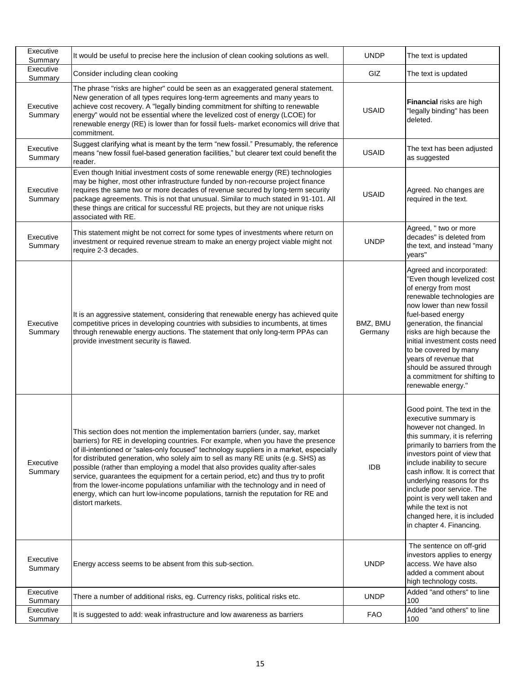| Executive<br>Summary | It would be useful to precise here the inclusion of clean cooking solutions as well.                                                                                                                                                                                                                                                                                                                                                                                                                                                                                                                                                                                                                                   | <b>UNDP</b>         | The text is updated                                                                                                                                                                                                                                                                                                                                                                                                                 |
|----------------------|------------------------------------------------------------------------------------------------------------------------------------------------------------------------------------------------------------------------------------------------------------------------------------------------------------------------------------------------------------------------------------------------------------------------------------------------------------------------------------------------------------------------------------------------------------------------------------------------------------------------------------------------------------------------------------------------------------------------|---------------------|-------------------------------------------------------------------------------------------------------------------------------------------------------------------------------------------------------------------------------------------------------------------------------------------------------------------------------------------------------------------------------------------------------------------------------------|
| Executive<br>Summary | Consider including clean cooking                                                                                                                                                                                                                                                                                                                                                                                                                                                                                                                                                                                                                                                                                       | GIZ                 | The text is updated                                                                                                                                                                                                                                                                                                                                                                                                                 |
| Executive<br>Summary | The phrase "risks are higher" could be seen as an exaggerated general statement.<br>New generation of all types requires long-term agreements and many years to<br>achieve cost recovery. A "legally binding commitment for shifting to renewable<br>energy" would not be essential where the levelized cost of energy (LCOE) for<br>renewable energy (RE) is lower than for fossil fuels- market economics will drive that<br>commitment.                                                                                                                                                                                                                                                                             | <b>USAID</b>        | Financial risks are high<br>"legally binding" has been<br>deleted.                                                                                                                                                                                                                                                                                                                                                                  |
| Executive<br>Summary | Suggest clarifying what is meant by the term "new fossil." Presumably, the reference<br>means "new fossil fuel-based generation facilities," but clearer text could benefit the<br>reader.                                                                                                                                                                                                                                                                                                                                                                                                                                                                                                                             | <b>USAID</b>        | The text has been adjusted<br>as suggested                                                                                                                                                                                                                                                                                                                                                                                          |
| Executive<br>Summary | Even though Initial investment costs of some renewable energy (RE) technologies<br>may be higher, most other infrastructure funded by non-recourse project finance<br>requires the same two or more decades of revenue secured by long-term security<br>package agreements. This is not that unusual. Similar to much stated in 91-101. All<br>these things are critical for successful RE projects, but they are not unique risks<br>associated with RE.                                                                                                                                                                                                                                                              | <b>USAID</b>        | Agreed. No changes are<br>required in the text.                                                                                                                                                                                                                                                                                                                                                                                     |
| Executive<br>Summary | This statement might be not correct for some types of investments where return on<br>investment or required revenue stream to make an energy project viable might not<br>require 2-3 decades.                                                                                                                                                                                                                                                                                                                                                                                                                                                                                                                          | <b>UNDP</b>         | Agreed, " two or more<br>decades" is deleted from<br>the text, and instead "many<br>vears"                                                                                                                                                                                                                                                                                                                                          |
| Executive<br>Summary | It is an aggressive statement, considering that renewable energy has achieved quite<br>competitive prices in developing countries with subsidies to incumbents, at times<br>through renewable energy auctions. The statement that only long-term PPAs can<br>provide investment security is flawed.                                                                                                                                                                                                                                                                                                                                                                                                                    | BMZ, BMU<br>Germany | Agreed and incorporated:<br>'Even though levelized cost<br>of energy from most<br>renewable technologies are<br>now lower than new fossil<br>fuel-based energy<br>generation, the financial<br>risks are high because the<br>initial investment costs need<br>to be covered by many<br>years of revenue that<br>should be assured through<br>a commitment for shifting to<br>renewable energy."                                     |
| Executive<br>Summary | This section does not mention the implementation barriers (under, say, market<br>barriers) for RE in developing countries. For example, when you have the presence<br>of ill-intentioned or "sales-only focused" technology suppliers in a market, especially<br>for distributed generation, who solely aim to sell as many RE units (e.g. SHS) as<br>possible (rather than employing a model that also provides quality after-sales<br>service, guarantees the equipment for a certain period, etc) and thus try to profit<br>from the lower-income populations unfamiliar with the technology and in need of<br>energy, which can hurt low-income populations, tarnish the reputation for RE and<br>distort markets. | <b>IDB</b>          | Good point. The text in the<br>executive summary is<br>however not changed. In<br>this summary, it is referring<br>primarily to barriers from the<br>investors point of view that<br>include inability to secure<br>cash inflow. It is correct that<br>underlying reasons for ths<br>include poor service. The<br>point is very well taken and<br>while the text is not<br>changed here, it is included<br>in chapter 4. Financing. |
| Executive<br>Summary | Energy access seems to be absent from this sub-section.                                                                                                                                                                                                                                                                                                                                                                                                                                                                                                                                                                                                                                                                | <b>UNDP</b>         | The sentence on off-grid<br>investors applies to energy<br>access. We have also<br>added a comment about<br>high technology costs.                                                                                                                                                                                                                                                                                                  |
| Executive<br>Summary | There a number of additional risks, eg. Currency risks, political risks etc.                                                                                                                                                                                                                                                                                                                                                                                                                                                                                                                                                                                                                                           | <b>UNDP</b>         | Added "and others" to line<br>100                                                                                                                                                                                                                                                                                                                                                                                                   |
| Executive<br>Summary | It is suggested to add: weak infrastructure and low awareness as barriers                                                                                                                                                                                                                                                                                                                                                                                                                                                                                                                                                                                                                                              | <b>FAO</b>          | Added "and others" to line<br>100                                                                                                                                                                                                                                                                                                                                                                                                   |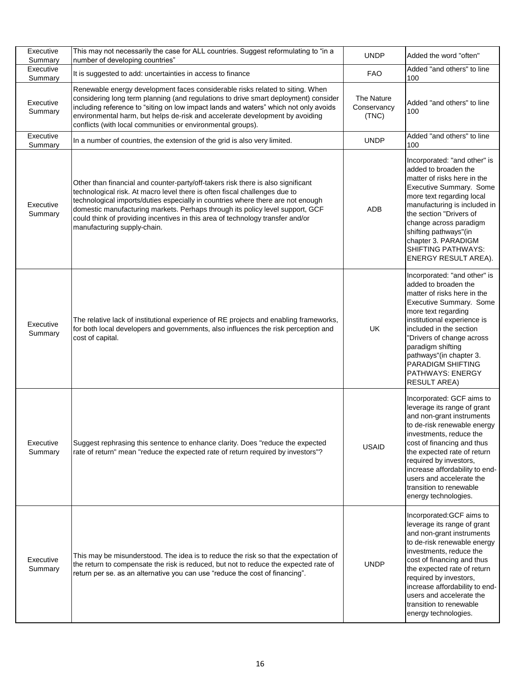| Executive<br>Summary | This may not necessarily the case for ALL countries. Suggest reformulating to "in a<br>number of developing countries"                                                                                                                                                                                                                                                                                                                              | <b>UNDP</b>                        | Added the word "often"                                                                                                                                                                                                                                                                                                                                  |
|----------------------|-----------------------------------------------------------------------------------------------------------------------------------------------------------------------------------------------------------------------------------------------------------------------------------------------------------------------------------------------------------------------------------------------------------------------------------------------------|------------------------------------|---------------------------------------------------------------------------------------------------------------------------------------------------------------------------------------------------------------------------------------------------------------------------------------------------------------------------------------------------------|
| Executive<br>Summary | It is suggested to add: uncertainties in access to finance                                                                                                                                                                                                                                                                                                                                                                                          | FAO                                | Added "and others" to line<br>100                                                                                                                                                                                                                                                                                                                       |
| Executive<br>Summary | Renewable energy development faces considerable risks related to siting. When<br>considering long term planning (and regulations to drive smart deployment) consider<br>including reference to "siting on low impact lands and waters" which not only avoids<br>environmental harm, but helps de-risk and accelerate development by avoiding<br>conflicts (with local communities or environmental groups).                                         | The Nature<br>Conservancy<br>(TNC) | Added "and others" to line<br>100                                                                                                                                                                                                                                                                                                                       |
| Executive<br>Summary | In a number of countries, the extension of the grid is also very limited.                                                                                                                                                                                                                                                                                                                                                                           | <b>UNDP</b>                        | Added "and others" to line<br>100                                                                                                                                                                                                                                                                                                                       |
| Executive<br>Summary | Other than financial and counter-party/off-takers risk there is also significant<br>technological risk. At macro level there is often fiscal challenges due to<br>technological imports/duties especially in countries where there are not enough<br>domestic manufacturing markets. Perhaps through its policy level support, GCF<br>could think of providing incentives in this area of technology transfer and/or<br>manufacturing supply-chain. | <b>ADB</b>                         | Incorporated: "and other" is<br>added to broaden the<br>matter of risks here in the<br>Executive Summary. Some<br>more text regarding local<br>manufacturing is included in<br>the section "Drivers of<br>change across paradigm<br>shifting pathways"(in<br>chapter 3. PARADIGM<br>SHIFTING PATHWAYS:<br>ENERGY RESULT AREA).                          |
| Executive<br>Summary | The relative lack of institutional experience of RE projects and enabling frameworks,<br>for both local developers and governments, also influences the risk perception and<br>cost of capital.                                                                                                                                                                                                                                                     | UK                                 | Incorporated: "and other" is<br>added to broaden the<br>matter of risks here in the<br>Executive Summary. Some<br>more text regarding<br>institutional experience is<br>included in the section<br>"Drivers of change across<br>paradigm shifting<br>pathways"(in chapter 3.<br>PARADIGM SHIFTING<br>PATHWAYS: ENERGY<br><b>RESULT AREA)</b>            |
| Executive<br>Summary | Suggest rephrasing this sentence to enhance clarity. Does "reduce the expected<br>rate of return" mean "reduce the expected rate of return required by investors"?                                                                                                                                                                                                                                                                                  | <b>USAID</b>                       | Incorporated: GCF aims to<br>leverage its range of grant<br>and non-grant instruments<br>to de-risk renewable energy<br>investments, reduce the<br>cost of financing and thus<br>the expected rate of return<br>required by investors,<br>increase affordability to end-<br>users and accelerate the<br>transition to renewable<br>energy technologies. |
| Executive<br>Summary | This may be misunderstood. The idea is to reduce the risk so that the expectation of<br>the return to compensate the risk is reduced, but not to reduce the expected rate of<br>return per se. as an alternative you can use "reduce the cost of financing".                                                                                                                                                                                        | <b>UNDP</b>                        | Incorporated: GCF aims to<br>leverage its range of grant<br>and non-grant instruments<br>to de-risk renewable energy<br>investments, reduce the<br>cost of financing and thus<br>the expected rate of return<br>required by investors,<br>increase affordability to end-<br>users and accelerate the<br>transition to renewable<br>energy technologies. |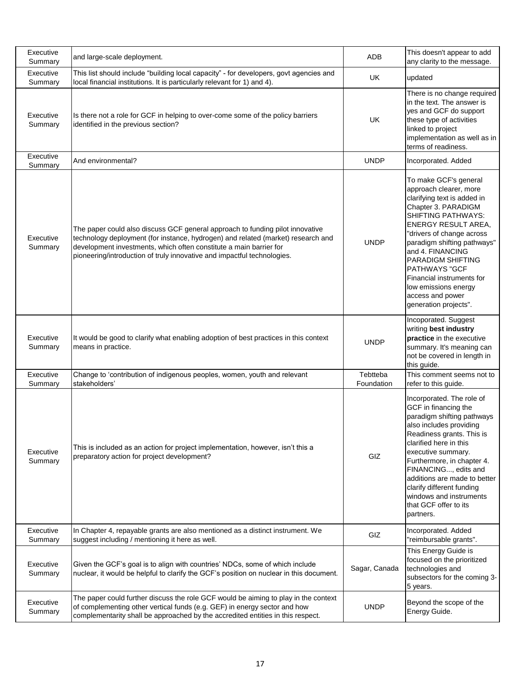| Executive<br>Summary | and large-scale deployment.                                                                                                                                                                                                                                                                                        | ADB                    | This doesn't appear to add<br>any clarity to the message.                                                                                                                                                                                                                                                                                                                                |
|----------------------|--------------------------------------------------------------------------------------------------------------------------------------------------------------------------------------------------------------------------------------------------------------------------------------------------------------------|------------------------|------------------------------------------------------------------------------------------------------------------------------------------------------------------------------------------------------------------------------------------------------------------------------------------------------------------------------------------------------------------------------------------|
| Executive<br>Summary | This list should include "building local capacity" - for developers, govt agencies and<br>local financial institutions. It is particularly relevant for 1) and 4).                                                                                                                                                 | UK                     | updated                                                                                                                                                                                                                                                                                                                                                                                  |
| Executive<br>Summary | Is there not a role for GCF in helping to over-come some of the policy barriers<br>identified in the previous section?                                                                                                                                                                                             | <b>UK</b>              | There is no change required<br>in the text. The answer is<br>yes and GCF do support<br>these type of activities<br>linked to project<br>implementation as well as in<br>terms of readiness.                                                                                                                                                                                              |
| Executive<br>Summary | And environmental?                                                                                                                                                                                                                                                                                                 | <b>UNDP</b>            | Incorporated. Added                                                                                                                                                                                                                                                                                                                                                                      |
| Executive<br>Summary | The paper could also discuss GCF general approach to funding pilot innovative<br>technology deployment (for instance, hydrogen) and related (market) research and<br>development investments, which often constitute a main barrier for<br>pioneering/introduction of truly innovative and impactful technologies. | <b>UNDP</b>            | To make GCF's general<br>approach clearer, more<br>clarifying text is added in<br>Chapter 3. PARADIGM<br><b>SHIFTING PATHWAYS:</b><br>ENERGY RESULT AREA,<br>"drivers of change across<br>paradigm shifting pathways"<br>and 4. FINANCING<br>PARADIGM SHIFTING<br><b>PATHWAYS "GCF</b><br>Financial instruments for<br>low emissions energy<br>access and power<br>generation projects". |
| Executive<br>Summary | It would be good to clarify what enabling adoption of best practices in this context<br>means in practice.                                                                                                                                                                                                         | <b>UNDP</b>            | Incoporated. Suggest<br>writing best industry<br>practice in the executive<br>summary. It's meaning can<br>not be covered in length in<br>this guide.                                                                                                                                                                                                                                    |
| Executive<br>Summary | Change to 'contribution of indigenous peoples, women, youth and relevant<br>stakeholders'                                                                                                                                                                                                                          | Tebtteba<br>Foundation | This comment seems not to<br>refer to this guide.                                                                                                                                                                                                                                                                                                                                        |
| Executive<br>Summary | This is included as an action for project implementation, however, isn't this a<br>preparatory action for project development?                                                                                                                                                                                     | GIZ                    | Incorporated. The role of<br>GCF in financing the<br>paradigm shifting pathways<br>also includes providing<br>Readiness grants. This is<br>clarified here in this<br>executive summary.<br>Furthermore, in chapter 4.<br>FINANCING, edits and<br>additions are made to better<br>clarify different funding<br>windows and instruments<br>that GCF offer to its<br>partners.              |
| Executive<br>Summary | In Chapter 4, repayable grants are also mentioned as a distinct instrument. We<br>suggest including / mentioning it here as well.                                                                                                                                                                                  | GIZ                    | Incorporated. Added<br>"reimbursable grants".                                                                                                                                                                                                                                                                                                                                            |
| Executive<br>Summary | Given the GCF's goal is to align with countries' NDCs, some of which include<br>nuclear, it would be helpful to clarify the GCF's position on nuclear in this document.                                                                                                                                            | Sagar, Canada          | This Energy Guide is<br>focused on the prioritized<br>technologies and<br>subsectors for the coming 3-<br>5 years.                                                                                                                                                                                                                                                                       |
| Executive<br>Summary | The paper could further discuss the role GCF would be aiming to play in the context<br>of complementing other vertical funds (e.g. GEF) in energy sector and how<br>complementarity shall be approached by the accredited entities in this respect.                                                                | <b>UNDP</b>            | Beyond the scope of the<br>Energy Guide.                                                                                                                                                                                                                                                                                                                                                 |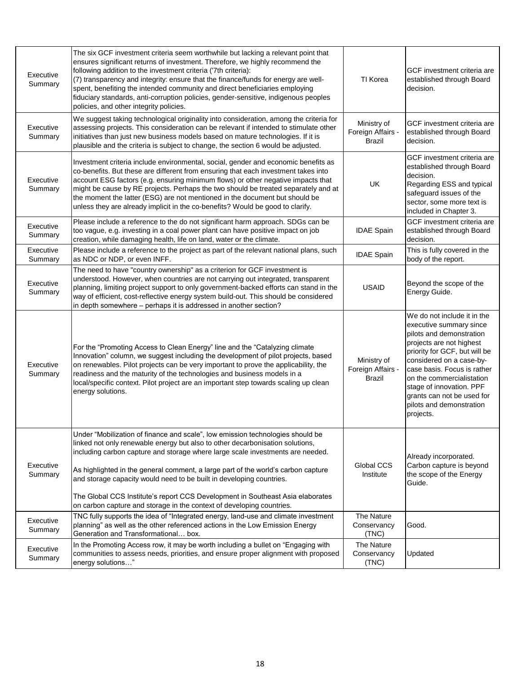| Executive<br>Summary | The six GCF investment criteria seem worthwhile but lacking a relevant point that<br>ensures significant returns of investment. Therefore, we highly recommend the<br>following addition to the investment criteria ('7th criteria):<br>(7) transparency and integrity: ensure that the finance/funds for energy are well-<br>spent, benefiting the intended community and direct beneficiaries employing<br>fiduciary standards, anti-corruption policies, gender-sensitive, indigenous peoples<br>policies, and other integrity policies.                               | TI Korea                                   | GCF investment criteria are<br>established through Board<br>decision.                                                                                                                                                                                                                                                                      |
|----------------------|---------------------------------------------------------------------------------------------------------------------------------------------------------------------------------------------------------------------------------------------------------------------------------------------------------------------------------------------------------------------------------------------------------------------------------------------------------------------------------------------------------------------------------------------------------------------------|--------------------------------------------|--------------------------------------------------------------------------------------------------------------------------------------------------------------------------------------------------------------------------------------------------------------------------------------------------------------------------------------------|
| Executive<br>Summary | We suggest taking technological originality into consideration, among the criteria for<br>assessing projects. This consideration can be relevant if intended to stimulate other<br>initiatives than just new business models based on mature technologies. If it is<br>plausible and the criteria is subject to change, the section 6 would be adjusted.                                                                                                                                                                                                                  | Ministry of<br>Foreign Affairs -<br>Brazil | GCF investment criteria are<br>established through Board<br>decision.                                                                                                                                                                                                                                                                      |
| Executive<br>Summary | Investment criteria include environmental, social, gender and economic benefits as<br>co-benefits. But these are different from ensuring that each investment takes into<br>account ESG factors (e.g. ensuring minimum flows) or other negative impacts that<br>might be cause by RE projects. Perhaps the two should be treated separately and at<br>the moment the latter (ESG) are not mentioned in the document but should be<br>unless they are already implicit in the co-benefits? Would be good to clarify.                                                       | UK                                         | GCF investment criteria are<br>established through Board<br>decision.<br>Regarding ESS and typical<br>safeguard issues of the<br>sector, some more text is<br>included in Chapter 3.                                                                                                                                                       |
| Executive<br>Summary | Please include a reference to the do not significant harm approach. SDGs can be<br>too vague, e.g. investing in a coal power plant can have positive impact on job<br>creation, while damaging health, life on land, water or the climate.                                                                                                                                                                                                                                                                                                                                | <b>IDAE Spain</b>                          | GCF investment criteria are<br>established through Board<br>decision.                                                                                                                                                                                                                                                                      |
| Executive<br>Summary | Please include a reference to the project as part of the relevant national plans, such<br>as NDC or NDP, or even INFF.                                                                                                                                                                                                                                                                                                                                                                                                                                                    | <b>IDAE Spain</b>                          | This is fully covered in the<br>body of the report.                                                                                                                                                                                                                                                                                        |
| Executive<br>Summary | The need to have "country ownership" as a criterion for GCF investment is<br>understood. However, when countries are not carrying out integrated, transparent<br>planning, limiting project support to only government-backed efforts can stand in the<br>way of efficient, cost-reflective energy system build-out. This should be considered<br>in depth somewhere - perhaps it is addressed in another section?                                                                                                                                                        | <b>USAID</b>                               | Beyond the scope of the<br>Energy Guide.                                                                                                                                                                                                                                                                                                   |
| Executive<br>Summary | For the "Promoting Access to Clean Energy" line and the "Catalyzing climate<br>Innovation" column, we suggest including the development of pilot projects, based<br>on renewables. Pilot projects can be very important to prove the applicability, the<br>readiness and the maturity of the technologies and business models in a<br>local/specific context. Pilot project are an important step towards scaling up clean<br>energy solutions.                                                                                                                           | Ministry of<br>Foreign Affairs -<br>Brazil | We do not include it in the<br>executive summary since<br>pilots and demonstration<br>projects are not highest<br>priority for GCF, but will be<br>considered on a case-by-<br>case basis. Focus is rather<br>on the commercialistation<br>stage of innovation. PPF<br>grants can not be used for<br>pilots and demonstration<br>projects. |
| Executive<br>Summary | Under "Mobilization of finance and scale", low emission technologies should be<br>linked not only renewable energy but also to other decarbonisation solutions,<br>including carbon capture and storage where large scale investments are needed.<br>As highlighted in the general comment, a large part of the world's carbon capture<br>and storage capacity would need to be built in developing countries.<br>The Global CCS Institute's report CCS Development in Southeast Asia elaborates<br>on carbon capture and storage in the context of developing countries. | Global CCS<br>Institute                    | Already incorporated.<br>Carbon capture is beyond<br>the scope of the Energy<br>Guide.                                                                                                                                                                                                                                                     |
| Executive<br>Summary | TNC fully supports the idea of "Integrated energy, land-use and climate investment<br>planning" as well as the other referenced actions in the Low Emission Energy<br>Generation and Transformational box.                                                                                                                                                                                                                                                                                                                                                                | The Nature<br>Conservancy<br>(TNC)         | Good.                                                                                                                                                                                                                                                                                                                                      |
| Executive<br>Summary | In the Promoting Access row, it may be worth including a bullet on "Engaging with<br>communities to assess needs, priorities, and ensure proper alignment with proposed<br>energy solutions"                                                                                                                                                                                                                                                                                                                                                                              | The Nature<br>Conservancy<br>(TNC)         | Updated                                                                                                                                                                                                                                                                                                                                    |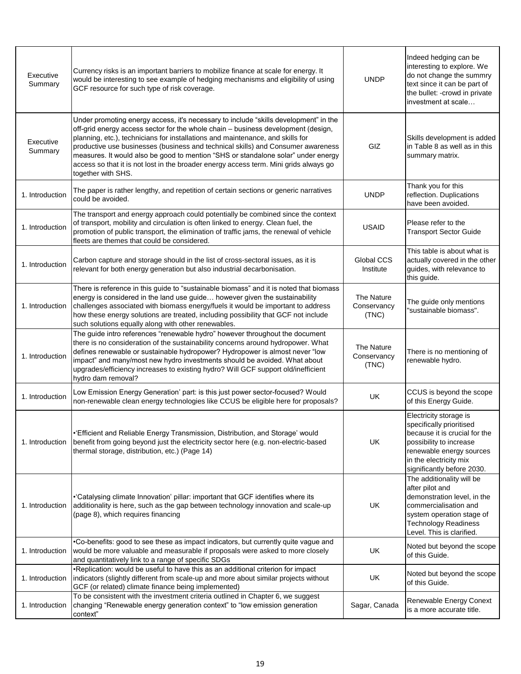| Executive<br>Summary | Currency risks is an important barriers to mobilize finance at scale for energy. It<br>would be interesting to see example of hedging mechanisms and eligibility of using<br>GCF resource for such type of risk coverage.                                                                                                                                                                                                                                                                                                                           | <b>UNDP</b>                        | Indeed hedging can be<br>interesting to explore. We<br>do not change the summry<br>text since it can be part of<br>the bullet: -crowd in private<br>investment at scale                            |
|----------------------|-----------------------------------------------------------------------------------------------------------------------------------------------------------------------------------------------------------------------------------------------------------------------------------------------------------------------------------------------------------------------------------------------------------------------------------------------------------------------------------------------------------------------------------------------------|------------------------------------|----------------------------------------------------------------------------------------------------------------------------------------------------------------------------------------------------|
| Executive<br>Summary | Under promoting energy access, it's necessary to include "skills development" in the<br>off-grid energy access sector for the whole chain - business development (design,<br>planning, etc.), technicians for installations and maintenance, and skills for<br>productive use businesses (business and technical skills) and Consumer awareness<br>measures. It would also be good to mention "SHS or standalone solar" under energy<br>access so that it is not lost in the broader energy access term. Mini grids always go<br>together with SHS. | GIZ                                | Skills development is added<br>in Table 8 as well as in this<br>summary matrix.                                                                                                                    |
| 1. Introduction      | The paper is rather lengthy, and repetition of certain sections or generic narratives<br>could be avoided.                                                                                                                                                                                                                                                                                                                                                                                                                                          | <b>UNDP</b>                        | Thank you for this<br>reflection. Duplications<br>have been avoided.                                                                                                                               |
| 1. Introduction      | The transport and energy approach could potentially be combined since the context<br>of transport, mobility and circulation is often linked to energy. Clean fuel, the<br>promotion of public transport, the elimination of traffic jams, the renewal of vehicle<br>fleets are themes that could be considered.                                                                                                                                                                                                                                     | <b>USAID</b>                       | Please refer to the<br><b>Transport Sector Guide</b>                                                                                                                                               |
| 1. Introduction      | Carbon capture and storage should in the list of cross-sectoral issues, as it is<br>relevant for both energy generation but also industrial decarbonisation.                                                                                                                                                                                                                                                                                                                                                                                        | Global CCS<br>Institute            | This table is about what is<br>actually covered in the other<br>guides, with relevance to<br>this guide.                                                                                           |
| 1. Introduction      | There is reference in this guide to "sustainable biomass" and it is noted that biomass<br>energy is considered in the land use guide however given the sustainability<br>challenges associated with biomass energy/fuels it would be important to address<br>how these energy solutions are treated, including possibility that GCF not include<br>such solutions equally along with other renewables.                                                                                                                                              | The Nature<br>Conservancy<br>(TNC) | The guide only mentions<br>"sustainable biomass".                                                                                                                                                  |
| 1. Introduction      | The guide intro references "renewable hydro" however throughout the document<br>there is no consideration of the sustainability concerns around hydropower. What<br>defines renewable or sustainable hydropower? Hydropower is almost never "low<br>impact" and many/most new hydro investments should be avoided. What about<br>upgrades/efficiency increases to existing hydro? Will GCF support old/inefficient<br>hydro dam removal?                                                                                                            | The Nature<br>Conservancy<br>(TNC) | There is no mentioning of<br>renewable hydro.                                                                                                                                                      |
| 1. Introduction      | Low Emission Energy Generation' part: is this just power sector-focused? Would<br>non-renewable clean energy technologies like CCUS be eligible here for proposals?                                                                                                                                                                                                                                                                                                                                                                                 | UK.                                | CCUS is beyond the scope<br>of this Energy Guide.                                                                                                                                                  |
| 1. Introduction      | •'Efficient and Reliable Energy Transmission, Distribution, and Storage' would<br>benefit from going beyond just the electricity sector here (e.g. non-electric-based<br>thermal storage, distribution, etc.) (Page 14)                                                                                                                                                                                                                                                                                                                             | <b>UK</b>                          | Electricity storage is<br>specifically prioritised<br>because it is crucial for the<br>possibility to increase<br>renewable energy sources<br>in the electricity mix<br>significantly before 2030. |
| 1. Introduction      | •'Catalysing climate Innovation' pillar: important that GCF identifies where its<br>additionality is here, such as the gap between technology innovation and scale-up<br>(page 8), which requires financing                                                                                                                                                                                                                                                                                                                                         | UK                                 | The additionality will be<br>after pilot and<br>demonstration level, in the<br>commercialisation and<br>system operation stage of<br><b>Technology Readiness</b><br>Level. This is clarified.      |
| 1. Introduction      | •Co-benefits: good to see these as impact indicators, but currently quite vague and<br>would be more valuable and measurable if proposals were asked to more closely<br>and quantitatively link to a range of specific SDGs                                                                                                                                                                                                                                                                                                                         | UK                                 | Noted but beyond the scope<br>of this Guide.                                                                                                                                                       |
| 1. Introduction      | •Replication: would be useful to have this as an additional criterion for impact<br>indicators (slightly different from scale-up and more about similar projects without<br>GCF (or related) climate finance being implemented)                                                                                                                                                                                                                                                                                                                     | UK                                 | Noted but beyond the scope<br>of this Guide.                                                                                                                                                       |
| 1. Introduction      | To be consistent with the investment criteria outlined in Chapter 6, we suggest<br>changing "Renewable energy generation context" to "low emission generation<br>context"                                                                                                                                                                                                                                                                                                                                                                           | Sagar, Canada                      | Renewable Energy Conext<br>is a more accurate title.                                                                                                                                               |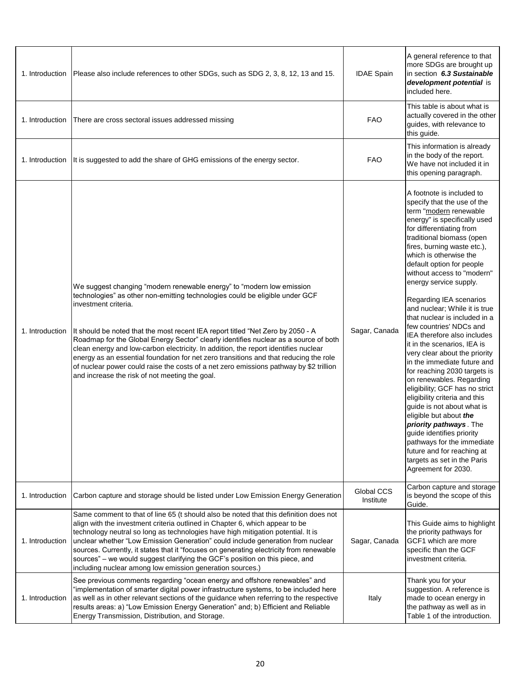| 1. Introduction | Please also include references to other SDGs, such as SDG 2, 3, 8, 12, 13 and 15.                                                                                                                                                                                                                                                                                                                                                                                                                                                                                                                                                                                                    | <b>IDAE Spain</b>       | A general reference to that<br>more SDGs are brought up<br>in section 6.3 Sustainable<br>development potential is<br>included here.                                                                                                                                                                                                                                                                                                                                                                                                                                                                                                                                                                                                                                                                                                                                                                                                             |
|-----------------|--------------------------------------------------------------------------------------------------------------------------------------------------------------------------------------------------------------------------------------------------------------------------------------------------------------------------------------------------------------------------------------------------------------------------------------------------------------------------------------------------------------------------------------------------------------------------------------------------------------------------------------------------------------------------------------|-------------------------|-------------------------------------------------------------------------------------------------------------------------------------------------------------------------------------------------------------------------------------------------------------------------------------------------------------------------------------------------------------------------------------------------------------------------------------------------------------------------------------------------------------------------------------------------------------------------------------------------------------------------------------------------------------------------------------------------------------------------------------------------------------------------------------------------------------------------------------------------------------------------------------------------------------------------------------------------|
| 1. Introduction | There are cross sectoral issues addressed missing                                                                                                                                                                                                                                                                                                                                                                                                                                                                                                                                                                                                                                    | <b>FAO</b>              | This table is about what is<br>actually covered in the other<br>guides, with relevance to<br>this guide.                                                                                                                                                                                                                                                                                                                                                                                                                                                                                                                                                                                                                                                                                                                                                                                                                                        |
| 1. Introduction | It is suggested to add the share of GHG emissions of the energy sector.                                                                                                                                                                                                                                                                                                                                                                                                                                                                                                                                                                                                              | <b>FAO</b>              | This information is already<br>in the body of the report.<br>We have not included it in<br>this opening paragraph.                                                                                                                                                                                                                                                                                                                                                                                                                                                                                                                                                                                                                                                                                                                                                                                                                              |
| 1. Introduction | We suggest changing "modern renewable energy" to "modern low emission<br>technologies" as other non-emitting technologies could be eligible under GCF<br>investment criteria.<br>It should be noted that the most recent IEA report titled "Net Zero by 2050 - A<br>Roadmap for the Global Energy Sector" clearly identifies nuclear as a source of both<br>clean energy and low-carbon electricity. In addition, the report identifies nuclear<br>energy as an essential foundation for net zero transitions and that reducing the role<br>of nuclear power could raise the costs of a net zero emissions pathway by \$2 trillion<br>and increase the risk of not meeting the goal. | Sagar, Canada           | A footnote is included to<br>specify that the use of the<br>term "modern renewable<br>energy" is specifically used<br>for differentiating from<br>traditional biomass (open<br>fires, burning waste etc.),<br>which is otherwise the<br>default option for people<br>without access to "modern"<br>energy service supply.<br>Regarding IEA scenarios<br>and nuclear; While it is true<br>that nuclear is included in a<br>few countries' NDCs and<br>IEA therefore also includes<br>it in the scenarios, IEA is<br>very clear about the priority<br>in the immediate future and<br>for reaching 2030 targets is<br>on renewables. Regarding<br>eligibility; GCF has no strict<br>eligibility criteria and this<br>guide is not about what is<br>eligible but about the<br>priority pathways. The<br>guide identifies priority<br>pathways for the immediate<br>future and for reaching at<br>targets as set in the Paris<br>Agreement for 2030. |
| 1. Introduction | Carbon capture and storage should be listed under Low Emission Energy Generation                                                                                                                                                                                                                                                                                                                                                                                                                                                                                                                                                                                                     | Global CCS<br>Institute | Carbon capture and storage<br>is beyond the scope of this<br>Guide.                                                                                                                                                                                                                                                                                                                                                                                                                                                                                                                                                                                                                                                                                                                                                                                                                                                                             |
| 1. Introduction | Same comment to that of line 65 (t should also be noted that this definition does not<br>align with the investment criteria outlined in Chapter 6, which appear to be<br>technology neutral so long as technologies have high mitigation potential. It is<br>unclear whether "Low Emission Generation" could include generation from nuclear<br>sources. Currently, it states that it "focuses on generating electricity from renewable<br>sources" - we would suggest clarifying the GCF's position on this piece, and<br>including nuclear among low emission generation sources.)                                                                                                 | Sagar, Canada           | This Guide aims to highlight<br>the priority pathways for<br>GCF1 which are more<br>specific than the GCF<br>investment criteria.                                                                                                                                                                                                                                                                                                                                                                                                                                                                                                                                                                                                                                                                                                                                                                                                               |
| 1. Introduction | See previous comments regarding "ocean energy and offshore renewables" and<br>"implementation of smarter digital power infrastructure systems, to be included here<br>as well as in other relevant sections of the guidance when referring to the respective<br>results areas: a) "Low Emission Energy Generation" and; b) Efficient and Reliable<br>Energy Transmission, Distribution, and Storage.                                                                                                                                                                                                                                                                                 | Italy                   | Thank you for your<br>suggestion. A reference is<br>made to ocean energy in<br>the pathway as well as in<br>Table 1 of the introduction.                                                                                                                                                                                                                                                                                                                                                                                                                                                                                                                                                                                                                                                                                                                                                                                                        |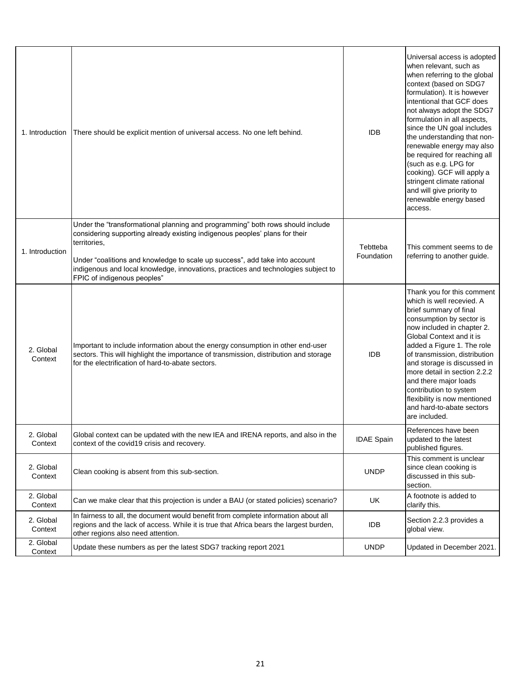| 1. Introduction      | There should be explicit mention of universal access. No one left behind.                                                                                                                                                                                                                                                                                                         | <b>IDB</b>             | Universal access is adopted<br>when relevant, such as<br>when referring to the global<br>context (based on SDG7<br>formulation). It is however<br>intentional that GCF does<br>not always adopt the SDG7<br>formulation in all aspects,<br>since the UN goal includes<br>the understanding that non-<br>renewable energy may also<br>be required for reaching all<br>(such as e.g. LPG for<br>cooking). GCF will apply a<br>stringent climate rational<br>and will give priority to<br>renewable energy based<br>access. |
|----------------------|-----------------------------------------------------------------------------------------------------------------------------------------------------------------------------------------------------------------------------------------------------------------------------------------------------------------------------------------------------------------------------------|------------------------|--------------------------------------------------------------------------------------------------------------------------------------------------------------------------------------------------------------------------------------------------------------------------------------------------------------------------------------------------------------------------------------------------------------------------------------------------------------------------------------------------------------------------|
| 1. Introduction      | Under the "transformational planning and programming" both rows should include<br>considering supporting already existing indigenous peoples' plans for their<br>territories.<br>Under "coalitions and knowledge to scale up success", add take into account<br>indigenous and local knowledge, innovations, practices and technologies subject to<br>FPIC of indigenous peoples" | Tebtteba<br>Foundation | This comment seems to de<br>referring to another guide.                                                                                                                                                                                                                                                                                                                                                                                                                                                                  |
| 2. Global<br>Context | Important to include information about the energy consumption in other end-user<br>sectors. This will highlight the importance of transmission, distribution and storage<br>for the electrification of hard-to-abate sectors.                                                                                                                                                     | <b>IDB</b>             | Thank you for this comment<br>which is well recevied. A<br>brief summary of final<br>consumption by sector is<br>now included in chapter 2.<br>Global Context and it is<br>added a Figure 1. The role<br>of transmission, distribution<br>and storage is discussed in<br>more detail in section 2.2.2<br>and there major loads<br>contribution to system<br>flexibility is now mentioned<br>and hard-to-abate sectors<br>are included.                                                                                   |
| 2. Global<br>Context | Global context can be updated with the new IEA and IRENA reports, and also in the<br>context of the covid19 crisis and recovery.                                                                                                                                                                                                                                                  | <b>IDAE Spain</b>      | References have been<br>updated to the latest<br>published figures.                                                                                                                                                                                                                                                                                                                                                                                                                                                      |
| 2. Global<br>Context | Clean cooking is absent from this sub-section.                                                                                                                                                                                                                                                                                                                                    | <b>UNDP</b>            | This comment is unclear<br>since clean cooking is<br>discussed in this sub-<br>section.                                                                                                                                                                                                                                                                                                                                                                                                                                  |
| 2. Global<br>Context | Can we make clear that this projection is under a BAU (or stated policies) scenario?                                                                                                                                                                                                                                                                                              | UK                     | A footnote is added to<br>clarify this.                                                                                                                                                                                                                                                                                                                                                                                                                                                                                  |
| 2. Global<br>Context | In fairness to all, the document would benefit from complete information about all<br>regions and the lack of access. While it is true that Africa bears the largest burden,<br>other regions also need attention.                                                                                                                                                                | IDB                    | Section 2.2.3 provides a<br>global view.                                                                                                                                                                                                                                                                                                                                                                                                                                                                                 |
| 2. Global<br>Context | Update these numbers as per the latest SDG7 tracking report 2021                                                                                                                                                                                                                                                                                                                  | <b>UNDP</b>            | Updated in December 2021.                                                                                                                                                                                                                                                                                                                                                                                                                                                                                                |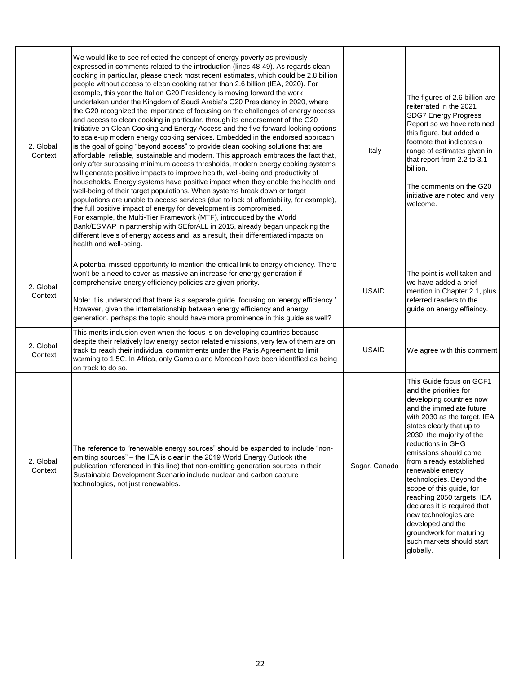| 2. Global<br>Context | We would like to see reflected the concept of energy poverty as previously<br>expressed in comments related to the introduction (lines 48-49). As regards clean<br>cooking in particular, please check most recent estimates, which could be 2.8 billion<br>people without access to clean cooking rather than 2.6 billion (IEA, 2020). For<br>example, this year the Italian G20 Presidency is moving forward the work<br>undertaken under the Kingdom of Saudi Arabia's G20 Presidency in 2020, where<br>the G20 recognized the importance of focusing on the challenges of energy access,<br>and access to clean cooking in particular, through its endorsement of the G20<br>Initiative on Clean Cooking and Energy Access and the five forward-looking options<br>to scale-up modern energy cooking services. Embedded in the endorsed approach<br>is the goal of going "beyond access" to provide clean cooking solutions that are<br>affordable, reliable, sustainable and modern. This approach embraces the fact that,<br>only after surpassing minimum access thresholds, modern energy cooking systems<br>will generate positive impacts to improve health, well-being and productivity of<br>households. Energy systems have positive impact when they enable the health and<br>well-being of their target populations. When systems break down or target<br>populations are unable to access services (due to lack of affordability, for example),<br>the full positive impact of energy for development is compromised.<br>For example, the Multi-Tier Framework (MTF), introduced by the World<br>Bank/ESMAP in partnership with SEforALL in 2015, already began unpacking the<br>different levels of energy access and, as a result, their differentiated impacts on<br>health and well-being. | Italy         | The figures of 2.6 billion are<br>reiterrated in the 2021<br><b>SDG7 Energy Progress</b><br>Report so we have retained<br>this figure, but added a<br>footnote that indicates a<br>range of estimates given in<br>that report from 2.2 to 3.1<br>billion.<br>The comments on the G20<br>initiative are noted and very<br>welcome.                                                                                                                                                                                                          |
|----------------------|----------------------------------------------------------------------------------------------------------------------------------------------------------------------------------------------------------------------------------------------------------------------------------------------------------------------------------------------------------------------------------------------------------------------------------------------------------------------------------------------------------------------------------------------------------------------------------------------------------------------------------------------------------------------------------------------------------------------------------------------------------------------------------------------------------------------------------------------------------------------------------------------------------------------------------------------------------------------------------------------------------------------------------------------------------------------------------------------------------------------------------------------------------------------------------------------------------------------------------------------------------------------------------------------------------------------------------------------------------------------------------------------------------------------------------------------------------------------------------------------------------------------------------------------------------------------------------------------------------------------------------------------------------------------------------------------------------------------------------------------------------------------------------------------------------------|---------------|--------------------------------------------------------------------------------------------------------------------------------------------------------------------------------------------------------------------------------------------------------------------------------------------------------------------------------------------------------------------------------------------------------------------------------------------------------------------------------------------------------------------------------------------|
| 2. Global<br>Context | A potential missed opportunity to mention the critical link to energy efficiency. There<br>won't be a need to cover as massive an increase for energy generation if<br>comprehensive energy efficiency policies are given priority.<br>Note: It is understood that there is a separate guide, focusing on 'energy efficiency.'<br>However, given the interrelationship between energy efficiency and energy<br>generation, perhaps the topic should have more prominence in this guide as well?                                                                                                                                                                                                                                                                                                                                                                                                                                                                                                                                                                                                                                                                                                                                                                                                                                                                                                                                                                                                                                                                                                                                                                                                                                                                                                                | <b>USAID</b>  | The point is well taken and<br>we have added a brief<br>mention in Chapter 2.1, plus<br>referred readers to the<br>guide on energy effieincy.                                                                                                                                                                                                                                                                                                                                                                                              |
| 2. Global<br>Context | This merits inclusion even when the focus is on developing countries because<br>despite their relatively low energy sector related emissions, very few of them are on<br>track to reach their individual commitments under the Paris Agreement to limit<br>warming to 1.5C. In Africa, only Gambia and Morocco have been identified as being<br>on track to do so.                                                                                                                                                                                                                                                                                                                                                                                                                                                                                                                                                                                                                                                                                                                                                                                                                                                                                                                                                                                                                                                                                                                                                                                                                                                                                                                                                                                                                                             | <b>USAID</b>  | We agree with this comment                                                                                                                                                                                                                                                                                                                                                                                                                                                                                                                 |
| 2. Global<br>Context | The reference to "renewable energy sources" should be expanded to include "non-<br>emitting sources" - the IEA is clear in the 2019 World Energy Outlook (the<br>publication referenced in this line) that non-emitting generation sources in their<br>Sustainable Development Scenario include nuclear and carbon capture<br>technologies, not just renewables.                                                                                                                                                                                                                                                                                                                                                                                                                                                                                                                                                                                                                                                                                                                                                                                                                                                                                                                                                                                                                                                                                                                                                                                                                                                                                                                                                                                                                                               | Sagar, Canada | This Guide focus on GCF1<br>and the priorities for<br>developing countries now<br>and the immediate future<br>with 2030 as the target. IEA<br>states clearly that up to<br>2030, the majority of the<br>reductions in GHG<br>emissions should come<br>from already established<br>renewable energy<br>technologies. Beyond the<br>scope of this guide, for<br>reaching 2050 targets, IEA<br>declares it is required that<br>new technologies are<br>developed and the<br>groundwork for maturing<br>such markets should start<br>globally. |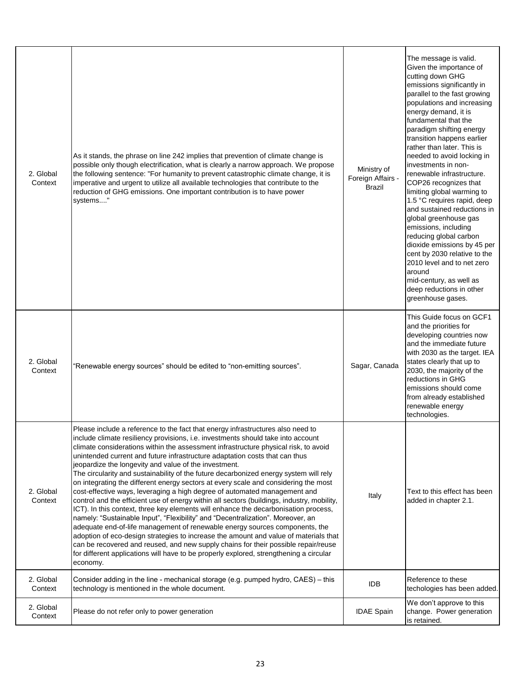| 2. Global<br>Context | As it stands, the phrase on line 242 implies that prevention of climate change is<br>possible only though electrification, what is clearly a narrow approach. We propose<br>the following sentence: "For humanity to prevent catastrophic climate change, it is<br>imperative and urgent to utilize all available technologies that contribute to the<br>reduction of GHG emissions. One important contribution is to have power<br>systems"                                                                                                                                                                                                                                                                                                                                                                                                                                                                                                                                                                                                                                                                                                                                                                                                                                                               | Ministry of<br>Foreign Affairs -<br><b>Brazil</b> | The message is valid.<br>Given the importance of<br>cutting down GHG<br>emissions significantly in<br>parallel to the fast growing<br>populations and increasing<br>energy demand, it is<br>fundamental that the<br>paradigm shifting energy<br>transition happens earlier<br>rather than later. This is<br>needed to avoid locking in<br>investments in non-<br>renewable infrastructure.<br>COP26 recognizes that<br>limiting global warming to<br>1.5 °C requires rapid, deep<br>and sustained reductions in<br>global greenhouse gas<br>emissions, including<br>reducing global carbon<br>dioxide emissions by 45 per<br>cent by 2030 relative to the<br>2010 level and to net zero<br>around<br>mid-century, as well as<br>deep reductions in other<br>greenhouse gases. |
|----------------------|------------------------------------------------------------------------------------------------------------------------------------------------------------------------------------------------------------------------------------------------------------------------------------------------------------------------------------------------------------------------------------------------------------------------------------------------------------------------------------------------------------------------------------------------------------------------------------------------------------------------------------------------------------------------------------------------------------------------------------------------------------------------------------------------------------------------------------------------------------------------------------------------------------------------------------------------------------------------------------------------------------------------------------------------------------------------------------------------------------------------------------------------------------------------------------------------------------------------------------------------------------------------------------------------------------|---------------------------------------------------|-------------------------------------------------------------------------------------------------------------------------------------------------------------------------------------------------------------------------------------------------------------------------------------------------------------------------------------------------------------------------------------------------------------------------------------------------------------------------------------------------------------------------------------------------------------------------------------------------------------------------------------------------------------------------------------------------------------------------------------------------------------------------------|
| 2. Global<br>Context | "Renewable energy sources" should be edited to "non-emitting sources".                                                                                                                                                                                                                                                                                                                                                                                                                                                                                                                                                                                                                                                                                                                                                                                                                                                                                                                                                                                                                                                                                                                                                                                                                                     | Sagar, Canada                                     | This Guide focus on GCF1<br>and the priorities for<br>developing countries now<br>and the immediate future<br>with 2030 as the target. IEA<br>states clearly that up to<br>2030, the majority of the<br>reductions in GHG<br>emissions should come<br>from already established<br>renewable energy<br>technologies.                                                                                                                                                                                                                                                                                                                                                                                                                                                           |
| 2. Global<br>Context | Please include a reference to the fact that energy infrastructures also need to<br>include climate resiliency provisions, i.e. investments should take into account<br>climate considerations within the assessment infrastructure physical risk, to avoid<br>unintended current and future infrastructure adaptation costs that can thus<br>jeopardize the longevity and value of the investment.<br>The circularity and sustainability of the future decarbonized energy system will rely<br>on integrating the different energy sectors at every scale and considering the most<br>cost-effective ways, leveraging a high degree of automated management and<br>control and the efficient use of energy within all sectors (buildings, industry, mobility,<br>ICT). In this context, three key elements will enhance the decarbonisation process,<br>namely: "Sustainable Input", "Flexibility" and "Decentralization". Moreover, an<br>adequate end-of-life management of renewable energy sources components, the<br>adoption of eco-design strategies to increase the amount and value of materials that<br>can be recovered and reused, and new supply chains for their possible repair/reuse<br>for different applications will have to be properly explored, strengthening a circular<br>economy. | Italy                                             | Text to this effect has been<br>added in chapter 2.1.                                                                                                                                                                                                                                                                                                                                                                                                                                                                                                                                                                                                                                                                                                                         |
| 2. Global<br>Context | Consider adding in the line - mechanical storage (e.g. pumped hydro, CAES) - this<br>technology is mentioned in the whole document.                                                                                                                                                                                                                                                                                                                                                                                                                                                                                                                                                                                                                                                                                                                                                                                                                                                                                                                                                                                                                                                                                                                                                                        | <b>IDB</b>                                        | Reference to these<br>techologies has been added.                                                                                                                                                                                                                                                                                                                                                                                                                                                                                                                                                                                                                                                                                                                             |
| 2. Global<br>Context | Please do not refer only to power generation                                                                                                                                                                                                                                                                                                                                                                                                                                                                                                                                                                                                                                                                                                                                                                                                                                                                                                                                                                                                                                                                                                                                                                                                                                                               | <b>IDAE Spain</b>                                 | We don't approve to this<br>change. Power generation<br>is retained.                                                                                                                                                                                                                                                                                                                                                                                                                                                                                                                                                                                                                                                                                                          |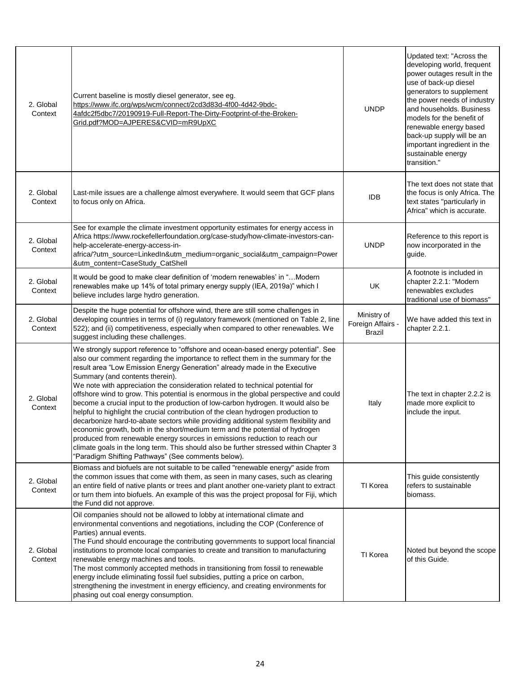| 2. Global<br>Context | Current baseline is mostly diesel generator, see eg.<br>https://www.ifc.org/wps/wcm/connect/2cd3d83d-4f00-4d42-9bdc-<br>4afdc2f5dbc7/20190919-Full-Report-The-Dirty-Footprint-of-the-Broken-<br>Grid.pdf?MOD=AJPERES&CVID=mR9UpXC                                                                                                                                                                                                                                                                                                                                                                                                                                                                                                                                                                                                                                                                                                                                                                                                               | <b>UNDP</b>                                       | Updated text: "Across the<br>developing world, frequent<br>power outages result in the<br>use of back-up diesel<br>generators to supplement<br>the power needs of industry<br>and households. Business<br>models for the benefit of<br>renewable energy based |
|----------------------|-------------------------------------------------------------------------------------------------------------------------------------------------------------------------------------------------------------------------------------------------------------------------------------------------------------------------------------------------------------------------------------------------------------------------------------------------------------------------------------------------------------------------------------------------------------------------------------------------------------------------------------------------------------------------------------------------------------------------------------------------------------------------------------------------------------------------------------------------------------------------------------------------------------------------------------------------------------------------------------------------------------------------------------------------|---------------------------------------------------|---------------------------------------------------------------------------------------------------------------------------------------------------------------------------------------------------------------------------------------------------------------|
|                      |                                                                                                                                                                                                                                                                                                                                                                                                                                                                                                                                                                                                                                                                                                                                                                                                                                                                                                                                                                                                                                                 |                                                   | back-up supply will be an<br>important ingredient in the<br>sustainable energy<br>transition."                                                                                                                                                                |
| 2. Global<br>Context | Last-mile issues are a challenge almost everywhere. It would seem that GCF plans<br>to focus only on Africa.                                                                                                                                                                                                                                                                                                                                                                                                                                                                                                                                                                                                                                                                                                                                                                                                                                                                                                                                    | <b>IDB</b>                                        | The text does not state that<br>the focus is only Africa. The<br>text states "particularly in<br>Africa" which is accurate.                                                                                                                                   |
| 2. Global<br>Context | See for example the climate investment opportunity estimates for energy access in<br>Africa https://www.rockefellerfoundation.org/case-study/how-climate-investors-can-<br>help-accelerate-energy-access-in-<br>africa/?utm_source=LinkedIn&utm_medium=organic_social&utm_campaign=Power<br>&utm_content=CaseStudy_CatShell                                                                                                                                                                                                                                                                                                                                                                                                                                                                                                                                                                                                                                                                                                                     | <b>UNDP</b>                                       | Reference to this report is<br>now incorporated in the<br>quide.                                                                                                                                                                                              |
| 2. Global<br>Context | It would be good to make clear definition of 'modern renewables' in "Modern<br>renewables make up 14% of total primary energy supply (IEA, 2019a)" which I<br>believe includes large hydro generation.                                                                                                                                                                                                                                                                                                                                                                                                                                                                                                                                                                                                                                                                                                                                                                                                                                          | UK                                                | A footnote is included in<br>chapter 2.2.1: "Modern<br>renewables excludes<br>traditional use of biomass"                                                                                                                                                     |
| 2. Global<br>Context | Despite the huge potential for offshore wind, there are still some challenges in<br>developing countries in terms of (i) regulatory framework (mentioned on Table 2, line<br>522); and (ii) competitiveness, especially when compared to other renewables. We<br>suggest including these challenges.                                                                                                                                                                                                                                                                                                                                                                                                                                                                                                                                                                                                                                                                                                                                            | Ministry of<br>Foreign Affairs -<br><b>Brazil</b> | We have added this text in<br>chapter 2.2.1.                                                                                                                                                                                                                  |
| 2. Global<br>Context | We strongly support reference to "offshore and ocean-based energy potential". See<br>also our comment regarding the importance to reflect them in the summary for the<br>result area "Low Emission Energy Generation" already made in the Executive<br>Summary (and contents therein).<br>We note with appreciation the consideration related to technical potential for<br>offshore wind to grow. This potential is enormous in the global perspective and could<br>become a crucial input to the production of low-carbon hydrogen. It would also be<br>helpful to highlight the crucial contribution of the clean hydrogen production to<br>decarbonize hard-to-abate sectors while providing additional system flexibility and<br>economic growth, both in the short/medium term and the potential of hydrogen<br>produced from renewable energy sources in emissions reduction to reach our<br>climate goals in the long term. This should also be further stressed within Chapter 3<br>"Paradigm Shifting Pathways" (See comments below). | Italy                                             | The text in chapter 2.2.2 is<br>made more explicit to<br>include the input.                                                                                                                                                                                   |
| 2. Global<br>Context | Biomass and biofuels are not suitable to be called "renewable energy" aside from<br>the common issues that come with them, as seen in many cases, such as clearing<br>an entire field of native plants or trees and plant another one-variety plant to extract<br>or turn them into biofuels. An example of this was the project proposal for Fiji, which<br>the Fund did not approve.                                                                                                                                                                                                                                                                                                                                                                                                                                                                                                                                                                                                                                                          | TI Korea                                          | This guide consistently<br>refers to sustainable<br>biomass.                                                                                                                                                                                                  |
| 2. Global<br>Context | Oil companies should not be allowed to lobby at international climate and<br>environmental conventions and negotiations, including the COP (Conference of<br>Parties) annual events.<br>The Fund should encourage the contributing governments to support local financial<br>institutions to promote local companies to create and transition to manufacturing<br>renewable energy machines and tools.<br>The most commonly accepted methods in transitioning from fossil to renewable<br>energy include eliminating fossil fuel subsidies, putting a price on carbon,<br>strengthening the investment in energy efficiency, and creating environments for<br>phasing out coal energy consumption.                                                                                                                                                                                                                                                                                                                                              | TI Korea                                          | Noted but beyond the scope<br>of this Guide.                                                                                                                                                                                                                  |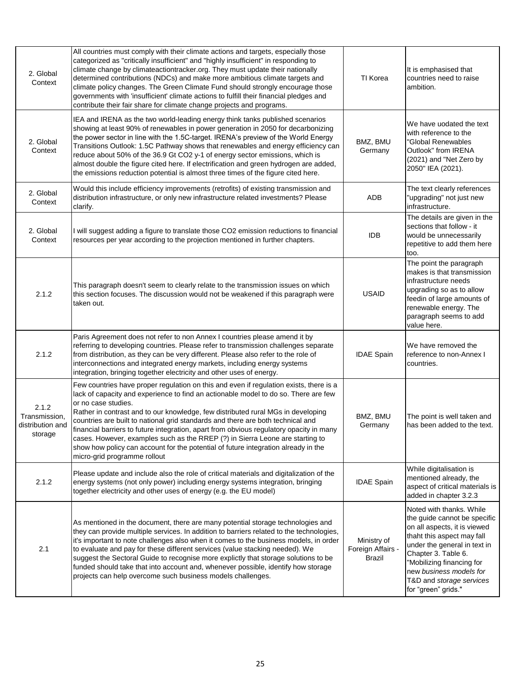| 2. Global<br>Context                                  | All countries must comply with their climate actions and targets, especially those<br>categorized as "critically insufficient" and "highly insufficient" in responding to<br>climate change by climateactiontracker.org. They must update their nationally<br>determined contributions (NDCs) and make more ambitious climate targets and<br>climate policy changes. The Green Climate Fund should strongly encourage those<br>governments with 'insufficient' climate actions to fulfill their financial pledges and<br>contribute their fair share for climate change projects and programs.                                                                                | TI Korea                                   | It is emphasised that<br>countries need to raise<br>ambition.                                                                                                                                                                                                                            |
|-------------------------------------------------------|-------------------------------------------------------------------------------------------------------------------------------------------------------------------------------------------------------------------------------------------------------------------------------------------------------------------------------------------------------------------------------------------------------------------------------------------------------------------------------------------------------------------------------------------------------------------------------------------------------------------------------------------------------------------------------|--------------------------------------------|------------------------------------------------------------------------------------------------------------------------------------------------------------------------------------------------------------------------------------------------------------------------------------------|
| 2. Global<br>Context                                  | IEA and IRENA as the two world-leading energy think tanks published scenarios<br>showing at least 90% of renewables in power generation in 2050 for decarbonizing<br>the power sector in line with the 1.5C-target. IRENA's preview of the World Energy<br>Transitions Outlook: 1.5C Pathway shows that renewables and energy efficiency can<br>reduce about 50% of the 36.9 Gt CO2 y-1 of energy sector emissions, which is<br>almost double the figure cited here. If electrification and green hydrogen are added,<br>the emissions reduction potential is almost three times of the figure cited here.                                                                    | BMZ, BMU<br>Germany                        | We have uodated the text<br>with reference to the<br>"Global Renewables<br>Outlook" from IRENA<br>(2021) and "Net Zero by<br>2050" IEA (2021).                                                                                                                                           |
| 2. Global<br>Context                                  | Would this include efficiency improvements (retrofits) of existing transmission and<br>distribution infrastructure, or only new infrastructure related investments? Please<br>clarify.                                                                                                                                                                                                                                                                                                                                                                                                                                                                                        | ADB                                        | The text clearly references<br>"upgrading" not just new<br>infrastructure.                                                                                                                                                                                                               |
| 2. Global<br>Context                                  | I will suggest adding a figure to translate those CO2 emission reductions to financial<br>resources per year according to the projection mentioned in further chapters.                                                                                                                                                                                                                                                                                                                                                                                                                                                                                                       | <b>IDB</b>                                 | The details are given in the<br>sections that follow - it<br>would be unnecessarily<br>repetitive to add them here<br>too.                                                                                                                                                               |
| 2.1.2                                                 | This paragraph doesn't seem to clearly relate to the transmission issues on which<br>this section focuses. The discussion would not be weakened if this paragraph were<br>taken out.                                                                                                                                                                                                                                                                                                                                                                                                                                                                                          | <b>USAID</b>                               | The point the paragraph<br>makes is that transmission<br>infrastructure needs<br>upgrading so as to allow<br>feedin of large amounts of<br>renewable energy. The<br>paragraph seems to add<br>value here.                                                                                |
| 2.1.2                                                 | Paris Agreement does not refer to non Annex I countries please amend it by<br>referring to developing countries. Please refer to transmission challenges separate<br>from distribution, as they can be very different. Please also refer to the role of<br>interconnections and integrated energy markets, including energy systems<br>integration, bringing together electricity and other uses of energy.                                                                                                                                                                                                                                                                   | <b>IDAE Spain</b>                          | We have removed the<br>reference to non-Annex I<br>countries.                                                                                                                                                                                                                            |
| 2.1.2<br>Transmission.<br>distribution and<br>storage | Few countries have proper regulation on this and even if regulation exists, there is a<br>lack of capacity and experience to find an actionable model to do so. There are few<br>or no case studies.<br>Rather in contrast and to our knowledge, few distributed rural MGs in developing<br>countries are built to national grid standards and there are both technical and<br>financial barriers to future integration, apart from obvious regulatory opacity in many<br>cases. However, examples such as the RREP (?) in Sierra Leone are starting to<br>show how policy can account for the potential of future integration already in the<br>micro-grid programme rollout | BMZ, BMU<br>Germany                        | The point is well taken and<br>has been added to the text.                                                                                                                                                                                                                               |
| 2.1.2                                                 | Please update and include also the role of critical materials and digitalization of the<br>energy systems (not only power) including energy systems integration, bringing<br>together electricity and other uses of energy (e.g. the EU model)                                                                                                                                                                                                                                                                                                                                                                                                                                | <b>IDAE Spain</b>                          | While digitalisation is<br>mentioned already, the<br>aspect of critical materials is<br>added in chapter 3.2.3                                                                                                                                                                           |
| 2.1                                                   | As mentioned in the document, there are many potential storage technologies and<br>they can provide multiple services. In addition to barriers related to the technologies,<br>it's important to note challenges also when it comes to the business models, in order<br>to evaluate and pay for these different services (value stacking needed). We<br>suggest the Sectoral Guide to recognise more explictly that storage solutions to be<br>funded should take that into account and, whenever possible, identify how storage<br>projects can help overcome such business models challenges.                                                                               | Ministry of<br>Foreign Affairs -<br>Brazil | Noted with thanks. While<br>the guide cannot be specific<br>on all aspects, it is viewed<br>thaht this aspect may fall<br>under the general in text in<br>Chapter 3. Table 6.<br>"Mobilizing financing for<br>new business models for<br>T&D and storage services<br>for "green" grids." |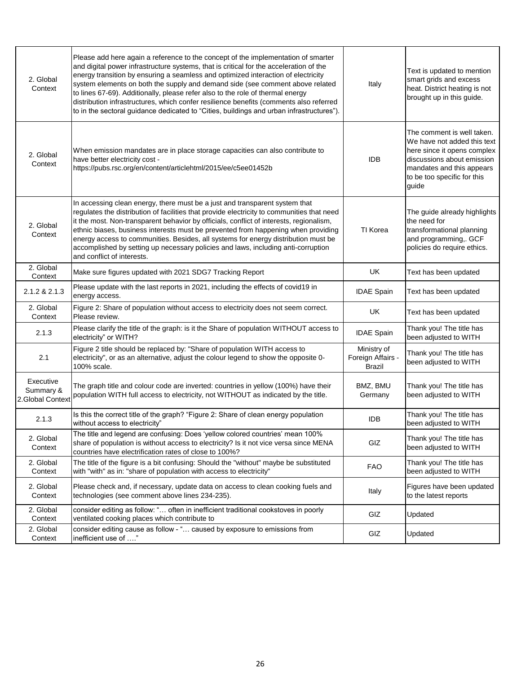| 2. Global<br>Context                       | Please add here again a reference to the concept of the implementation of smarter<br>and digital power infrastructure systems, that is critical for the acceleration of the<br>energy transition by ensuring a seamless and optimized interaction of electricity<br>system elements on both the supply and demand side (see comment above related<br>to lines 67-69). Additionally, please refer also to the role of thermal energy<br>distribution infrastructures, which confer resilience benefits (comments also referred<br>to in the sectoral guidance dedicated to "Cities, buildings and urban infrastructures"). | Italy                                      | Text is updated to mention<br>smart grids and excess<br>heat. District heating is not<br>brought up in this guide.                                                                          |
|--------------------------------------------|---------------------------------------------------------------------------------------------------------------------------------------------------------------------------------------------------------------------------------------------------------------------------------------------------------------------------------------------------------------------------------------------------------------------------------------------------------------------------------------------------------------------------------------------------------------------------------------------------------------------------|--------------------------------------------|---------------------------------------------------------------------------------------------------------------------------------------------------------------------------------------------|
| 2. Global<br>Context                       | When emission mandates are in place storage capacities can also contribute to<br>have better electricity cost -<br>https://pubs.rsc.org/en/content/articlehtml/2015/ee/c5ee01452b                                                                                                                                                                                                                                                                                                                                                                                                                                         | <b>IDB</b>                                 | The comment is well taken.<br>We have not added this text<br>here since it opens complex<br>discussions about emission<br>mandates and this appears<br>to be too specific for this<br>guide |
| 2. Global<br>Context                       | In accessing clean energy, there must be a just and transparent system that<br>regulates the distribution of facilities that provide electricity to communities that need<br>it the most. Non-transparent behavior by officials, conflict of interests, regionalism,<br>ethnic biases, business interests must be prevented from happening when providing<br>energy access to communities. Besides, all systems for energy distribution must be<br>accomplished by setting up necessary policies and laws, including anti-corruption<br>and conflict of interests.                                                        | TI Korea                                   | The guide already highlights<br>the need for<br>transformational planning<br>and programming,. GCF<br>policies do require ethics.                                                           |
| 2. Global<br>Context                       | Make sure figures updated with 2021 SDG7 Tracking Report                                                                                                                                                                                                                                                                                                                                                                                                                                                                                                                                                                  | UK                                         | Text has been updated                                                                                                                                                                       |
| 2.1.2 & 2.1.3                              | Please update with the last reports in 2021, including the effects of covid19 in<br>energy access.                                                                                                                                                                                                                                                                                                                                                                                                                                                                                                                        | <b>IDAE Spain</b>                          | Text has been updated                                                                                                                                                                       |
| 2. Global<br>Context                       | Figure 2: Share of population without access to electricity does not seem correct.<br>Please review.                                                                                                                                                                                                                                                                                                                                                                                                                                                                                                                      | UK                                         | Text has been updated                                                                                                                                                                       |
| 2.1.3                                      | Please clarify the title of the graph: is it the Share of population WITHOUT access to<br>electricity" or WITH?                                                                                                                                                                                                                                                                                                                                                                                                                                                                                                           | <b>IDAE Spain</b>                          | Thank you! The title has<br>been adjusted to WITH                                                                                                                                           |
| 2.1                                        | Figure 2 title should be replaced by: "Share of population WITH access to<br>electricity", or as an alternative, adjust the colour legend to show the opposite 0-<br>100% scale.                                                                                                                                                                                                                                                                                                                                                                                                                                          | Ministry of<br>Foreign Affairs -<br>Brazil | Thank you! The title has<br>been adjusted to WITH                                                                                                                                           |
| Executive<br>Summary &<br>2.Global Context | The graph title and colour code are inverted: countries in yellow (100%) have their<br>population WITH full access to electricity, not WITHOUT as indicated by the title.                                                                                                                                                                                                                                                                                                                                                                                                                                                 | BMZ, BMU<br>Germany                        | Thank you! The title has<br>been adjusted to WITH                                                                                                                                           |
| 2.1.3                                      | Is this the correct title of the graph? "Figure 2: Share of clean energy population<br>without access to electricity"                                                                                                                                                                                                                                                                                                                                                                                                                                                                                                     | <b>IDB</b>                                 | Thank you! The title has<br>been adjusted to WITH                                                                                                                                           |
| 2. Global<br>Context                       | The title and legend are confusing: Does 'yellow colored countries' mean 100%<br>share of population is without access to electricity? Is it not vice versa since MENA<br>countries have electrification rates of close to 100%?                                                                                                                                                                                                                                                                                                                                                                                          | GIZ                                        | Thank you! The title has<br>been adjusted to WITH                                                                                                                                           |
| 2. Global<br>Context                       | The title of the figure is a bit confusing: Should the "without" maybe be substituted<br>with "with" as in: "share of population with access to electricity"                                                                                                                                                                                                                                                                                                                                                                                                                                                              | <b>FAO</b>                                 | Thank you! The title has<br>been adjusted to WITH                                                                                                                                           |
| 2. Global<br>Context                       | Please check and, if necessary, update data on access to clean cooking fuels and<br>technologies (see comment above lines 234-235).                                                                                                                                                                                                                                                                                                                                                                                                                                                                                       | Italy                                      | Figures have been updated<br>to the latest reports                                                                                                                                          |
| 2. Global<br>Context                       | consider editing as follow: " often in inefficient traditional cookstoves in poorly<br>ventilated cooking places which contribute to                                                                                                                                                                                                                                                                                                                                                                                                                                                                                      | GIZ                                        | Updated                                                                                                                                                                                     |
| 2. Global<br>Context                       | consider editing cause as follow - " caused by exposure to emissions from<br>inefficient use of "                                                                                                                                                                                                                                                                                                                                                                                                                                                                                                                         | GIZ                                        | Updated                                                                                                                                                                                     |
|                                            |                                                                                                                                                                                                                                                                                                                                                                                                                                                                                                                                                                                                                           |                                            |                                                                                                                                                                                             |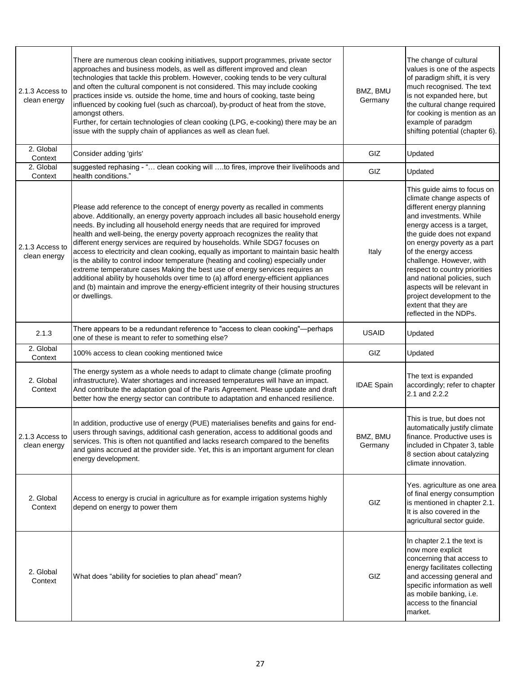| 2.1.3 Access to<br>clean energy | There are numerous clean cooking initiatives, support programmes, private sector<br>approaches and business models, as well as different improved and clean<br>technologies that tackle this problem. However, cooking tends to be very cultural<br>and often the cultural component is not considered. This may include cooking<br>practices inside vs. outside the home, time and hours of cooking, taste being<br>influenced by cooking fuel (such as charcoal), by-product of heat from the stove,<br>amongst others.<br>Further, for certain technologies of clean cooking (LPG, e-cooking) there may be an<br>issue with the supply chain of appliances as well as clean fuel.                                                                                                                                                                                                        | BMZ, BMU<br>Germany | The change of cultural<br>values is one of the aspects<br>of paradigm shift, it is very<br>much recognised. The text<br>is not expanded here, but<br>the cultural change required<br>for cooking is mention as an<br>example of paradgm<br>shifting potential (chapter 6).                                                                                                                                                                   |
|---------------------------------|---------------------------------------------------------------------------------------------------------------------------------------------------------------------------------------------------------------------------------------------------------------------------------------------------------------------------------------------------------------------------------------------------------------------------------------------------------------------------------------------------------------------------------------------------------------------------------------------------------------------------------------------------------------------------------------------------------------------------------------------------------------------------------------------------------------------------------------------------------------------------------------------|---------------------|----------------------------------------------------------------------------------------------------------------------------------------------------------------------------------------------------------------------------------------------------------------------------------------------------------------------------------------------------------------------------------------------------------------------------------------------|
| 2. Global<br>Context            | Consider adding 'girls'                                                                                                                                                                                                                                                                                                                                                                                                                                                                                                                                                                                                                                                                                                                                                                                                                                                                     | GIZ                 | Updated                                                                                                                                                                                                                                                                                                                                                                                                                                      |
| 2. Global<br>Context            | suggested rephasing - " clean cooking will to fires, improve their livelihoods and<br>health conditions."                                                                                                                                                                                                                                                                                                                                                                                                                                                                                                                                                                                                                                                                                                                                                                                   | GIZ                 | Updated                                                                                                                                                                                                                                                                                                                                                                                                                                      |
| 2.1.3 Access to<br>clean energy | Please add reference to the concept of energy poverty as recalled in comments<br>above. Additionally, an energy poverty approach includes all basic household energy<br>needs. By including all household energy needs that are required for improved<br>health and well-being, the energy poverty approach recognizes the reality that<br>different energy services are required by households. While SDG7 focuses on<br>access to electricity and clean cooking, equally as important to maintain basic health<br>is the ability to control indoor temperature (heating and cooling) especially under<br>extreme temperature cases Making the best use of energy services requires an<br>additional ability by households over time to (a) afford energy-efficient appliances<br>and (b) maintain and improve the energy-efficient integrity of their housing structures<br>or dwellings. | Italy               | This guide aims to focus on<br>climate change aspects of<br>different energy planning<br>and investments. While<br>energy access is a target,<br>the guide does not expand<br>on energy poverty as a part<br>of the energy access<br>challenge. However, with<br>respect to country priorities<br>and national policies, such<br>aspects will be relevant in<br>project development to the<br>extent that they are<br>reflected in the NDPs. |
| 2.1.3                           | There appears to be a redundant reference to "access to clean cooking"-perhaps<br>one of these is meant to refer to something else?                                                                                                                                                                                                                                                                                                                                                                                                                                                                                                                                                                                                                                                                                                                                                         | <b>USAID</b>        | Updated                                                                                                                                                                                                                                                                                                                                                                                                                                      |
| 2. Global<br>Context            | 100% access to clean cooking mentioned twice                                                                                                                                                                                                                                                                                                                                                                                                                                                                                                                                                                                                                                                                                                                                                                                                                                                | GIZ                 | Updated                                                                                                                                                                                                                                                                                                                                                                                                                                      |
| 2. Global<br>Context            | The energy system as a whole needs to adapt to climate change (climate proofing<br>infrastructure). Water shortages and increased temperatures will have an impact.<br>And contribute the adaptation goal of the Paris Agreement. Please update and draft<br>better how the energy sector can contribute to adaptation and enhanced resilience.                                                                                                                                                                                                                                                                                                                                                                                                                                                                                                                                             | <b>IDAE Spain</b>   | The text is expanded<br>accordingly; refer to chapter<br>2.1 and 2.2.2                                                                                                                                                                                                                                                                                                                                                                       |
| 2.1.3 Access to<br>clean energy | In addition, productive use of energy (PUE) materialises benefits and gains for end-<br>users through savings, additional cash generation, access to additional goods and<br>services. This is often not quantified and lacks research compared to the benefits<br>and gains accrued at the provider side. Yet, this is an important argument for clean<br>energy development.                                                                                                                                                                                                                                                                                                                                                                                                                                                                                                              | BMZ, BMU<br>Germany | This is true, but does not<br>automatically justify climate<br>finance. Productive uses is<br>included in Chpater 3, table<br>8 section about catalyzing<br>climate innovation.                                                                                                                                                                                                                                                              |
| 2. Global<br>Context            | Access to energy is crucial in agriculture as for example irrigation systems highly<br>depend on energy to power them                                                                                                                                                                                                                                                                                                                                                                                                                                                                                                                                                                                                                                                                                                                                                                       | GIZ                 | Yes. agriculture as one area<br>of final energy consumption<br>is mentioned in chapter 2.1.<br>It is also covered in the<br>agricultural sector guide.                                                                                                                                                                                                                                                                                       |
| 2. Global<br>Context            | What does "ability for societies to plan ahead" mean?                                                                                                                                                                                                                                                                                                                                                                                                                                                                                                                                                                                                                                                                                                                                                                                                                                       | GIZ                 | In chapter 2.1 the text is<br>now more explicit<br>concerning that access to<br>energy facilitates collecting<br>and accessing general and<br>specific information as well<br>as mobile banking, i.e.<br>access to the financial<br>market.                                                                                                                                                                                                  |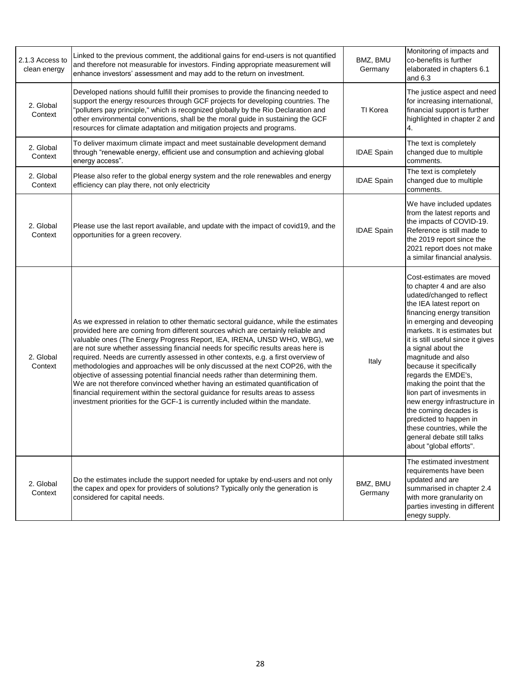| 2.1.3 Access to<br>clean energy | Linked to the previous comment, the additional gains for end-users is not quantified<br>and therefore not measurable for investors. Finding appropriate measurement will<br>enhance investors' assessment and may add to the return on investment.                                                                                                                                                                                                                                                                                                                                                                                                                                                                                                                                                                                                       | BMZ, BMU<br>Germany | Monitoring of impacts and<br>co-benefits is further<br>elaborated in chapters 6.1<br>and $6.3$                                                                                                                                                                                                                                                                                                                                                                                                                                                                                     |
|---------------------------------|----------------------------------------------------------------------------------------------------------------------------------------------------------------------------------------------------------------------------------------------------------------------------------------------------------------------------------------------------------------------------------------------------------------------------------------------------------------------------------------------------------------------------------------------------------------------------------------------------------------------------------------------------------------------------------------------------------------------------------------------------------------------------------------------------------------------------------------------------------|---------------------|------------------------------------------------------------------------------------------------------------------------------------------------------------------------------------------------------------------------------------------------------------------------------------------------------------------------------------------------------------------------------------------------------------------------------------------------------------------------------------------------------------------------------------------------------------------------------------|
| 2. Global<br>Context            | Developed nations should fulfill their promises to provide the financing needed to<br>support the energy resources through GCF projects for developing countries. The<br>'polluters pay principle," which is recognized globally by the Rio Declaration and<br>other environmental conventions, shall be the moral guide in sustaining the GCF<br>resources for climate adaptation and mitigation projects and programs.                                                                                                                                                                                                                                                                                                                                                                                                                                 | TI Korea            | The justice aspect and need<br>for increasing international,<br>financial support is further<br>highlighted in chapter 2 and<br>4.                                                                                                                                                                                                                                                                                                                                                                                                                                                 |
| 2. Global<br>Context            | To deliver maximum climate impact and meet sustainable development demand<br>through "renewable energy, efficient use and consumption and achieving global<br>energy access".                                                                                                                                                                                                                                                                                                                                                                                                                                                                                                                                                                                                                                                                            | <b>IDAE Spain</b>   | The text is completely<br>changed due to multiple<br>comments.                                                                                                                                                                                                                                                                                                                                                                                                                                                                                                                     |
| 2. Global<br>Context            | Please also refer to the global energy system and the role renewables and energy<br>efficiency can play there, not only electricity                                                                                                                                                                                                                                                                                                                                                                                                                                                                                                                                                                                                                                                                                                                      | <b>IDAE Spain</b>   | The text is completely<br>changed due to multiple<br>comments.                                                                                                                                                                                                                                                                                                                                                                                                                                                                                                                     |
| 2. Global<br>Context            | Please use the last report available, and update with the impact of covid19, and the<br>opportunities for a green recovery.                                                                                                                                                                                                                                                                                                                                                                                                                                                                                                                                                                                                                                                                                                                              | <b>IDAE Spain</b>   | We have included updates<br>from the latest reports and<br>the impacts of COVID-19.<br>Reference is still made to<br>the 2019 report since the<br>2021 report does not make<br>a similar financial analysis.                                                                                                                                                                                                                                                                                                                                                                       |
| 2. Global<br>Context            | As we expressed in relation to other thematic sectoral guidance, while the estimates<br>provided here are coming from different sources which are certainly reliable and<br>valuable ones (The Energy Progress Report, IEA, IRENA, UNSD WHO, WBG), we<br>are not sure whether assessing financial needs for specific results areas here is<br>required. Needs are currently assessed in other contexts, e.g. a first overview of<br>methodologies and approaches will be only discussed at the next COP26, with the<br>objective of assessing potential financial needs rather than determining them.<br>We are not therefore convinced whether having an estimated quantification of<br>financial requirement within the sectoral guidance for results areas to assess<br>investment priorities for the GCF-1 is currently included within the mandate. | Italy               | Cost-estimates are moved<br>to chapter 4 and are also<br>udated/changed to reflect<br>the IEA latest report on<br>financing energy transition<br>in emerging and deveoping<br>markets. It is estimates but<br>it is still useful since it gives<br>a signal about the<br>magnitude and also<br>because it specifically<br>regards the EMDE's,<br>making the point that the<br>lion part of invesments in<br>new energy infrastructure in<br>the coming decades is<br>predicted to happen in<br>these countries, while the<br>general debate still talks<br>about "global efforts". |
| 2. Global<br>Context            | Do the estimates include the support needed for uptake by end-users and not only<br>the capex and opex for providers of solutions? Typically only the generation is<br>considered for capital needs.                                                                                                                                                                                                                                                                                                                                                                                                                                                                                                                                                                                                                                                     | BMZ, BMU<br>Germany | The estimated investment<br>requirements have been<br>updated and are<br>summarised in chapter 2.4<br>with more granularity on<br>parties investing in different<br>enegy supply.                                                                                                                                                                                                                                                                                                                                                                                                  |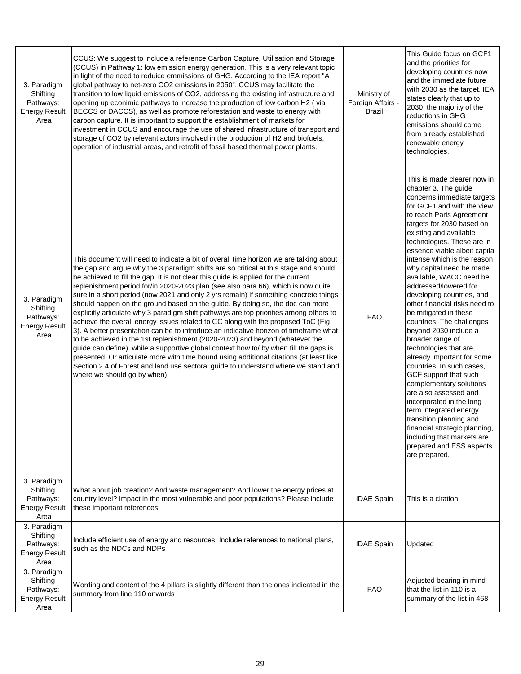| 3. Paradigm<br>Shifting<br>Pathways:<br><b>Energy Result</b><br>Area | CCUS: We suggest to include a reference Carbon Capture, Utilisation and Storage<br>(CCUS) in Pathway 1: low emission energy generation. This is a very relevant topic<br>in light of the need to reduice emmissions of GHG. According to the IEA report "A<br>global pathway to net-zero CO2 emissions in 2050", CCUS may facilitate the<br>transition to low liquid emissions of CO2, addressing the existing infrastructure and<br>opening up econimic pathways to increase the production of low carbon H2 (via<br>BECCS or DACCS), as well as promote reforestation and waste to energy with<br>carbon capture. It is important to support the establishment of markets for<br>investment in CCUS and encourage the use of shared infrastructure of transport and<br>storage of CO2 by relevant actors involved in the production of H2 and biofuels,<br>operation of industrial areas, and retrofit of fossil based thermal power plants.                                                                                                                                                                                                                                                       | Ministry of<br>Foreign Affairs -<br>Brazil | This Guide focus on GCF1<br>and the priorities for<br>developing countries now<br>and the immediate future<br>with 2030 as the target. IEA<br>states clearly that up to<br>2030, the majority of the<br>reductions in GHG<br>emissions should come<br>from already established<br>renewable energy<br>technologies.                                                                                                                                                                                                                                                                                                                                                                                                                                                                                                                                                                                             |
|----------------------------------------------------------------------|------------------------------------------------------------------------------------------------------------------------------------------------------------------------------------------------------------------------------------------------------------------------------------------------------------------------------------------------------------------------------------------------------------------------------------------------------------------------------------------------------------------------------------------------------------------------------------------------------------------------------------------------------------------------------------------------------------------------------------------------------------------------------------------------------------------------------------------------------------------------------------------------------------------------------------------------------------------------------------------------------------------------------------------------------------------------------------------------------------------------------------------------------------------------------------------------------|--------------------------------------------|-----------------------------------------------------------------------------------------------------------------------------------------------------------------------------------------------------------------------------------------------------------------------------------------------------------------------------------------------------------------------------------------------------------------------------------------------------------------------------------------------------------------------------------------------------------------------------------------------------------------------------------------------------------------------------------------------------------------------------------------------------------------------------------------------------------------------------------------------------------------------------------------------------------------|
| 3. Paradigm<br>Shifting<br>Pathways:<br><b>Energy Result</b><br>Area | This document will need to indicate a bit of overall time horizon we are talking about<br>the gap and argue why the 3 paradigm shifts are so critical at this stage and should<br>be achieved to fill the gap. it is not clear this guide is applied for the current<br>replenishment period for/in 2020-2023 plan (see also para 66), which is now quite<br>sure in a short period (now 2021 and only 2 yrs remain) if something concrete things<br>should happen on the ground based on the guide. By doing so, the doc can more<br>explicitly articulate why 3 paradigm shift pathways are top priorities among others to<br>achieve the overall energy issues related to CC along with the proposed ToC (Fig.<br>3). A better presentation can be to introduce an indicative horizon of timeframe what<br>to be achieved in the 1st replenishment (2020-2023) and beyond (whatever the<br>guide can define), while a supportive global context how to/ by when fill the gaps is<br>presented. Or articulate more with time bound using additional citations (at least like<br>Section 2.4 of Forest and land use sectoral guide to understand where we stand and<br>where we should go by when). | <b>FAO</b>                                 | This is made clearer now in<br>chapter 3. The guide<br>concerns immediate targets<br>for GCF1 and with the view<br>to reach Paris Agreement<br>targets for 2030 based on<br>existing and available<br>technologies. These are in<br>essence viable albeit capital<br>intense which is the reason<br>why capital need be made<br>available, WACC need be<br>addressed/lowered for<br>developing countries, and<br>other financial risks need to<br>be mitigated in these<br>countries. The challenges<br>beyond 2030 include a<br>broader range of<br>technologies that are<br>already important for some<br>countries. In such cases,<br>GCF support that such<br>complementary solutions<br>are also assessed and<br>incorporated in the long<br>term integrated energy<br>transition planning and<br>financial strategic planning,<br>including that markets are<br>prepared and ESS aspects<br>are prepared. |
| 3. Paradigm<br>Shifting<br>Pathways:<br><b>Energy Result</b><br>Area | What about job creation? And waste management? And lower the energy prices at<br>country level? Impact in the most vulnerable and poor populations? Please include<br>these important references.                                                                                                                                                                                                                                                                                                                                                                                                                                                                                                                                                                                                                                                                                                                                                                                                                                                                                                                                                                                                    | <b>IDAE Spain</b>                          | This is a citation                                                                                                                                                                                                                                                                                                                                                                                                                                                                                                                                                                                                                                                                                                                                                                                                                                                                                              |
| 3. Paradigm<br>Shifting<br>Pathways:<br><b>Energy Result</b><br>Area | Include efficient use of energy and resources. Include references to national plans,<br>such as the NDCs and NDPs                                                                                                                                                                                                                                                                                                                                                                                                                                                                                                                                                                                                                                                                                                                                                                                                                                                                                                                                                                                                                                                                                    | <b>IDAE Spain</b>                          | Updated                                                                                                                                                                                                                                                                                                                                                                                                                                                                                                                                                                                                                                                                                                                                                                                                                                                                                                         |
| 3. Paradigm<br>Shifting<br>Pathways:<br><b>Energy Result</b><br>Area | Wording and content of the 4 pillars is slightly different than the ones indicated in the<br>summary from line 110 onwards                                                                                                                                                                                                                                                                                                                                                                                                                                                                                                                                                                                                                                                                                                                                                                                                                                                                                                                                                                                                                                                                           | <b>FAO</b>                                 | Adjusted bearing in mind<br>that the list in 110 is a<br>summary of the list in 468                                                                                                                                                                                                                                                                                                                                                                                                                                                                                                                                                                                                                                                                                                                                                                                                                             |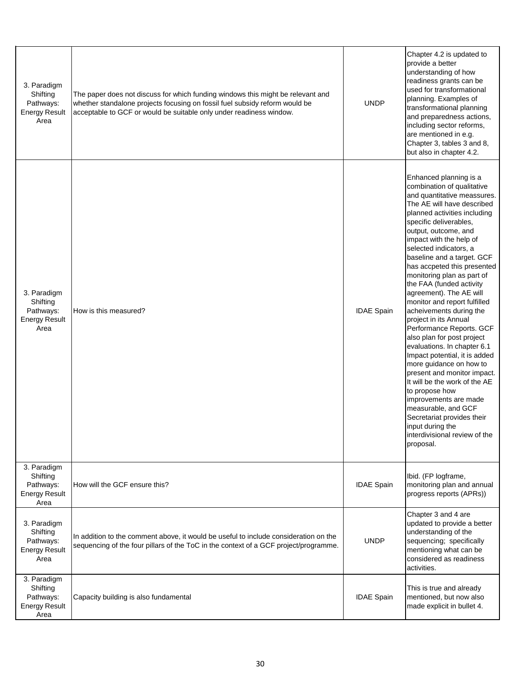| 3. Paradigm<br>Shifting<br>Pathways:<br><b>Energy Result</b><br>Area | The paper does not discuss for which funding windows this might be relevant and<br>whether standalone projects focusing on fossil fuel subsidy reform would be<br>acceptable to GCF or would be suitable only under readiness window. | <b>UNDP</b>       | Chapter 4.2 is updated to<br>provide a better<br>understanding of how<br>readiness grants can be<br>used for transformational<br>planning. Examples of<br>transformational planning<br>and preparedness actions,<br>including sector reforms,<br>are mentioned in e.g.<br>Chapter 3, tables 3 and 8,<br>but also in chapter 4.2.                                                                                                                                                                                                                                                                                                                                                                                                                                                                                                                                                      |
|----------------------------------------------------------------------|---------------------------------------------------------------------------------------------------------------------------------------------------------------------------------------------------------------------------------------|-------------------|---------------------------------------------------------------------------------------------------------------------------------------------------------------------------------------------------------------------------------------------------------------------------------------------------------------------------------------------------------------------------------------------------------------------------------------------------------------------------------------------------------------------------------------------------------------------------------------------------------------------------------------------------------------------------------------------------------------------------------------------------------------------------------------------------------------------------------------------------------------------------------------|
| 3. Paradigm<br>Shifting<br>Pathways:<br><b>Energy Result</b><br>Area | How is this measured?                                                                                                                                                                                                                 | <b>IDAE Spain</b> | Enhanced planning is a<br>combination of qualitative<br>and quantitative meassures.<br>The AE will have described<br>planned activities including<br>specific deliverables,<br>output, outcome, and<br>impact with the help of<br>selected indicators, a<br>baseline and a target. GCF<br>has accpeted this presented<br>monitoring plan as part of<br>the FAA (funded activity<br>agreement). The AE will<br>monitor and report fulfilled<br>acheivements during the<br>project in its Annual<br>Performance Reports. GCF<br>also plan for post project<br>evaluations. In chapter 6.1<br>Impact potential, it is added<br>more guidance on how to<br>present and monitor impact.<br>It will be the work of the AE<br>to propose how<br>improvements are made<br>measurable, and GCF<br>Secretariat provides their<br>input during the<br>interdivisional review of the<br>proposal. |
| 3. Paradigm<br>Shifting<br>Pathways:<br><b>Energy Result</b><br>Area | How will the GCF ensure this?                                                                                                                                                                                                         | <b>IDAE Spain</b> | Ibid. (FP logframe,<br>monitoring plan and annual<br>progress reports (APRs))                                                                                                                                                                                                                                                                                                                                                                                                                                                                                                                                                                                                                                                                                                                                                                                                         |
| 3. Paradigm<br>Shifting<br>Pathways:<br><b>Energy Result</b><br>Area | In addition to the comment above, it would be useful to include consideration on the<br>sequencing of the four pillars of the ToC in the context of a GCF project/programme.                                                          | <b>UNDP</b>       | Chapter 3 and 4 are<br>updated to provide a better<br>understanding of the<br>sequencing; specifically<br>mentioning what can be<br>considered as readiness<br>activities.                                                                                                                                                                                                                                                                                                                                                                                                                                                                                                                                                                                                                                                                                                            |
| 3. Paradigm<br>Shifting<br>Pathways:<br><b>Energy Result</b><br>Area | Capacity building is also fundamental                                                                                                                                                                                                 | <b>IDAE Spain</b> | This is true and already<br>mentioned, but now also<br>made explicit in bullet 4.                                                                                                                                                                                                                                                                                                                                                                                                                                                                                                                                                                                                                                                                                                                                                                                                     |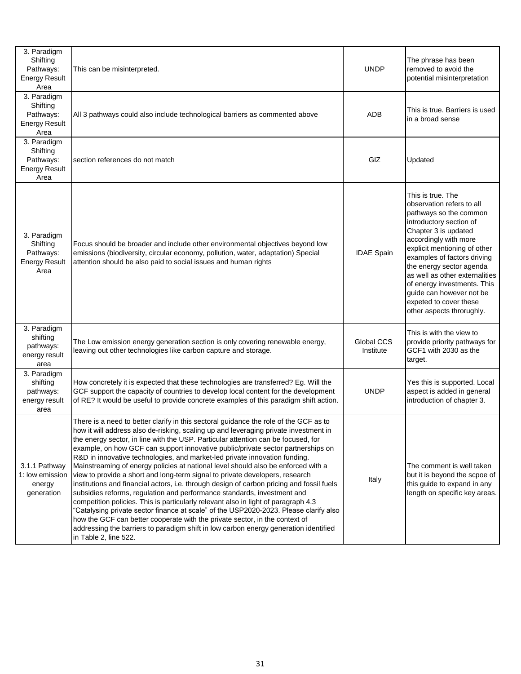| 3. Paradigm<br>Shifting<br>Pathways:<br><b>Energy Result</b><br>Area | This can be misinterpreted.                                                                                                                                                                                                                                                                                                                                                                                                                                                                                                                                                                                                                                                                                                                                                                                                                                                                                                                                                                                                                                                                                                                                      | <b>UNDP</b>             | The phrase has been<br>removed to avoid the<br>potential misinterpretation                                                                                                                                                                                                                                                                                                                          |
|----------------------------------------------------------------------|------------------------------------------------------------------------------------------------------------------------------------------------------------------------------------------------------------------------------------------------------------------------------------------------------------------------------------------------------------------------------------------------------------------------------------------------------------------------------------------------------------------------------------------------------------------------------------------------------------------------------------------------------------------------------------------------------------------------------------------------------------------------------------------------------------------------------------------------------------------------------------------------------------------------------------------------------------------------------------------------------------------------------------------------------------------------------------------------------------------------------------------------------------------|-------------------------|-----------------------------------------------------------------------------------------------------------------------------------------------------------------------------------------------------------------------------------------------------------------------------------------------------------------------------------------------------------------------------------------------------|
| 3. Paradigm<br>Shifting<br>Pathways:<br><b>Energy Result</b><br>Area | All 3 pathways could also include technological barriers as commented above                                                                                                                                                                                                                                                                                                                                                                                                                                                                                                                                                                                                                                                                                                                                                                                                                                                                                                                                                                                                                                                                                      | <b>ADB</b>              | This is true. Barriers is used<br>in a broad sense                                                                                                                                                                                                                                                                                                                                                  |
| 3. Paradigm<br>Shifting<br>Pathways:<br><b>Energy Result</b><br>Area | section references do not match                                                                                                                                                                                                                                                                                                                                                                                                                                                                                                                                                                                                                                                                                                                                                                                                                                                                                                                                                                                                                                                                                                                                  | GIZ                     | Updated                                                                                                                                                                                                                                                                                                                                                                                             |
| 3. Paradigm<br>Shifting<br>Pathways:<br><b>Energy Result</b><br>Area | Focus should be broader and include other environmental objectives beyond low<br>emissions (biodiversity, circular economy, pollution, water, adaptation) Special<br>attention should be also paid to social issues and human rights                                                                                                                                                                                                                                                                                                                                                                                                                                                                                                                                                                                                                                                                                                                                                                                                                                                                                                                             | <b>IDAE Spain</b>       | This is true. The<br>observation refers to all<br>pathways so the common<br>introductory section of<br>Chapter 3 is updated<br>accordingly with more<br>explicit mentioning of other<br>examples of factors driving<br>the energy sector agenda<br>as well as other externalities<br>of energy investments. This<br>guide can however not be<br>expeted to cover these<br>other aspects throrughly. |
| 3. Paradigm<br>shifting<br>pathways:<br>energy result<br>area        | The Low emission energy generation section is only covering renewable energy,<br>leaving out other technologies like carbon capture and storage.                                                                                                                                                                                                                                                                                                                                                                                                                                                                                                                                                                                                                                                                                                                                                                                                                                                                                                                                                                                                                 | Global CCS<br>Institute | This is with the view to<br>provide priority pathways for<br>GCF1 with 2030 as the<br>target.                                                                                                                                                                                                                                                                                                       |
| 3. Paradigm<br>shifting<br>pathways:<br>energy result<br>area        | How concretely it is expected that these technologies are transferred? Eg. Will the<br>GCF support the capacity of countries to develop local content for the development<br>of RE? It would be useful to provide concrete examples of this paradigm shift action.                                                                                                                                                                                                                                                                                                                                                                                                                                                                                                                                                                                                                                                                                                                                                                                                                                                                                               | <b>UNDP</b>             | Yes this is supported. Local<br>aspect is added in general<br>introduction of chapter 3.                                                                                                                                                                                                                                                                                                            |
| 3.1.1 Pathway<br>1: low emission<br>energy<br>generation             | There is a need to better clarify in this sectoral guidance the role of the GCF as to<br>how it will address also de-risking, scaling up and leveraging private investment in<br>the energy sector, in line with the USP. Particular attention can be focused, for<br>example, on how GCF can support innovative public/private sector partnerships on<br>R&D in innovative technologies, and market-led private innovation funding.<br>Mainstreaming of energy policies at national level should also be enforced with a<br>view to provide a short and long-term signal to private developers, research<br>institutions and financial actors, i.e. through design of carbon pricing and fossil fuels<br>subsidies reforms, regulation and performance standards, investment and<br>competition policies. This is particularly relevant also in light of paragraph 4.3<br>'Catalysing private sector finance at scale" of the USP2020-2023. Please clarify also<br>how the GCF can better cooperate with the private sector, in the context of<br>addressing the barriers to paradigm shift in low carbon energy generation identified<br>in Table 2, line 522. | Italy                   | The comment is well taken<br>but it is beyond the scpoe of<br>this guide to expand in any<br>length on specific key areas.                                                                                                                                                                                                                                                                          |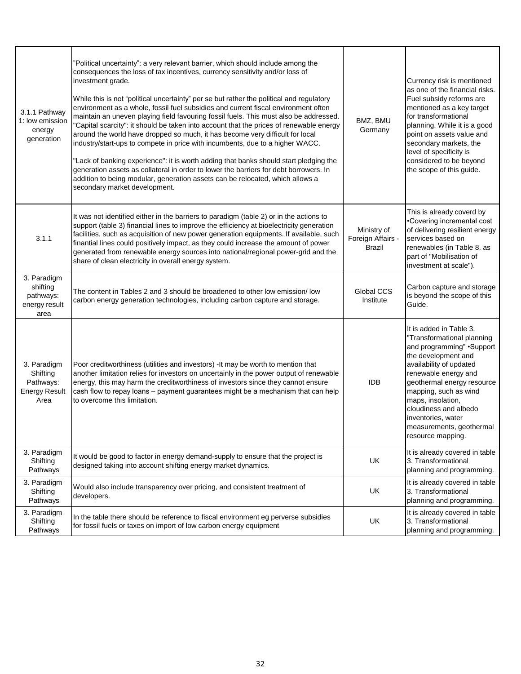| 3.1.1 Pathway<br>1: low emission<br>energy<br>generation             | "Political uncertainty": a very relevant barrier, which should include among the<br>consequences the loss of tax incentives, currency sensitivity and/or loss of<br>investment grade.<br>While this is not "political uncertainty" per se but rather the political and regulatory<br>environment as a whole, fossil fuel subsidies and current fiscal environment often<br>maintain an uneven playing field favouring fossil fuels. This must also be addressed.<br>"Capital scarcity": it should be taken into account that the prices of renewable energy<br>around the world have dropped so much, it has become very difficult for local<br>industry/start-ups to compete in price with incumbents, due to a higher WACC.<br>"Lack of banking experience": it is worth adding that banks should start pledging the<br>generation assets as collateral in order to lower the barriers for debt borrowers. In<br>addition to being modular, generation assets can be relocated, which allows a<br>secondary market development. | BMZ, BMU<br>Germany                        | Currency risk is mentioned<br>as one of the financial risks.<br>Fuel subsidy reforms are<br>mentioned as a key target<br>for transformational<br>planning. While it is a good<br>point on assets value and<br>secondary markets, the<br>level of specificity is<br>considered to be beyond<br>the scope of this guide.                    |
|----------------------------------------------------------------------|-----------------------------------------------------------------------------------------------------------------------------------------------------------------------------------------------------------------------------------------------------------------------------------------------------------------------------------------------------------------------------------------------------------------------------------------------------------------------------------------------------------------------------------------------------------------------------------------------------------------------------------------------------------------------------------------------------------------------------------------------------------------------------------------------------------------------------------------------------------------------------------------------------------------------------------------------------------------------------------------------------------------------------------|--------------------------------------------|-------------------------------------------------------------------------------------------------------------------------------------------------------------------------------------------------------------------------------------------------------------------------------------------------------------------------------------------|
| 3.1.1                                                                | It was not identified either in the barriers to paradigm (table 2) or in the actions to<br>support (table 3) financial lines to improve the efficiency at bioelectricity generation<br>facilities, such as acquisition of new power generation equipments. If available, such<br>finantial lines could positively impact, as they could increase the amount of power<br>generated from renewable energy sources into national/regional power-grid and the<br>share of clean electricity in overall energy system.                                                                                                                                                                                                                                                                                                                                                                                                                                                                                                                 | Ministry of<br>Foreign Affairs -<br>Brazil | This is already coverd by<br>•Covering incremental cost<br>of delivering resilient energy<br>services based on<br>renewables (in Table 8. as<br>part of "Mobilisation of<br>investment at scale").                                                                                                                                        |
| 3. Paradigm<br>shifting<br>pathways:<br>energy result<br>area        | The content in Tables 2 and 3 should be broadened to other low emission/low<br>carbon energy generation technologies, including carbon capture and storage.                                                                                                                                                                                                                                                                                                                                                                                                                                                                                                                                                                                                                                                                                                                                                                                                                                                                       | Global CCS<br>Institute                    | Carbon capture and storage<br>is beyond the scope of this<br>Guide.                                                                                                                                                                                                                                                                       |
| 3. Paradigm<br>Shifting<br>Pathways:<br><b>Energy Result</b><br>Area | Poor creditworthiness (utilities and investors) - It may be worth to mention that<br>another limitation relies for investors on uncertainly in the power output of renewable<br>energy, this may harm the creditworthiness of investors since they cannot ensure<br>cash flow to repay loans - payment guarantees might be a mechanism that can help<br>to overcome this limitation.                                                                                                                                                                                                                                                                                                                                                                                                                                                                                                                                                                                                                                              | <b>IDB</b>                                 | It is added in Table 3.<br>"Transformational planning<br>and programming" . Support<br>the development and<br>availability of updated<br>renewable energy and<br>geothermal energy resource<br>mapping, such as wind<br>maps, insolation,<br>cloudiness and albedo<br>inventories, water<br>measurements, geothermal<br>resource mapping. |
| 3. Paradigm<br>Shifting<br>Pathways                                  | It would be good to factor in energy demand-supply to ensure that the project is<br>designed taking into account shifting energy market dynamics.                                                                                                                                                                                                                                                                                                                                                                                                                                                                                                                                                                                                                                                                                                                                                                                                                                                                                 | UK                                         | It is already covered in table<br>3. Transformational<br>planning and programming.                                                                                                                                                                                                                                                        |
| 3. Paradigm<br>Shifting<br>Pathways                                  | Would also include transparency over pricing, and consistent treatment of<br>developers.                                                                                                                                                                                                                                                                                                                                                                                                                                                                                                                                                                                                                                                                                                                                                                                                                                                                                                                                          | UK                                         | It is already covered in table<br>3. Transformational<br>planning and programming.                                                                                                                                                                                                                                                        |
| 3. Paradigm<br>Shifting<br>Pathways                                  | In the table there should be reference to fiscal environment eg perverse subsidies<br>for fossil fuels or taxes on import of low carbon energy equipment                                                                                                                                                                                                                                                                                                                                                                                                                                                                                                                                                                                                                                                                                                                                                                                                                                                                          | UK                                         | It is already covered in table<br>3. Transformational<br>planning and programming.                                                                                                                                                                                                                                                        |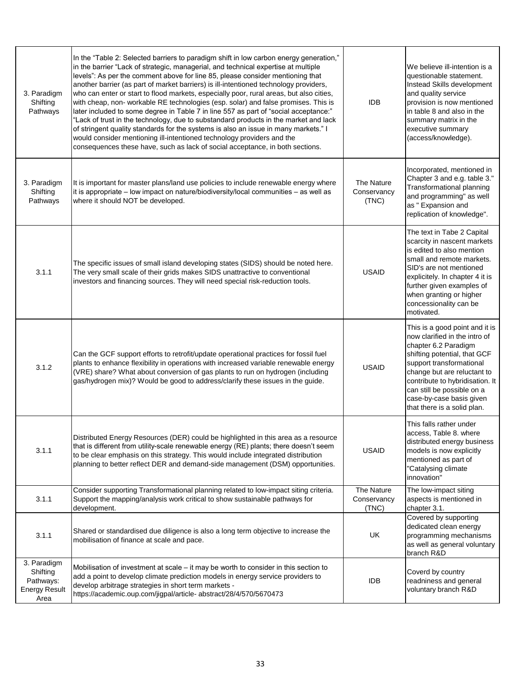| 3. Paradigm<br>Shifting<br>Pathways                                  | In the "Table 2: Selected barriers to paradigm shift in low carbon energy generation,"<br>in the barrier "Lack of strategic, managerial, and technical expertise at multiple<br>levels": As per the comment above for line 85, please consider mentioning that<br>another barrier (as part of market barriers) is ill-intentioned technology providers,<br>who can enter or start to flood markets, especially poor, rural areas, but also cities,<br>with cheap, non- workable RE technologies (esp. solar) and false promises. This is<br>later included to some degree in Table 7 in line 557 as part of "social acceptance:"<br>"Lack of trust in the technology, due to substandard products in the market and lack<br>of stringent quality standards for the systems is also an issue in many markets." I<br>would consider mentioning ill-intentioned technology providers and the<br>consequences these have, such as lack of social acceptance, in both sections. | <b>IDB</b>                         | We believe ill-intention is a<br>questionable statement.<br>Instead Skills development<br>and quality service<br>provision is now mentioned<br>in table 8 and also in the<br>summary matrix in the<br>executive summary<br>(access/knowledge).                                                                 |
|----------------------------------------------------------------------|----------------------------------------------------------------------------------------------------------------------------------------------------------------------------------------------------------------------------------------------------------------------------------------------------------------------------------------------------------------------------------------------------------------------------------------------------------------------------------------------------------------------------------------------------------------------------------------------------------------------------------------------------------------------------------------------------------------------------------------------------------------------------------------------------------------------------------------------------------------------------------------------------------------------------------------------------------------------------|------------------------------------|----------------------------------------------------------------------------------------------------------------------------------------------------------------------------------------------------------------------------------------------------------------------------------------------------------------|
| 3. Paradigm<br>Shifting<br>Pathways                                  | It is important for master plans/land use policies to include renewable energy where<br>it is appropriate - low impact on nature/biodiversity/local communities - as well as<br>where it should NOT be developed.                                                                                                                                                                                                                                                                                                                                                                                                                                                                                                                                                                                                                                                                                                                                                          | The Nature<br>Conservancy<br>(TNC) | Incorporated, mentioned in<br>Chapter 3 and e.g. table 3."<br>Transformational planning<br>and programming" as well<br>as " Expansion and<br>replication of knowledge".                                                                                                                                        |
| 3.1.1                                                                | The specific issues of small island developing states (SIDS) should be noted here.<br>The very small scale of their grids makes SIDS unattractive to conventional<br>investors and financing sources. They will need special risk-reduction tools.                                                                                                                                                                                                                                                                                                                                                                                                                                                                                                                                                                                                                                                                                                                         | <b>USAID</b>                       | The text in Tabe 2 Capital<br>scarcity in nascent markets<br>is edited to also mention<br>small and remote markets.<br>SID's are not mentioned<br>explicitely. In chapter 4 it is<br>further given examples of<br>when granting or higher<br>concessionality can be<br>motivated.                              |
| 3.1.2                                                                | Can the GCF support efforts to retrofit/update operational practices for fossil fuel<br>plants to enhance flexibility in operations with increased variable renewable energy<br>(VRE) share? What about conversion of gas plants to run on hydrogen (including<br>gas/hydrogen mix)? Would be good to address/clarify these issues in the guide.                                                                                                                                                                                                                                                                                                                                                                                                                                                                                                                                                                                                                           | <b>USAID</b>                       | This is a good point and it is<br>now clarified in the intro of<br>chapter 6.2 Paradigm<br>shifting potential, that GCF<br>support transformational<br>change but are reluctant to<br>contribute to hybridisation. It<br>can still be possible on a<br>case-by-case basis given<br>that there is a solid plan. |
| 3.1.1                                                                | Distributed Energy Resources (DER) could be highlighted in this area as a resource<br>that is different from utility-scale renewable energy (RE) plants; there doesn't seem<br>to be clear emphasis on this strategy. This would include integrated distribution<br>planning to better reflect DER and demand-side management (DSM) opportunities.                                                                                                                                                                                                                                                                                                                                                                                                                                                                                                                                                                                                                         | <b>USAID</b>                       | This falls rather under<br>access, Table 8. where<br>distributed energy business<br>models is now explicitly<br>mentioned as part of<br>"Catalysing climate<br>innovation"                                                                                                                                     |
| 3.1.1                                                                | Consider supporting Transformational planning related to low-impact siting criteria.<br>Support the mapping/analysis work critical to show sustainable pathways for<br>development.                                                                                                                                                                                                                                                                                                                                                                                                                                                                                                                                                                                                                                                                                                                                                                                        | The Nature<br>Conservancy<br>(TNC) | The low-impact siting<br>aspects is mentioned in<br>chapter 3.1.                                                                                                                                                                                                                                               |
| 3.1.1                                                                | Shared or standardised due diligence is also a long term objective to increase the<br>mobilisation of finance at scale and pace.                                                                                                                                                                                                                                                                                                                                                                                                                                                                                                                                                                                                                                                                                                                                                                                                                                           | UK                                 | Covered by supporting<br>dedicated clean energy<br>programming mechanisms<br>as well as general voluntary<br>branch R&D                                                                                                                                                                                        |
| 3. Paradigm<br>Shifting<br>Pathways:<br><b>Energy Result</b><br>Area | Mobilisation of investment at scale – it may be worth to consider in this section to<br>add a point to develop climate prediction models in energy service providers to<br>develop arbitrage strategies in short term markets -<br>https://academic.oup.com/jigpal/article-abstract/28/4/570/5670473                                                                                                                                                                                                                                                                                                                                                                                                                                                                                                                                                                                                                                                                       | <b>IDB</b>                         | Coverd by country<br>readniness and general<br>voluntary branch R&D                                                                                                                                                                                                                                            |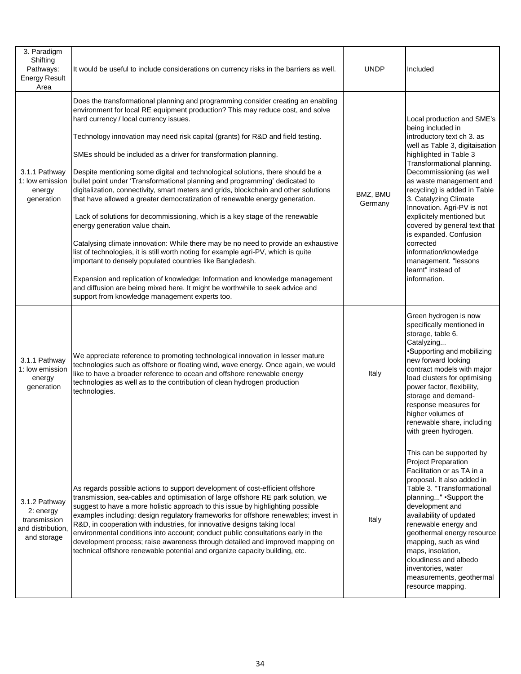| 3. Paradigm<br>Shifting<br>Pathways:<br><b>Energy Result</b><br>Area           | It would be useful to include considerations on currency risks in the barriers as well.                                                                                                                                                                                                                                                                                                                                                                                                                                                                                                                                                                                                                                                                                                                                                                                                                                                                                                                                                                                                                                                                                                                                                                                                   | <b>UNDP</b>         | Included                                                                                                                                                                                                                                                                                                                                                                                                                                                                                                         |
|--------------------------------------------------------------------------------|-------------------------------------------------------------------------------------------------------------------------------------------------------------------------------------------------------------------------------------------------------------------------------------------------------------------------------------------------------------------------------------------------------------------------------------------------------------------------------------------------------------------------------------------------------------------------------------------------------------------------------------------------------------------------------------------------------------------------------------------------------------------------------------------------------------------------------------------------------------------------------------------------------------------------------------------------------------------------------------------------------------------------------------------------------------------------------------------------------------------------------------------------------------------------------------------------------------------------------------------------------------------------------------------|---------------------|------------------------------------------------------------------------------------------------------------------------------------------------------------------------------------------------------------------------------------------------------------------------------------------------------------------------------------------------------------------------------------------------------------------------------------------------------------------------------------------------------------------|
| 3.1.1 Pathway<br>1: low emission<br>energy<br>generation                       | Does the transformational planning and programming consider creating an enabling<br>environment for local RE equipment production? This may reduce cost, and solve<br>hard currency / local currency issues.<br>Technology innovation may need risk capital (grants) for R&D and field testing.<br>SMEs should be included as a driver for transformation planning.<br>Despite mentioning some digital and technological solutions, there should be a<br>bullet point under 'Transformational planning and programming' dedicated to<br>digitalization, connectivity, smart meters and grids, blockchain and other solutions<br>that have allowed a greater democratization of renewable energy generation.<br>Lack of solutions for decommissioning, which is a key stage of the renewable<br>energy generation value chain.<br>Catalysing climate innovation: While there may be no need to provide an exhaustive<br>list of technologies, it is still worth noting for example agri-PV, which is quite<br>important to densely populated countries like Bangladesh.<br>Expansion and replication of knowledge: Information and knowledge management<br>and diffusion are being mixed here. It might be worthwhile to seek advice and<br>support from knowledge management experts too. | BMZ, BMU<br>Germany | Local production and SME's<br>being included in<br>introductory text ch 3. as<br>well as Table 3, digitaisation<br>highlighted in Table 3<br>Transformational planning.<br>Decommissioning (as well<br>as waste management and<br>recycling) is added in Table<br>3. Catalyzing Climate<br>Innovation. Agri-PV is not<br>explicitely mentioned but<br>covered by general text that<br>is expanded. Confusion<br>corrected<br>information/knowledge<br>management. "lessons<br>learnt" instead of<br>information. |
| 3.1.1 Pathway<br>1: low emission<br>energy<br>generation                       | We appreciate reference to promoting technological innovation in lesser mature<br>technologies such as offshore or floating wind, wave energy. Once again, we would<br>like to have a broader reference to ocean and offshore renewable energy<br>technologies as well as to the contribution of clean hydrogen production<br>technologies.                                                                                                                                                                                                                                                                                                                                                                                                                                                                                                                                                                                                                                                                                                                                                                                                                                                                                                                                               | Italy               | Green hydrogen is now<br>specifically mentioned in<br>storage, table 6.<br>Catalyzing<br>·Supporting and mobilizing<br>new forward looking<br>contract models with major<br>load clusters for optimising<br>power factor, flexibility,<br>storage and demand-<br>response measures for<br>higher volumes of<br>renewable share, including<br>with green hydrogen.                                                                                                                                                |
| 3.1.2 Pathway<br>2: energy<br>transmission<br>and distribution,<br>and storage | As regards possible actions to support development of cost-efficient offshore<br>transmission, sea-cables and optimisation of large offshore RE park solution, we<br>suggest to have a more holistic approach to this issue by highlighting possible<br>examples including: design regulatory frameworks for offshore renewables; invest in<br>R&D, in cooperation with industries, for innovative designs taking local<br>environmental conditions into account; conduct public consultations early in the<br>development process; raise awareness through detailed and improved mapping on<br>technical offshore renewable potential and organize capacity building, etc.                                                                                                                                                                                                                                                                                                                                                                                                                                                                                                                                                                                                               | Italy               | This can be supported by<br>Project Preparation<br>Facilitation or as TA in a<br>proposal. It also added in<br>Table 3. "Transformational<br>planning" .Support the<br>development and<br>availability of updated<br>renewable energy and<br>geothermal energy resource<br>mapping, such as wind<br>maps, insolation,<br>cloudiness and albedo<br>inventories, water<br>measurements, geothermal<br>resource mapping.                                                                                            |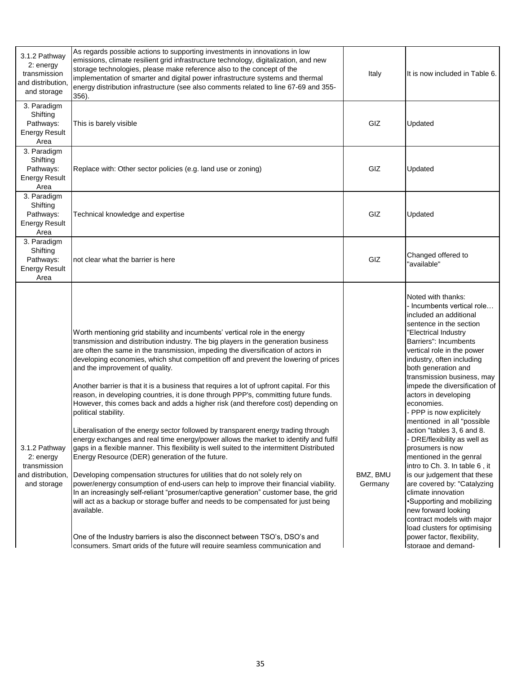| 3.1.2 Pathway<br>2: energy<br>transmission<br>and distribution<br>and storage  | As regards possible actions to supporting investments in innovations in low<br>emissions, climate resilient grid infrastructure technology, digitalization, and new<br>storage technologies, please make reference also to the concept of the<br>implementation of smarter and digital power infrastructure systems and thermal<br>energy distribution infrastructure (see also comments related to line 67-69 and 355-<br>356).                                                                                                                                                                                                                                                                                                                                                                                                                                                                                                                                                                                                                                                                                                                                                                                                                                                                                                                                                                                                                                                                                                                     | Italy               | It is now included in Table 6.                                                                                                                                                                                                                                                                                                                                                                                                                                                                                                                                                                                                                                                                                                                                                                                    |
|--------------------------------------------------------------------------------|------------------------------------------------------------------------------------------------------------------------------------------------------------------------------------------------------------------------------------------------------------------------------------------------------------------------------------------------------------------------------------------------------------------------------------------------------------------------------------------------------------------------------------------------------------------------------------------------------------------------------------------------------------------------------------------------------------------------------------------------------------------------------------------------------------------------------------------------------------------------------------------------------------------------------------------------------------------------------------------------------------------------------------------------------------------------------------------------------------------------------------------------------------------------------------------------------------------------------------------------------------------------------------------------------------------------------------------------------------------------------------------------------------------------------------------------------------------------------------------------------------------------------------------------------|---------------------|-------------------------------------------------------------------------------------------------------------------------------------------------------------------------------------------------------------------------------------------------------------------------------------------------------------------------------------------------------------------------------------------------------------------------------------------------------------------------------------------------------------------------------------------------------------------------------------------------------------------------------------------------------------------------------------------------------------------------------------------------------------------------------------------------------------------|
| 3. Paradigm<br>Shifting<br>Pathways:<br><b>Energy Result</b><br>Area           | This is barely visible                                                                                                                                                                                                                                                                                                                                                                                                                                                                                                                                                                                                                                                                                                                                                                                                                                                                                                                                                                                                                                                                                                                                                                                                                                                                                                                                                                                                                                                                                                                               | GIZ                 | Updated                                                                                                                                                                                                                                                                                                                                                                                                                                                                                                                                                                                                                                                                                                                                                                                                           |
| 3. Paradigm<br>Shifting<br>Pathways:<br><b>Energy Result</b><br>Area           | Replace with: Other sector policies (e.g. land use or zoning)                                                                                                                                                                                                                                                                                                                                                                                                                                                                                                                                                                                                                                                                                                                                                                                                                                                                                                                                                                                                                                                                                                                                                                                                                                                                                                                                                                                                                                                                                        | GIZ                 | Updated                                                                                                                                                                                                                                                                                                                                                                                                                                                                                                                                                                                                                                                                                                                                                                                                           |
| 3. Paradigm<br>Shifting<br>Pathways:<br><b>Energy Result</b><br>Area           | Technical knowledge and expertise                                                                                                                                                                                                                                                                                                                                                                                                                                                                                                                                                                                                                                                                                                                                                                                                                                                                                                                                                                                                                                                                                                                                                                                                                                                                                                                                                                                                                                                                                                                    | GIZ                 | Updated                                                                                                                                                                                                                                                                                                                                                                                                                                                                                                                                                                                                                                                                                                                                                                                                           |
| 3. Paradigm<br>Shifting<br>Pathways:<br><b>Energy Result</b><br>Area           | not clear what the barrier is here                                                                                                                                                                                                                                                                                                                                                                                                                                                                                                                                                                                                                                                                                                                                                                                                                                                                                                                                                                                                                                                                                                                                                                                                                                                                                                                                                                                                                                                                                                                   | GIZ                 | Changed offered to<br>'available"                                                                                                                                                                                                                                                                                                                                                                                                                                                                                                                                                                                                                                                                                                                                                                                 |
| 3.1.2 Pathway<br>2: energy<br>transmission<br>and distribution,<br>and storage | Worth mentioning grid stability and incumbents' vertical role in the energy<br>transmission and distribution industry. The big players in the generation business<br>are often the same in the transmission, impeding the diversification of actors in<br>developing economies, which shut competition off and prevent the lowering of prices<br>and the improvement of quality.<br>Another barrier is that it is a business that requires a lot of upfront capital. For this<br>reason, in developing countries, it is done through PPP's, committing future funds.<br>However, this comes back and adds a higher risk (and therefore cost) depending on<br>political stability.<br>Liberalisation of the energy sector followed by transparent energy trading through<br>energy exchanges and real time energy/power allows the market to identify and fulfil<br>gaps in a flexible manner. This flexibility is well suited to the intermittent Distributed<br>Energy Resource (DER) generation of the future.<br>Developing compensation structures for utilities that do not solely rely on<br>power/energy consumption of end-users can help to improve their financial viability.<br>In an increasingly self-reliant "prosumer/captive generation" customer base, the grid<br>will act as a backup or storage buffer and needs to be compensated for just being<br>available.<br>One of the Industry barriers is also the disconnect between TSO's, DSO's and<br>Iconsumers. Smart grids of the future will require seamless communication and | BMZ, BMU<br>Germany | Noted with thanks:<br>- Incumbents vertical role…<br>included an additional<br>sentence in the section<br>"Electrical Industry<br>Barriers": Incumbents<br>vertical role in the power<br>industry, often including<br>both generation and<br>transmission business, may<br>impede the diversification of<br>actors in developing<br>economies.<br>- PPP is now explicitely<br>mentioned in all "possible<br>action "tables 3, 6 and 8.<br>DRE/flexibility as well as<br>prosumers is now<br>mentioned in the genral<br>intro to Ch. 3. In table 6, it<br>is our judgement that these<br>are covered by: "Catalyzing<br>climate innovation<br>•Supporting and mobilizing<br>new forward looking<br>contract models with major<br>load clusters for optimising<br>power factor, flexibility,<br>storage and demand- |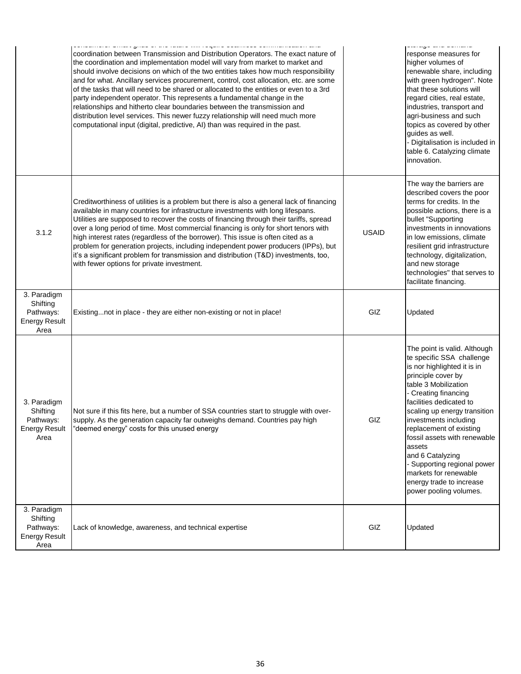|                                                                      | accountance and produce and received compared admission admission compared and<br>coordination between Transmission and Distribution Operators. The exact nature of<br>the coordination and implementation model will vary from market to market and<br>should involve decisions on which of the two entities takes how much responsibility<br>and for what. Ancillary services procurement, control, cost allocation, etc. are some<br>of the tasks that will need to be shared or allocated to the entities or even to a 3rd<br>party independent operator. This represents a fundamental change in the<br>relationships and hitherto clear boundaries between the transmission and<br>distribution level services. This newer fuzzy relationship will need much more<br>computational input (digital, predictive, AI) than was required in the past. |              | ululugu uliu uulliulu<br>response measures for<br>higher volumes of<br>renewable share, including<br>with green hydrogen". Note<br>that these solutions will<br>regard cities, real estate,<br>industries, transport and<br>agri-business and such<br>topics as covered by other<br>guides as well.<br>- Digitalisation is included in<br>table 6. Catalyzing climate<br>innovation.                                                                      |
|----------------------------------------------------------------------|---------------------------------------------------------------------------------------------------------------------------------------------------------------------------------------------------------------------------------------------------------------------------------------------------------------------------------------------------------------------------------------------------------------------------------------------------------------------------------------------------------------------------------------------------------------------------------------------------------------------------------------------------------------------------------------------------------------------------------------------------------------------------------------------------------------------------------------------------------|--------------|-----------------------------------------------------------------------------------------------------------------------------------------------------------------------------------------------------------------------------------------------------------------------------------------------------------------------------------------------------------------------------------------------------------------------------------------------------------|
| 3.1.2                                                                | Creditworthiness of utilities is a problem but there is also a general lack of financing<br>available in many countries for infrastructure investments with long lifespans.<br>Utilities are supposed to recover the costs of financing through their tariffs, spread<br>over a long period of time. Most commercial financing is only for short tenors with<br>high interest rates (regardless of the borrower). This issue is often cited as a<br>problem for generation projects, including independent power producers (IPPs), but<br>it's a significant problem for transmission and distribution (T&D) investments, too,<br>with fewer options for private investment.                                                                                                                                                                            | <b>USAID</b> | The way the barriers are<br>described covers the poor<br>terms for credits. In the<br>possible actions, there is a<br>bullet "Supporting<br>investments in innovations<br>in low emissions, climate<br>resilient grid infrastructure<br>technology, digitalization,<br>and new storage<br>technologies" that serves to<br>facilitate financing.                                                                                                           |
| 3. Paradigm<br>Shifting<br>Pathways:<br><b>Energy Result</b><br>Area | Existingnot in place - they are either non-existing or not in place!                                                                                                                                                                                                                                                                                                                                                                                                                                                                                                                                                                                                                                                                                                                                                                                    | GIZ          | Updated                                                                                                                                                                                                                                                                                                                                                                                                                                                   |
| 3. Paradigm<br>Shifting<br>Pathways:<br><b>Energy Result</b><br>Area | Not sure if this fits here, but a number of SSA countries start to struggle with over-<br>supply. As the generation capacity far outweighs demand. Countries pay high<br>"deemed energy" costs for this unused energy                                                                                                                                                                                                                                                                                                                                                                                                                                                                                                                                                                                                                                   | GIZ          | The point is valid. Although<br>te specific SSA challenge<br>is nor highlighted it is in<br>principle cover by<br>table 3 Mobilization<br>- Creating financing<br>facilities dedicated to<br>scaling up energy transition<br>investments including<br>replacement of existing<br>fossil assets with renewable<br>assets<br>and 6 Catalyzing<br>- Supporting regional power<br>markets for renewable<br>energy trade to increase<br>power pooling volumes. |
| 3. Paradigm<br>Shifting<br>Pathways:<br><b>Energy Result</b><br>Area | Lack of knowledge, awareness, and technical expertise                                                                                                                                                                                                                                                                                                                                                                                                                                                                                                                                                                                                                                                                                                                                                                                                   | GIZ          | Updated                                                                                                                                                                                                                                                                                                                                                                                                                                                   |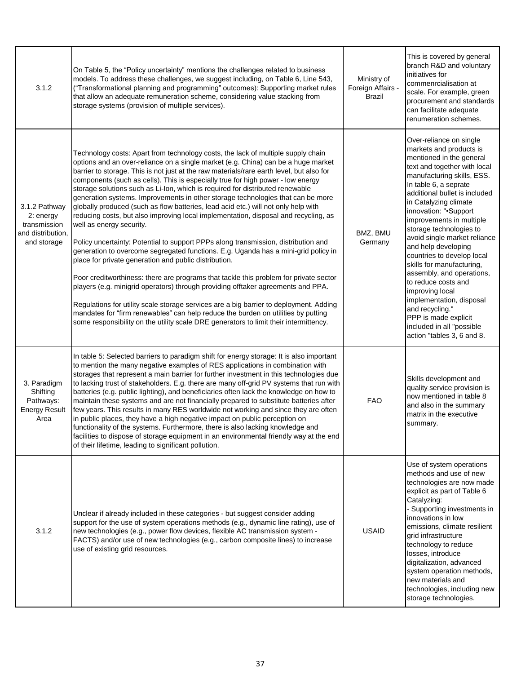| 3.1.2                                                                          | On Table 5, the "Policy uncertainty" mentions the challenges related to business<br>models. To address these challenges, we suggest including, on Table 6, Line 543,<br>("Transformational planning and programming" outcomes): Supporting market rules<br>that allow an adequate remuneration scheme, considering value stacking from<br>storage systems (provision of multiple services).                                                                                                                                                                                                                                                                                                                                                                                                                                                                                                                                                                                                                                                                                                                                                                                                                                                                                                                                                                                                                                 | Ministry of<br>Foreign Affairs -<br><b>Brazil</b> | This is covered by general<br>branch R&D and voluntary<br>initiatives for<br>commenrcialisation at<br>scale. For example, green<br>procurement and standards<br>can facilitate adequate<br>renumeration schemes.                                                                                                                                                                                                                                                                                                                                                                                                                           |
|--------------------------------------------------------------------------------|-----------------------------------------------------------------------------------------------------------------------------------------------------------------------------------------------------------------------------------------------------------------------------------------------------------------------------------------------------------------------------------------------------------------------------------------------------------------------------------------------------------------------------------------------------------------------------------------------------------------------------------------------------------------------------------------------------------------------------------------------------------------------------------------------------------------------------------------------------------------------------------------------------------------------------------------------------------------------------------------------------------------------------------------------------------------------------------------------------------------------------------------------------------------------------------------------------------------------------------------------------------------------------------------------------------------------------------------------------------------------------------------------------------------------------|---------------------------------------------------|--------------------------------------------------------------------------------------------------------------------------------------------------------------------------------------------------------------------------------------------------------------------------------------------------------------------------------------------------------------------------------------------------------------------------------------------------------------------------------------------------------------------------------------------------------------------------------------------------------------------------------------------|
| 3.1.2 Pathway<br>2: energy<br>transmission<br>and distribution,<br>and storage | Technology costs: Apart from technology costs, the lack of multiple supply chain<br>options and an over-reliance on a single market (e.g. China) can be a huge market<br>barrier to storage. This is not just at the raw materials/rare earth level, but also for<br>components (such as cells). This is especially true for high power - low energy<br>storage solutions such as Li-Ion, which is required for distributed renewable<br>generation systems. Improvements in other storage technologies that can be more<br>globally produced (such as flow batteries, lead acid etc.) will not only help with<br>reducing costs, but also improving local implementation, disposal and recycling, as<br>well as energy security.<br>Policy uncertainty: Potential to support PPPs along transmission, distribution and<br>generation to overcome segregated functions. E.g. Uganda has a mini-grid policy in<br>place for private generation and public distribution.<br>Poor creditworthiness: there are programs that tackle this problem for private sector<br>players (e.g. minigrid operators) through providing offtaker agreements and PPA.<br>Regulations for utility scale storage services are a big barrier to deployment. Adding<br>mandates for "firm renewables" can help reduce the burden on utilities by putting<br>some responsibility on the utility scale DRE generators to limit their intermittency. | BMZ, BMU<br>Germany                               | Over-reliance on single<br>markets and products is<br>mentioned in the general<br>text and together with local<br>manufacturing skills, ESS.<br>In table 6, a seprate<br>additional bullet is included<br>in Catalyzing climate<br>innovation: ".Support<br>improvements in multiple<br>storage technologies to<br>avoid single market reliance<br>and help developing<br>countries to develop local<br>skills for manufacturing,<br>assembly, and operations,<br>to reduce costs and<br>improving local<br>implementation, disposal<br>and recycling."<br>PPP is made explicit<br>included in all "possible<br>action "tables 3, 6 and 8. |
| 3. Paradigm<br>Shifting<br>Pathways:<br><b>Energy Result</b><br>Area           | In table 5: Selected barriers to paradigm shift for energy storage: It is also important<br>to mention the many negative examples of RES applications in combination with<br>storages that represent a main barrier for further investment in this technologies due<br>to lacking trust of stakeholders. E.g. there are many off-grid PV systems that run with<br>batteries (e.g. public lighting), and beneficiaries often lack the knowledge on how to<br>maintain these systems and are not financially prepared to substitute batteries after<br>few years. This results in many RES worldwide not working and since they are often<br>in public places, they have a high negative impact on public perception on<br>functionality of the systems. Furthermore, there is also lacking knowledge and<br>facilities to dispose of storage equipment in an environmental friendly way at the end<br>of their lifetime, leading to significant pollution.                                                                                                                                                                                                                                                                                                                                                                                                                                                                   | <b>FAO</b>                                        | Skills development and<br>quality service provision is<br>now mentioned in table 8<br>and also in the summary<br>matrix in the executive<br>summary.                                                                                                                                                                                                                                                                                                                                                                                                                                                                                       |
| 3.1.2                                                                          | Unclear if already included in these categories - but suggest consider adding<br>support for the use of system operations methods (e.g., dynamic line rating), use of<br>new technologies (e.g., power flow devices, flexible AC transmission system -<br>FACTS) and/or use of new technologies (e.g., carbon composite lines) to increase<br>use of existing grid resources.                                                                                                                                                                                                                                                                                                                                                                                                                                                                                                                                                                                                                                                                                                                                                                                                                                                                                                                                                                                                                                               | <b>USAID</b>                                      | Use of system operations<br>methods and use of new<br>technologies are now made<br>explicit as part of Table 6<br>Catalyzing:<br>- Supporting investments in<br>innovations in low<br>emissions, climate resilient<br>grid infrastructure<br>technology to reduce<br>losses, introduce<br>digitalization, advanced<br>system operation methods,<br>new materials and<br>technologies, including new<br>storage technologies.                                                                                                                                                                                                               |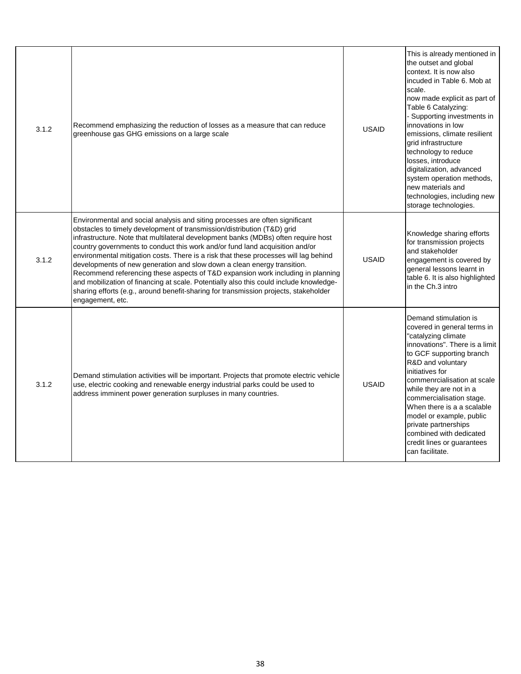| 3.1.2 | Recommend emphasizing the reduction of losses as a measure that can reduce<br>greenhouse gas GHG emissions on a large scale                                                                                                                                                                                                                                                                                                                                                                                                                                                                                                                                                                                                                                                               | <b>USAID</b> | This is already mentioned in<br>the outset and global<br>context. It is now also<br>incuded in Table 6. Mob at<br>scale.<br>now made explicit as part of<br>Table 6 Catalyzing:<br>- Supporting investments in<br>innovations in low<br>emissions, climate resilient<br>grid infrastructure<br>technology to reduce<br>losses, introduce<br>digitalization, advanced<br>system operation methods,<br>new materials and<br>technologies, including new<br>storage technologies. |
|-------|-------------------------------------------------------------------------------------------------------------------------------------------------------------------------------------------------------------------------------------------------------------------------------------------------------------------------------------------------------------------------------------------------------------------------------------------------------------------------------------------------------------------------------------------------------------------------------------------------------------------------------------------------------------------------------------------------------------------------------------------------------------------------------------------|--------------|--------------------------------------------------------------------------------------------------------------------------------------------------------------------------------------------------------------------------------------------------------------------------------------------------------------------------------------------------------------------------------------------------------------------------------------------------------------------------------|
| 3.1.2 | Environmental and social analysis and siting processes are often significant<br>obstacles to timely development of transmission/distribution (T&D) grid<br>infrastructure. Note that multilateral development banks (MDBs) often require host<br>country governments to conduct this work and/or fund land acquisition and/or<br>environmental mitigation costs. There is a risk that these processes will lag behind<br>developments of new generation and slow down a clean energy transition.<br>Recommend referencing these aspects of T&D expansion work including in planning<br>and mobilization of financing at scale. Potentially also this could include knowledge-<br>sharing efforts (e.g., around benefit-sharing for transmission projects, stakeholder<br>engagement, etc. | <b>USAID</b> | Knowledge sharing efforts<br>for transmission projects<br>and stakeholder<br>engagement is covered by<br>general lessons learnt in<br>table 6. It is also highlighted<br>in the Ch.3 intro                                                                                                                                                                                                                                                                                     |
| 3.1.2 | Demand stimulation activities will be important. Projects that promote electric vehicle<br>use, electric cooking and renewable energy industrial parks could be used to<br>address imminent power generation surpluses in many countries.                                                                                                                                                                                                                                                                                                                                                                                                                                                                                                                                                 | <b>USAID</b> | Demand stimulation is<br>covered in general terms in<br>"catalyzing climate<br>innovations". There is a limit<br>to GCF supporting branch<br>R&D and voluntary<br>initiatives for<br>commenrcialisation at scale<br>while they are not in a<br>commercialisation stage.<br>When there is a a scalable<br>model or example, public<br>private partnerships<br>combined with dedicated<br>credit lines or guarantees<br>can facilitate.                                          |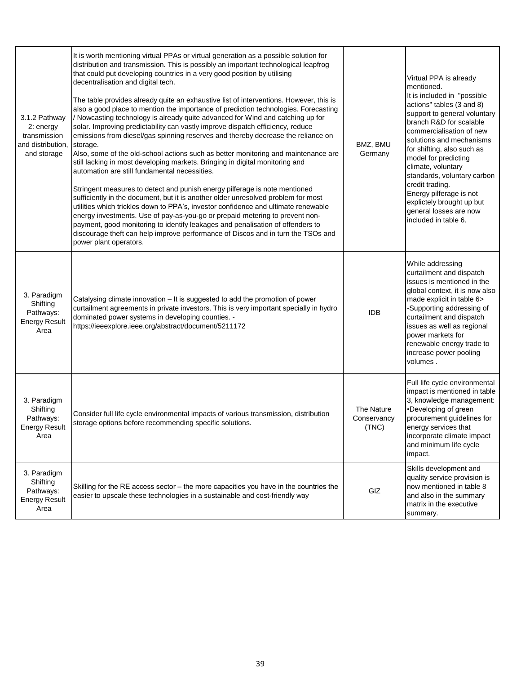| 3.1.2 Pathway<br>2: energy<br>transmission<br>and distribution,<br>and storage | It is worth mentioning virtual PPAs or virtual generation as a possible solution for<br>distribution and transmission. This is possibly an important technological leapfrog<br>that could put developing countries in a very good position by utilising<br>decentralisation and digital tech.<br>The table provides already quite an exhaustive list of interventions. However, this is<br>also a good place to mention the importance of prediction technologies. Forecasting<br>/ Nowcasting technology is already quite advanced for Wind and catching up for<br>solar. Improving predictability can vastly improve dispatch efficiency, reduce<br>emissions from diesel/gas spinning reserves and thereby decrease the reliance on<br>storage.<br>Also, some of the old-school actions such as better monitoring and maintenance are<br>still lacking in most developing markets. Bringing in digital monitoring and<br>automation are still fundamental necessities.<br>Stringent measures to detect and punish energy pilferage is note mentioned<br>sufficiently in the document, but it is another older unresolved problem for most<br>utilities which trickles down to PPA's, investor confidence and ultimate renewable<br>energy investments. Use of pay-as-you-go or prepaid metering to prevent non-<br>payment, good monitoring to identify leakages and penalisation of offenders to<br>discourage theft can help improve performance of Discos and in turn the TSOs and<br>power plant operators. | BMZ, BMU<br>Germany                | Virtual PPA is already<br>mentioned.<br>It is included in "possible<br>actions" tables (3 and 8)<br>support to general voluntary<br>branch R&D for scalable<br>commercialisation of new<br>solutions and mechanisms<br>for shifting, also such as<br>model for predicting<br>climate, voluntary<br>standards, voluntary carbon<br>credit trading.<br>Energy pilferage is not<br>explictely brought up but<br>general losses are now<br>included in table 6. |
|--------------------------------------------------------------------------------|--------------------------------------------------------------------------------------------------------------------------------------------------------------------------------------------------------------------------------------------------------------------------------------------------------------------------------------------------------------------------------------------------------------------------------------------------------------------------------------------------------------------------------------------------------------------------------------------------------------------------------------------------------------------------------------------------------------------------------------------------------------------------------------------------------------------------------------------------------------------------------------------------------------------------------------------------------------------------------------------------------------------------------------------------------------------------------------------------------------------------------------------------------------------------------------------------------------------------------------------------------------------------------------------------------------------------------------------------------------------------------------------------------------------------------------------------------------------------------------------------------------------|------------------------------------|-------------------------------------------------------------------------------------------------------------------------------------------------------------------------------------------------------------------------------------------------------------------------------------------------------------------------------------------------------------------------------------------------------------------------------------------------------------|
| 3. Paradigm<br>Shifting<br>Pathways:<br><b>Energy Result</b><br>Area           | Catalysing climate innovation - It is suggested to add the promotion of power<br>curtailment agreements in private investors. This is very important specially in hydro<br>dominated power systems in developing counties. -<br>https://ieeexplore.ieee.org/abstract/document/5211172                                                                                                                                                                                                                                                                                                                                                                                                                                                                                                                                                                                                                                                                                                                                                                                                                                                                                                                                                                                                                                                                                                                                                                                                                              | <b>IDB</b>                         | While addressing<br>curtailment and dispatch<br>issues is mentioned in the<br>global context, it is now also<br>made explicit in table 6><br>-Supporting addressing of<br>curtailment and dispatch<br>issues as well as regional<br>power markets for<br>renewable energy trade to<br>increase power pooling<br>volumes.                                                                                                                                    |
| 3. Paradigm<br>Shifting<br>Pathways:<br><b>Energy Result</b><br>Area           | Consider full life cycle environmental impacts of various transmission, distribution<br>storage options before recommending specific solutions.                                                                                                                                                                                                                                                                                                                                                                                                                                                                                                                                                                                                                                                                                                                                                                                                                                                                                                                                                                                                                                                                                                                                                                                                                                                                                                                                                                    | The Nature<br>Conservancy<br>(TNC) | Full life cycle environmental<br>impact is mentioned in table<br>3, knowledge management:<br>•Developing of green<br>procurement guidelines for<br>energy services that<br>incorporate climate impact<br>and minimum life cycle<br>impact.                                                                                                                                                                                                                  |
| 3. Paradigm<br>Shifting<br>Pathways:<br><b>Energy Result</b><br>Area           | Skilling for the RE access sector – the more capacities you have in the countries the<br>easier to upscale these technologies in a sustainable and cost-friendly way                                                                                                                                                                                                                                                                                                                                                                                                                                                                                                                                                                                                                                                                                                                                                                                                                                                                                                                                                                                                                                                                                                                                                                                                                                                                                                                                               | GIZ                                | Skills development and<br>quality service provision is<br>now mentioned in table 8<br>and also in the summary<br>matrix in the executive<br>summary.                                                                                                                                                                                                                                                                                                        |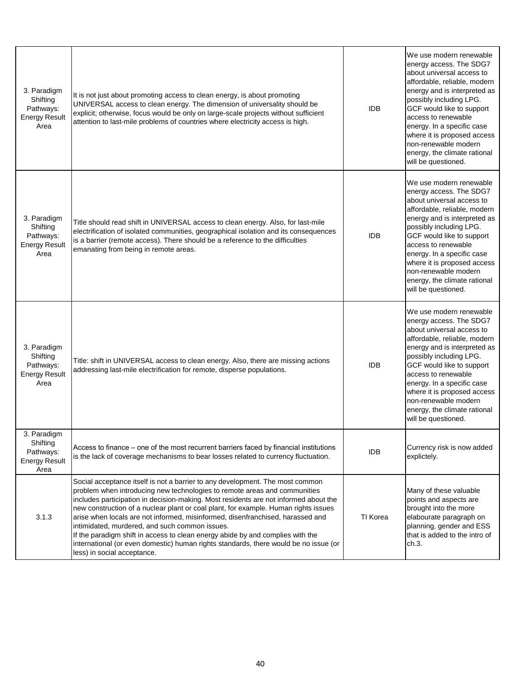| 3. Paradigm<br>Shifting<br>Pathways:<br><b>Energy Result</b><br>Area | It is not just about promoting access to clean energy, is about promoting<br>UNIVERSAL access to clean energy. The dimension of universality should be<br>explicit; otherwise, focus would be only on large-scale projects without sufficient<br>attention to last-mile problems of countries where electricity access is high.                                                                                                                                                                                                                                                                                                                                                        | <b>IDB</b> | We use modern renewable<br>energy access. The SDG7<br>about universal access to<br>affordable, reliable, modern<br>energy and is interpreted as<br>possibly including LPG.<br>GCF would like to support<br>access to renewable<br>energy. In a specific case<br>where it is proposed access<br>non-renewable modern<br>energy, the climate rational<br>will be questioned. |
|----------------------------------------------------------------------|----------------------------------------------------------------------------------------------------------------------------------------------------------------------------------------------------------------------------------------------------------------------------------------------------------------------------------------------------------------------------------------------------------------------------------------------------------------------------------------------------------------------------------------------------------------------------------------------------------------------------------------------------------------------------------------|------------|----------------------------------------------------------------------------------------------------------------------------------------------------------------------------------------------------------------------------------------------------------------------------------------------------------------------------------------------------------------------------|
| 3. Paradigm<br>Shifting<br>Pathways:<br><b>Energy Result</b><br>Area | Title should read shift in UNIVERSAL access to clean energy. Also, for last-mile<br>electrification of isolated communities, geographical isolation and its consequences<br>is a barrier (remote access). There should be a reference to the difficulties<br>emanating from being in remote areas.                                                                                                                                                                                                                                                                                                                                                                                     | <b>IDB</b> | We use modern renewable<br>energy access. The SDG7<br>about universal access to<br>affordable, reliable, modern<br>energy and is interpreted as<br>possibly including LPG.<br>GCF would like to support<br>access to renewable<br>energy. In a specific case<br>where it is proposed access<br>non-renewable modern<br>energy, the climate rational<br>will be questioned. |
| 3. Paradigm<br>Shifting<br>Pathways:<br><b>Energy Result</b><br>Area | Title: shift in UNIVERSAL access to clean energy. Also, there are missing actions<br>addressing last-mile electrification for remote, disperse populations.                                                                                                                                                                                                                                                                                                                                                                                                                                                                                                                            | <b>IDB</b> | We use modern renewable<br>energy access. The SDG7<br>about universal access to<br>affordable, reliable, modern<br>energy and is interpreted as<br>possibly including LPG.<br>GCF would like to support<br>access to renewable<br>energy. In a specific case<br>where it is proposed access<br>non-renewable modern<br>energy, the climate rational<br>will be questioned. |
| 3. Paradigm<br>Shifting<br>Pathways:<br><b>Energy Result</b><br>Area | Access to finance – one of the most recurrent barriers faced by financial institutions<br>is the lack of coverage mechanisms to bear losses related to currency fluctuation.                                                                                                                                                                                                                                                                                                                                                                                                                                                                                                           | <b>IDB</b> | Currency risk is now added<br>explictely.                                                                                                                                                                                                                                                                                                                                  |
| 3.1.3                                                                | Social acceptance itself is not a barrier to any development. The most common<br>problem when introducing new technologies to remote areas and communities<br>includes participation in decision-making. Most residents are not informed about the<br>new construction of a nuclear plant or coal plant, for example. Human rights issues<br>arise when locals are not informed, misinformed, disenfranchised, harassed and<br>intimidated, murdered, and such common issues.<br>If the paradigm shift in access to clean energy abide by and complies with the<br>international (or even domestic) human rights standards, there would be no issue (or<br>less) in social acceptance. | TI Korea   | Many of these valuable<br>points and aspects are<br>brought into the more<br>elabourate paragraph on<br>planning, gender and ESS<br>that is added to the intro of<br>ch.3.                                                                                                                                                                                                 |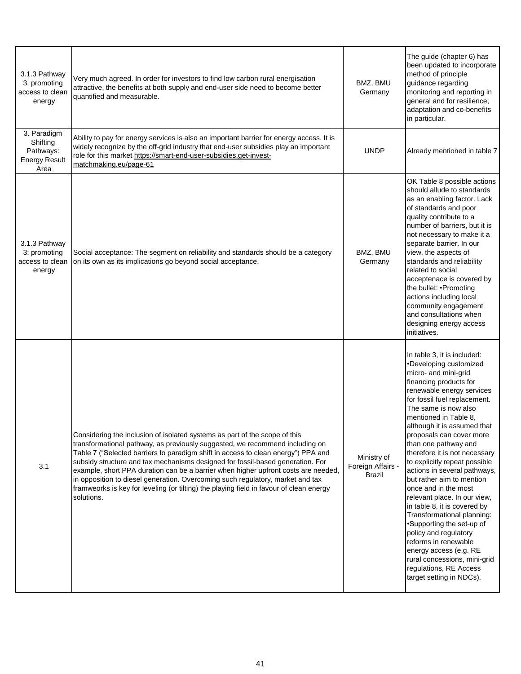| 3.1.3 Pathway<br>3: promoting<br>access to clean<br>energy           | Very much agreed. In order for investors to find low carbon rural energisation<br>attractive, the benefits at both supply and end-user side need to become better<br>quantified and measurable.                                                                                                                                                                                                                                                                                                                                                                                                                    | BMZ, BMU<br>Germany                        | The guide (chapter 6) has<br>been updated to incorporate<br>method of principle<br>guidance regarding<br>monitoring and reporting in<br>general and for resilience,<br>adaptation and co-benefits<br>in particular.                                                                                                                                                                                                                                                                                                                                                                                                                                                                                                                                         |
|----------------------------------------------------------------------|--------------------------------------------------------------------------------------------------------------------------------------------------------------------------------------------------------------------------------------------------------------------------------------------------------------------------------------------------------------------------------------------------------------------------------------------------------------------------------------------------------------------------------------------------------------------------------------------------------------------|--------------------------------------------|-------------------------------------------------------------------------------------------------------------------------------------------------------------------------------------------------------------------------------------------------------------------------------------------------------------------------------------------------------------------------------------------------------------------------------------------------------------------------------------------------------------------------------------------------------------------------------------------------------------------------------------------------------------------------------------------------------------------------------------------------------------|
| 3. Paradigm<br>Shifting<br>Pathways:<br><b>Energy Result</b><br>Area | Ability to pay for energy services is also an important barrier for energy access. It is<br>widely recognize by the off-grid industry that end-user subsidies play an important<br>role for this market https://smart-end-user-subsidies.get-invest-<br>matchmaking.eu/page-61                                                                                                                                                                                                                                                                                                                                     | <b>UNDP</b>                                | Already mentioned in table 7                                                                                                                                                                                                                                                                                                                                                                                                                                                                                                                                                                                                                                                                                                                                |
| 3.1.3 Pathway<br>3: promoting<br>access to clean<br>energy           | Social acceptance: The segment on reliability and standards should be a category<br>on its own as its implications go beyond social acceptance.                                                                                                                                                                                                                                                                                                                                                                                                                                                                    | BMZ, BMU<br>Germany                        | OK Table 8 possible actions<br>should allude to standards<br>as an enabling factor. Lack<br>of standards and poor<br>quality contribute to a<br>number of barriers, but it is<br>not necessary to make it a<br>separate barrier. In our<br>view, the aspects of<br>standards and reliability<br>related to social<br>acceptenace is covered by<br>the bullet: .Promoting<br>actions including local<br>community engagement<br>and consultations when<br>designing energy access<br>initiatives.                                                                                                                                                                                                                                                            |
| 3.1                                                                  | Considering the inclusion of isolated systems as part of the scope of this<br>transformational pathway, as previously suggested, we recommend including on<br>Table 7 ("Selected barriers to paradigm shift in access to clean energy") PPA and<br>subsidy structure and tax mechanisms designed for fossil-based generation. For<br>example, short PPA duration can be a barrier when higher upfront costs are needed,<br>in opposition to diesel generation. Overcoming such regulatory, market and tax<br>framweorks is key for leveling (or tilting) the playing field in favour of clean energy<br>solutions. | Ministry of<br>Foreign Affairs -<br>Brazil | In table 3, it is included:<br>•Developing customized<br>micro- and mini-grid<br>financing products for<br>renewable energy services<br>for fossil fuel replacement.<br>The same is now also<br>mentioned in Table 8,<br>although it is assumed that<br>proposals can cover more<br>than one pathway and<br>therefore it is not necessary<br>to explicitly repeat possible<br>actions in several pathways,<br>but rather aim to mention<br>once and in the most<br>relevant place. In our view,<br>in table 8, it is covered by<br>Transformational planning:<br>•Supporting the set-up of<br>policy and regulatory<br>reforms in renewable<br>energy access (e.g. RE<br>rural concessions, mini-grid<br>regulations, RE Access<br>target setting in NDCs). |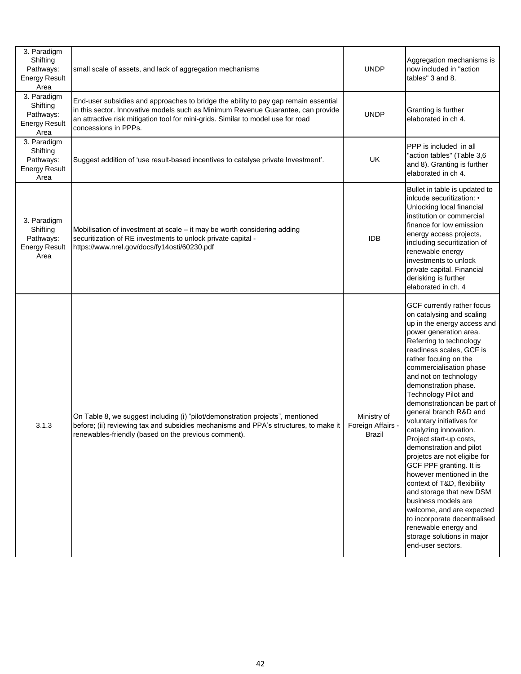| 3. Paradigm<br>Shifting<br>Pathways:<br><b>Energy Result</b><br>Area | small scale of assets, and lack of aggregation mechanisms                                                                                                                                                                                                                           | <b>UNDP</b>           | Aggregation mechanisms is<br>now included in "action<br>tables" 3 and 8.                                                                                                                                                                                                                                                                                                                                                                                                                                                                                                                                                                                                                                                                                                                    |
|----------------------------------------------------------------------|-------------------------------------------------------------------------------------------------------------------------------------------------------------------------------------------------------------------------------------------------------------------------------------|-----------------------|---------------------------------------------------------------------------------------------------------------------------------------------------------------------------------------------------------------------------------------------------------------------------------------------------------------------------------------------------------------------------------------------------------------------------------------------------------------------------------------------------------------------------------------------------------------------------------------------------------------------------------------------------------------------------------------------------------------------------------------------------------------------------------------------|
| 3. Paradigm<br>Shifting<br>Pathways:<br><b>Energy Result</b><br>Area | End-user subsidies and approaches to bridge the ability to pay gap remain essential<br>in this sector. Innovative models such as Minimum Revenue Guarantee, can provide<br>an attractive risk mitigation tool for mini-grids. Similar to model use for road<br>concessions in PPPs. | <b>UNDP</b>           | Granting is further<br>elaborated in ch 4.                                                                                                                                                                                                                                                                                                                                                                                                                                                                                                                                                                                                                                                                                                                                                  |
| 3. Paradigm<br>Shifting<br>Pathways:<br><b>Energy Result</b><br>Area | Suggest addition of 'use result-based incentives to catalyse private Investment'.                                                                                                                                                                                                   | UK                    | PPP is included in all<br>"action tables" (Table 3,6<br>and 8). Granting is further<br>elaborated in ch 4.                                                                                                                                                                                                                                                                                                                                                                                                                                                                                                                                                                                                                                                                                  |
| 3. Paradigm<br>Shifting<br>Pathways:<br><b>Energy Result</b><br>Area | Mobilisation of investment at scale - it may be worth considering adding<br>securitization of RE investments to unlock private capital -<br>https://www.nrel.gov/docs/fy14osti/60230.pdf                                                                                            | <b>IDB</b>            | Bullet in table is updated to<br>inlcude securitization: •<br>Unlocking local financial<br>institution or commercial<br>finance for low emission<br>energy access projects,<br>including securitization of<br>renewable energy<br>investments to unlock<br>private capital. Financial<br>derisking is further<br>elaborated in ch. 4                                                                                                                                                                                                                                                                                                                                                                                                                                                        |
| 3.1.3                                                                | On Table 8, we suggest including (i) "pilot/demonstration projects", mentioned<br>before; (ii) reviewing tax and subsidies mechanisms and PPA's structures, to make it   Foreign Affairs<br>renewables-friendly (based on the previous comment).                                    | Ministry of<br>Brazil | GCF currently rather focus<br>on catalysing and scaling<br>up in the energy access and<br>power generation area.<br>Referring to technology<br>readiness scales, GCF is<br>rather focuing on the<br>commercialisation phase<br>and not on technology<br>demonstration phase.<br>Technology Pilot and<br>demonstrationcan be part of<br>general branch R&D and<br>voluntary initiatives for<br>catalyzing innovation.<br>Project start-up costs,<br>demonstration and pilot<br>projetcs are not eligibe for<br>GCF PPF granting. It is<br>however mentioned in the<br>context of T&D, flexibility<br>and storage that new DSM<br>business models are<br>welcome, and are expected<br>to incorporate decentralised<br>renewable energy and<br>storage solutions in major<br>end-user sectors. |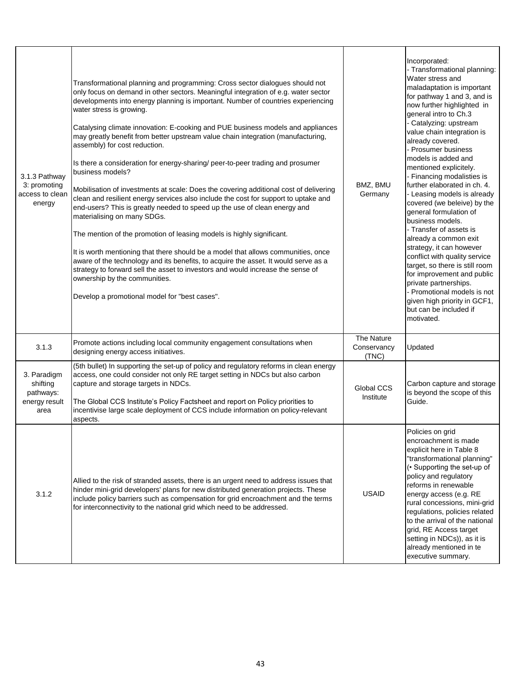| 3.1.3 Pathway<br>3: promoting<br>access to clean<br>energy    | Transformational planning and programming: Cross sector dialogues should not<br>only focus on demand in other sectors. Meaningful integration of e.g. water sector<br>developments into energy planning is important. Number of countries experiencing<br>water stress is growing.<br>Catalysing climate innovation: E-cooking and PUE business models and appliances<br>may greatly benefit from better upstream value chain integration (manufacturing,<br>assembly) for cost reduction.<br>Is there a consideration for energy-sharing/ peer-to-peer trading and prosumer<br>business models?<br>Mobilisation of investments at scale: Does the covering additional cost of delivering<br>clean and resilient energy services also include the cost for support to uptake and<br>end-users? This is greatly needed to speed up the use of clean energy and<br>materialising on many SDGs.<br>The mention of the promotion of leasing models is highly significant.<br>It is worth mentioning that there should be a model that allows communities, once<br>aware of the technology and its benefits, to acquire the asset. It would serve as a<br>strategy to forward sell the asset to investors and would increase the sense of<br>ownership by the communities.<br>Develop a promotional model for "best cases". | BMZ, BMU<br>Germany                | Incorporated:<br>- Transformational planning:<br>Water stress and<br>maladaptation is important<br>for pathway 1 and 3, and is<br>now further highlighted in<br>general intro to Ch.3<br>- Catalyzing: upstream<br>value chain integration is<br>already covered.<br>- Prosumer business<br>models is added and<br>mentioned explicitely.<br>- Financing modalisties is<br>further elaborated in ch. 4.<br>- Leasing models is already<br>covered (we beleive) by the<br>general formulation of<br>business models.<br>- Transfer of assets is<br>already a common exit<br>strategy, it can however<br>conflict with quality service<br>target, so there is still room<br>for improvement and public<br>private partnerships.<br>- Promotional models is not<br>given high priority in GCF1,<br>but can be included if<br>motivated. |
|---------------------------------------------------------------|------------------------------------------------------------------------------------------------------------------------------------------------------------------------------------------------------------------------------------------------------------------------------------------------------------------------------------------------------------------------------------------------------------------------------------------------------------------------------------------------------------------------------------------------------------------------------------------------------------------------------------------------------------------------------------------------------------------------------------------------------------------------------------------------------------------------------------------------------------------------------------------------------------------------------------------------------------------------------------------------------------------------------------------------------------------------------------------------------------------------------------------------------------------------------------------------------------------------------------------------------------------------------------------------------------------------|------------------------------------|--------------------------------------------------------------------------------------------------------------------------------------------------------------------------------------------------------------------------------------------------------------------------------------------------------------------------------------------------------------------------------------------------------------------------------------------------------------------------------------------------------------------------------------------------------------------------------------------------------------------------------------------------------------------------------------------------------------------------------------------------------------------------------------------------------------------------------------|
| 3.1.3                                                         | Promote actions including local community engagement consultations when<br>designing energy access initiatives.                                                                                                                                                                                                                                                                                                                                                                                                                                                                                                                                                                                                                                                                                                                                                                                                                                                                                                                                                                                                                                                                                                                                                                                                        | The Nature<br>Conservancy<br>(TNC) | Updated                                                                                                                                                                                                                                                                                                                                                                                                                                                                                                                                                                                                                                                                                                                                                                                                                              |
| 3. Paradigm<br>shifting<br>pathways:<br>energy result<br>area | (5th bullet) In supporting the set-up of policy and regulatory reforms in clean energy<br>access, one could consider not only RE target setting in NDCs but also carbon<br>capture and storage targets in NDCs.<br>The Global CCS Institute's Policy Factsheet and report on Policy priorities to<br>incentivise large scale deployment of CCS include information on policy-relevant<br>aspects.                                                                                                                                                                                                                                                                                                                                                                                                                                                                                                                                                                                                                                                                                                                                                                                                                                                                                                                      | Global CCS<br>Institute            | Carbon capture and storage<br>is beyond the scope of this<br>Guide.                                                                                                                                                                                                                                                                                                                                                                                                                                                                                                                                                                                                                                                                                                                                                                  |
| 3.1.2                                                         | Allied to the risk of stranded assets, there is an urgent need to address issues that<br>hinder mini-grid developers' plans for new distributed generation projects. These<br>include policy barriers such as compensation for grid encroachment and the terms<br>for interconnectivity to the national grid which need to be addressed.                                                                                                                                                                                                                                                                                                                                                                                                                                                                                                                                                                                                                                                                                                                                                                                                                                                                                                                                                                               | <b>USAID</b>                       | Policies on grid<br>encroachment is made<br>explicit here in Table 8<br>"transformational planning"<br>(• Supporting the set-up of<br>policy and regulatory<br>reforms in renewable<br>energy access (e.g. RE<br>rural concessions, mini-grid<br>regulations, policies related<br>to the arrival of the national<br>grid, RE Access target<br>setting in NDCs)), as it is<br>already mentioned in te<br>executive summary.                                                                                                                                                                                                                                                                                                                                                                                                           |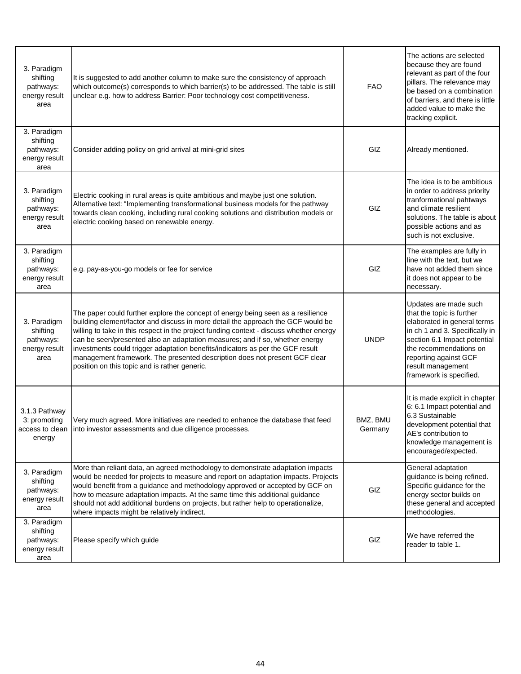| 3. Paradigm<br>shifting<br>pathways:<br>energy result<br>area | It is suggested to add another column to make sure the consistency of approach<br>which outcome(s) corresponds to which barrier(s) to be addressed. The table is still<br>unclear e.g. how to address Barrier: Poor technology cost competitiveness.                                                                                                                                                                                                                                                                                                             | <b>FAO</b>          | The actions are selected<br>because they are found<br>relevant as part of the four<br>pillars. The relevance may<br>be based on a combination<br>of barriers, and there is little<br>added value to make the<br>tracking explicit.                     |
|---------------------------------------------------------------|------------------------------------------------------------------------------------------------------------------------------------------------------------------------------------------------------------------------------------------------------------------------------------------------------------------------------------------------------------------------------------------------------------------------------------------------------------------------------------------------------------------------------------------------------------------|---------------------|--------------------------------------------------------------------------------------------------------------------------------------------------------------------------------------------------------------------------------------------------------|
| 3. Paradigm<br>shifting<br>pathways:<br>energy result<br>area | Consider adding policy on grid arrival at mini-grid sites                                                                                                                                                                                                                                                                                                                                                                                                                                                                                                        | GIZ                 | Already mentioned.                                                                                                                                                                                                                                     |
| 3. Paradigm<br>shifting<br>pathways:<br>energy result<br>area | Electric cooking in rural areas is quite ambitious and maybe just one solution.<br>Alternative text: "Implementing transformational business models for the pathway<br>towards clean cooking, including rural cooking solutions and distribution models or<br>electric cooking based on renewable energy.                                                                                                                                                                                                                                                        | GIZ                 | The idea is to be ambitious<br>in order to address priority<br>tranformational pahtways<br>and climate resilient<br>solutions. The table is about<br>possible actions and as<br>such is not exclusive.                                                 |
| 3. Paradigm<br>shifting<br>pathways:<br>energy result<br>area | e.g. pay-as-you-go models or fee for service                                                                                                                                                                                                                                                                                                                                                                                                                                                                                                                     | GIZ                 | The examples are fully in<br>line with the text, but we<br>have not added them since<br>it does not appear to be<br>necessary.                                                                                                                         |
| 3. Paradigm<br>shifting<br>pathways:<br>energy result<br>area | The paper could further explore the concept of energy being seen as a resilience<br>building element/factor and discuss in more detail the approach the GCF would be<br>willing to take in this respect in the project funding context - discuss whether energy<br>can be seen/presented also an adaptation measures; and if so, whether energy<br>investments could trigger adaptation benefits/indicators as per the GCF result<br>management framework. The presented description does not present GCF clear<br>position on this topic and is rather generic. | <b>UNDP</b>         | Updates are made such<br>that the topic is further<br>elaborated in general terms<br>in ch 1 and 3. Specifically in<br>section 6.1 Impact potential<br>the recommendations on<br>reporting against GCF<br>result management<br>framework is specified. |
| 3.1.3 Pathway<br>3: promoting<br>access to clean<br>energy    | Very much agreed. More initiatives are needed to enhance the database that feed<br>into investor assessments and due diligence processes.                                                                                                                                                                                                                                                                                                                                                                                                                        | BMZ, BMU<br>Germany | It is made explicit in chapter<br>6: 6.1 Impact potential and<br>6.3 Sustainable<br>development potential that<br>AE's contribution to<br>knowledge management is<br>encouraged/expected.                                                              |
| 3. Paradigm<br>shifting<br>pathways:<br>energy result<br>area | More than reliant data, an agreed methodology to demonstrate adaptation impacts<br>would be needed for projects to measure and report on adaptation impacts. Projects<br>would benefit from a guidance and methodology approved or accepted by GCF on<br>how to measure adaptation impacts. At the same time this additional guidance<br>should not add additional burdens on projects, but rather help to operationalize,<br>where impacts might be relatively indirect.                                                                                        | GIZ                 | General adaptation<br>guidance is being refined.<br>Specific guidance for the<br>energy sector builds on<br>these general and accepted<br>methodologies.                                                                                               |
| 3. Paradigm<br>shifting<br>pathways:<br>energy result<br>area | Please specify which guide                                                                                                                                                                                                                                                                                                                                                                                                                                                                                                                                       | GIZ                 | We have referred the<br>reader to table 1.                                                                                                                                                                                                             |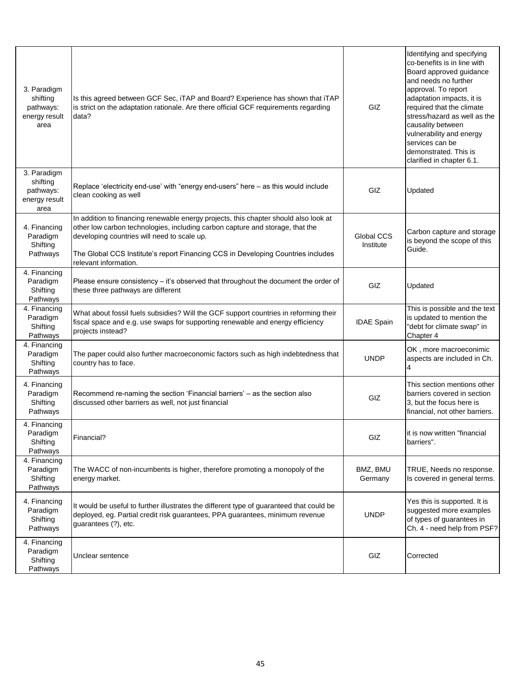| 3. Paradigm<br>shifting<br>pathways:<br>energy result<br>area | Is this agreed between GCF Sec, iTAP and Board? Experience has shown that iTAP<br>is strict on the adaptation rationale. Are there official GCF requirements regarding<br>data?                                                                                                                                                   | GIZ                     | Identifying and specifying<br>co-benefits is in line with<br>Board approved guidance<br>and needs no further<br>approval. To report<br>adaptation impacts, it is<br>required that the climate<br>stress/hazard as well as the<br>causality between<br>vulnerability and energy<br>services can be<br>demonstrated. This is<br>clarified in chapter 6.1. |
|---------------------------------------------------------------|-----------------------------------------------------------------------------------------------------------------------------------------------------------------------------------------------------------------------------------------------------------------------------------------------------------------------------------|-------------------------|---------------------------------------------------------------------------------------------------------------------------------------------------------------------------------------------------------------------------------------------------------------------------------------------------------------------------------------------------------|
| 3. Paradigm<br>shifting<br>pathways:<br>energy result<br>area | Replace 'electricity end-use' with "energy end-users" here - as this would include<br>clean cooking as well                                                                                                                                                                                                                       | GIZ                     | Updated                                                                                                                                                                                                                                                                                                                                                 |
| 4. Financing<br>Paradigm<br>Shifting<br>Pathways              | In addition to financing renewable energy projects, this chapter should also look at<br>other low carbon technologies, including carbon capture and storage, that the<br>developing countries will need to scale up.<br>The Global CCS Institute's report Financing CCS in Developing Countries includes<br>relevant information. | Global CCS<br>Institute | Carbon capture and storage<br>is beyond the scope of this<br>Guide.                                                                                                                                                                                                                                                                                     |
| 4. Financing<br>Paradigm<br>Shifting<br>Pathways              | Please ensure consistency $-$ it's observed that throughout the document the order of<br>these three pathways are different                                                                                                                                                                                                       | GIZ                     | Updated                                                                                                                                                                                                                                                                                                                                                 |
| 4. Financing<br>Paradigm<br>Shifting<br>Pathways              | What about fossil fuels subsidies? Will the GCF support countries in reforming their<br>fiscal space and e.g. use swaps for supporting renewable and energy efficiency<br>projects instead?                                                                                                                                       | <b>IDAE Spain</b>       | This is possible and the text<br>is updated to mention the<br>"debt for climate swap" in<br>Chapter 4                                                                                                                                                                                                                                                   |
| 4. Financing<br>Paradigm<br>Shifting<br>Pathways              | The paper could also further macroeconomic factors such as high indebtedness that<br>country has to face.                                                                                                                                                                                                                         | <b>UNDP</b>             | OK, more macroeconimic<br>aspects are included in Ch.<br>4                                                                                                                                                                                                                                                                                              |
| 4. Financing<br>Paradigm<br>Shifting<br>Pathways              | Recommend re-naming the section 'Financial barriers' - as the section also<br>discussed other barriers as well, not just financial                                                                                                                                                                                                | GIZ                     | This section mentions other<br>barriers covered in section<br>3, but the focus here is<br>financial, not other barriers.                                                                                                                                                                                                                                |
| 4. Financing<br>Paradigm<br>Shifting<br>Pathways              | Financial?                                                                                                                                                                                                                                                                                                                        | GIZ                     | it is now written "financial<br>barriers".                                                                                                                                                                                                                                                                                                              |
| 4. Financing<br>Paradigm<br>Shifting<br>Pathways              | The WACC of non-incumbents is higher, therefore promoting a monopoly of the<br>energy market.                                                                                                                                                                                                                                     | BMZ, BMU<br>Germany     | TRUE, Needs no response.<br>Is covered in general terms.                                                                                                                                                                                                                                                                                                |
| 4. Financing<br>Paradigm<br>Shifting<br>Pathways              | It would be useful to further illustrates the different type of guaranteed that could be<br>deployed, eg. Partial credit risk guarantees, PPA guarantees, minimum revenue<br>guarantees (?), etc.                                                                                                                                 | <b>UNDP</b>             | Yes this is supported. It is<br>suggested more examples<br>of types of guarantees in<br>Ch. 4 - need help from PSF?                                                                                                                                                                                                                                     |
| 4. Financing<br>Paradigm<br>Shifting<br>Pathways              | Unclear sentence                                                                                                                                                                                                                                                                                                                  | GIZ                     | Corrected                                                                                                                                                                                                                                                                                                                                               |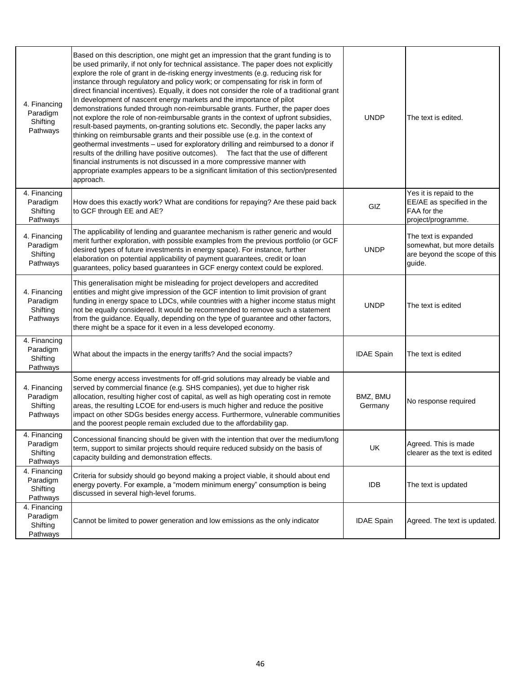| 4. Financing<br>Paradigm<br>Shifting<br>Pathways | Based on this description, one might get an impression that the grant funding is to<br>be used primarily, if not only for technical assistance. The paper does not explicitly<br>explore the role of grant in de-risking energy investments (e.g. reducing risk for<br>instance through regulatory and policy work; or compensating for risk in form of<br>direct financial incentives). Equally, it does not consider the role of a traditional grant<br>In development of nascent energy markets and the importance of pilot<br>demonstrations funded through non-reimbursable grants. Further, the paper does<br>not explore the role of non-reimbursable grants in the context of upfront subsidies,<br>result-based payments, on-granting solutions etc. Secondly, the paper lacks any<br>thinking on reimbursable grants and their possible use (e.g. in the context of<br>geothermal investments - used for exploratory drilling and reimbursed to a donor if<br>results of the drilling have positive outcomes). The fact that the use of different<br>financial instruments is not discussed in a more compressive manner with<br>appropriate examples appears to be a significant limitation of this section/presented<br>approach. | <b>UNDP</b>         | The text is edited.                                                                          |
|--------------------------------------------------|-----------------------------------------------------------------------------------------------------------------------------------------------------------------------------------------------------------------------------------------------------------------------------------------------------------------------------------------------------------------------------------------------------------------------------------------------------------------------------------------------------------------------------------------------------------------------------------------------------------------------------------------------------------------------------------------------------------------------------------------------------------------------------------------------------------------------------------------------------------------------------------------------------------------------------------------------------------------------------------------------------------------------------------------------------------------------------------------------------------------------------------------------------------------------------------------------------------------------------------------------|---------------------|----------------------------------------------------------------------------------------------|
| 4. Financing<br>Paradigm<br>Shifting<br>Pathways | How does this exactly work? What are conditions for repaying? Are these paid back<br>to GCF through EE and AE?                                                                                                                                                                                                                                                                                                                                                                                                                                                                                                                                                                                                                                                                                                                                                                                                                                                                                                                                                                                                                                                                                                                                | GIZ                 | Yes it is repaid to the<br>EE/AE as specified in the<br>FAA for the<br>project/programme.    |
| 4. Financing<br>Paradigm<br>Shifting<br>Pathways | The applicability of lending and guarantee mechanism is rather generic and would<br>merit further exploration, with possible examples from the previous portfolio (or GCF<br>desired types of future investments in energy space). For instance, further<br>elaboration on potential applicability of payment guarantees, credit or loan<br>guarantees, policy based guarantees in GCF energy context could be explored.                                                                                                                                                                                                                                                                                                                                                                                                                                                                                                                                                                                                                                                                                                                                                                                                                      | <b>UNDP</b>         | The text is expanded<br>somewhat, but more details<br>are beyond the scope of this<br>guide. |
| 4. Financing<br>Paradigm<br>Shifting<br>Pathways | This generalisation might be misleading for project developers and accredited<br>entities and might give impression of the GCF intention to limit provision of grant<br>funding in energy space to LDCs, while countries with a higher income status might<br>not be equally considered. It would be recommended to remove such a statement<br>from the guidance. Equally, depending on the type of guarantee and other factors,<br>there might be a space for it even in a less developed economy.                                                                                                                                                                                                                                                                                                                                                                                                                                                                                                                                                                                                                                                                                                                                           | <b>UNDP</b>         | The text is edited                                                                           |
| 4. Financing<br>Paradigm<br>Shifting<br>Pathways | What about the impacts in the energy tariffs? And the social impacts?                                                                                                                                                                                                                                                                                                                                                                                                                                                                                                                                                                                                                                                                                                                                                                                                                                                                                                                                                                                                                                                                                                                                                                         | <b>IDAE Spain</b>   | The text is edited                                                                           |
| 4. Financing<br>Paradigm<br>Shifting<br>Pathways | Some energy access investments for off-grid solutions may already be viable and<br>served by commercial finance (e.g. SHS companies), yet due to higher risk<br>allocation, resulting higher cost of capital, as well as high operating cost in remote<br>areas, the resulting LCOE for end-users is much higher and reduce the positive<br>impact on other SDGs besides energy access. Furthermore, vulnerable communities<br>and the poorest people remain excluded due to the affordability gap.                                                                                                                                                                                                                                                                                                                                                                                                                                                                                                                                                                                                                                                                                                                                           | BMZ, BMU<br>Germany | No response required                                                                         |
| 4. Financing<br>Paradigm<br>Shifting<br>Pathways | Concessional financing should be given with the intention that over the medium/long<br>term, support to similar projects should require reduced subsidy on the basis of<br>capacity building and demonstration effects.                                                                                                                                                                                                                                                                                                                                                                                                                                                                                                                                                                                                                                                                                                                                                                                                                                                                                                                                                                                                                       | UK                  | Agreed. This is made<br>clearer as the text is edited                                        |
| 4. Financing<br>Paradigm<br>Shifting<br>Pathways | Criteria for subsidy should go beyond making a project viable, it should about end<br>energy poverty. For example, a "modern minimum energy" consumption is being<br>discussed in several high-level forums.                                                                                                                                                                                                                                                                                                                                                                                                                                                                                                                                                                                                                                                                                                                                                                                                                                                                                                                                                                                                                                  | <b>IDB</b>          | The text is updated                                                                          |
| 4. Financing<br>Paradigm<br>Shifting<br>Pathways | Cannot be limited to power generation and low emissions as the only indicator                                                                                                                                                                                                                                                                                                                                                                                                                                                                                                                                                                                                                                                                                                                                                                                                                                                                                                                                                                                                                                                                                                                                                                 | <b>IDAE Spain</b>   | Agreed. The text is updated.                                                                 |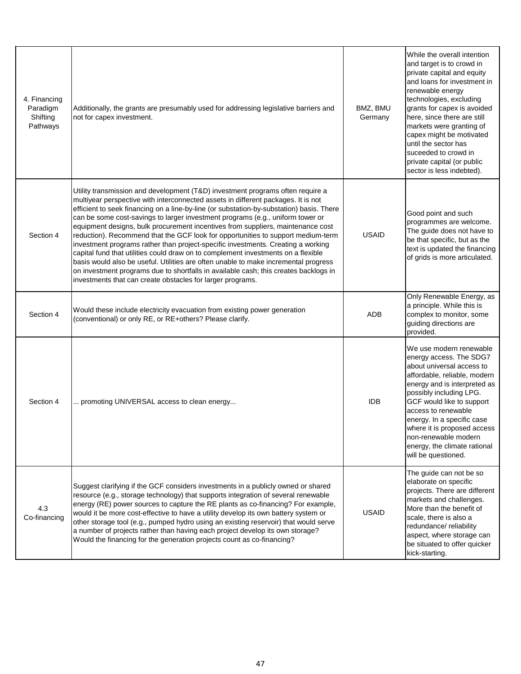| 4. Financing<br>Paradigm<br>Shifting<br>Pathways | Additionally, the grants are presumably used for addressing legislative barriers and<br>not for capex investment.                                                                                                                                                                                                                                                                                                                                                                                                                                                                                                                                                                                                                                                                                                                                                                                                                              | BMZ, BMU<br>Germany | While the overall intention<br>and target is to crowd in<br>private capital and equity<br>and loans for investment in<br>renewable energy<br>technologies, excluding<br>grants for capex is avoided<br>here, since there are still<br>markets were granting of<br>capex might be motivated<br>until the sector has<br>suceeded to crowd in<br>private capital (or public<br>sector is less indebted). |
|--------------------------------------------------|------------------------------------------------------------------------------------------------------------------------------------------------------------------------------------------------------------------------------------------------------------------------------------------------------------------------------------------------------------------------------------------------------------------------------------------------------------------------------------------------------------------------------------------------------------------------------------------------------------------------------------------------------------------------------------------------------------------------------------------------------------------------------------------------------------------------------------------------------------------------------------------------------------------------------------------------|---------------------|-------------------------------------------------------------------------------------------------------------------------------------------------------------------------------------------------------------------------------------------------------------------------------------------------------------------------------------------------------------------------------------------------------|
| Section 4                                        | Utility transmission and development (T&D) investment programs often require a<br>multiyear perspective with interconnected assets in different packages. It is not<br>efficient to seek financing on a line-by-line (or substation-by-substation) basis. There<br>can be some cost-savings to larger investment programs (e.g., uniform tower or<br>equipment designs, bulk procurement incentives from suppliers, maintenance cost<br>reduction). Recommend that the GCF look for opportunities to support medium-term<br>investment programs rather than project-specific investments. Creating a working<br>capital fund that utilities could draw on to complement investments on a flexible<br>basis would also be useful. Utilities are often unable to make incremental progress<br>on investment programs due to shortfalls in available cash; this creates backlogs in<br>investments that can create obstacles for larger programs. | <b>USAID</b>        | Good point and such<br>programmes are welcome.<br>The guide does not have to<br>be that specific, but as the<br>text is updated the financing<br>of grids is more articulated.                                                                                                                                                                                                                        |
| Section 4                                        | Would these include electricity evacuation from existing power generation<br>(conventional) or only RE, or RE+others? Please clarify.                                                                                                                                                                                                                                                                                                                                                                                                                                                                                                                                                                                                                                                                                                                                                                                                          | <b>ADB</b>          | Only Renewable Energy, as<br>a principle. While this is<br>complex to monitor, some<br>guiding directions are<br>provided.                                                                                                                                                                                                                                                                            |
| Section 4                                        | promoting UNIVERSAL access to clean energy                                                                                                                                                                                                                                                                                                                                                                                                                                                                                                                                                                                                                                                                                                                                                                                                                                                                                                     | <b>IDB</b>          | We use modern renewable<br>energy access. The SDG7<br>about universal access to<br>affordable, reliable, modern<br>energy and is interpreted as<br>possibly including LPG.<br>GCF would like to support<br>access to renewable<br>energy. In a specific case<br>where it is proposed access<br>non-renewable modern<br>energy, the climate rational<br>will be questioned.                            |
| 4.3<br>Co-financing                              | Suggest clarifying if the GCF considers investments in a publicly owned or shared<br>resource (e.g., storage technology) that supports integration of several renewable<br>energy (RE) power sources to capture the RE plants as co-financing? For example,<br>would it be more cost-effective to have a utility develop its own battery system or<br>other storage tool (e.g., pumped hydro using an existing reservoir) that would serve<br>a number of projects rather than having each project develop its own storage?<br>Would the financing for the generation projects count as co-financing?                                                                                                                                                                                                                                                                                                                                          | <b>USAID</b>        | The guide can not be so<br>elaborate on specific<br>projects. There are different<br>markets and challenges.<br>More than the benefit of<br>scale, there is also a<br>redundance/ reliability<br>aspect, where storage can<br>be situated to offer quicker<br>kick-starting.                                                                                                                          |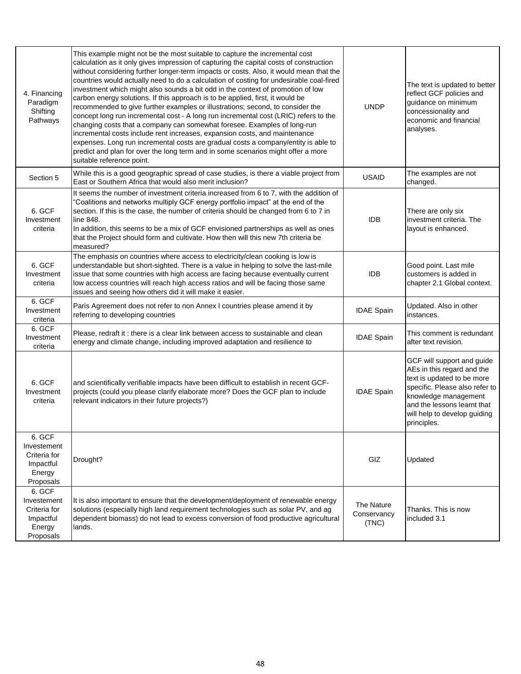| 4. Financing<br>Paradigm<br>Shifting<br>Pathways                          | This example might not be the most suitable to capture the incremental cost<br>calculation as it only gives impression of capturing the capital costs of construction<br>without considering further longer-term impacts or costs. Also, it would mean that the<br>countries would actually need to do a calculation of costing for undesirable coal-fired<br>investment which might also sounds a bit odd in the context of promotion of low<br>carbon energy solutions. If this approach is to be applied, first, it would be<br>recommended to give further examples or illustrations; second, to consider the<br>concept long run incremental cost - A long run incremental cost (LRIC) refers to the<br>changing costs that a company can somewhat foresee. Examples of long-run<br>incremental costs include rent increases, expansion costs, and maintenance<br>expenses. Long run incremental costs are gradual costs a company/entity is able to<br>predict and plan for over the long term and in some scenarios might offer a more<br>suitable reference point. | <b>UNDP</b>                        | The text is updated to better<br>reflect GCF policies and<br>guidance on minimum<br>concessionality and<br>economic and financial<br>analyses.                                                                                 |
|---------------------------------------------------------------------------|----------------------------------------------------------------------------------------------------------------------------------------------------------------------------------------------------------------------------------------------------------------------------------------------------------------------------------------------------------------------------------------------------------------------------------------------------------------------------------------------------------------------------------------------------------------------------------------------------------------------------------------------------------------------------------------------------------------------------------------------------------------------------------------------------------------------------------------------------------------------------------------------------------------------------------------------------------------------------------------------------------------------------------------------------------------------------|------------------------------------|--------------------------------------------------------------------------------------------------------------------------------------------------------------------------------------------------------------------------------|
| Section 5                                                                 | While this is a good geographic spread of case studies, is there a viable project from<br>East or Southern Africa that would also merit inclusion?                                                                                                                                                                                                                                                                                                                                                                                                                                                                                                                                                                                                                                                                                                                                                                                                                                                                                                                         | <b>USAID</b>                       | The examples are not<br>changed.                                                                                                                                                                                               |
| 6. GCF<br>Investment<br>criteria                                          | It seems the number of investment criteria increased from 6 to 7, with the addition of<br>'Coalitions and networks multiply GCF energy portfolio impact" at the end of the<br>section. If this is the case, the number of criteria should be changed from 6 to 7 in<br>line 848.<br>In addition, this seems to be a mix of GCF envisioned partnerships as well as ones<br>that the Project should form and cultivate. How then will this new 7th criteria be<br>measured?                                                                                                                                                                                                                                                                                                                                                                                                                                                                                                                                                                                                  | <b>IDB</b>                         | There are only six<br>investment criteria. The<br>layout is enhanced.                                                                                                                                                          |
| 6. GCF<br>Investment<br>criteria                                          | The emphasis on countries where access to electricity/clean cooking is low is<br>understandable but short-sighted. There is a value in helping to solve the last-mile<br>issue that some countries with high access are facing because eventually current<br>low access countries will reach high access ratios and will be facing those same<br>issues and seeing how others did it will make it easier.                                                                                                                                                                                                                                                                                                                                                                                                                                                                                                                                                                                                                                                                  | <b>IDB</b>                         | Good point. Last mile<br>customers is added in<br>chapter 2.1 Global context.                                                                                                                                                  |
| 6. GCF<br>Investment<br>criteria                                          | Paris Agreement does not refer to non Annex I countries please amend it by<br>referring to developing countries                                                                                                                                                                                                                                                                                                                                                                                                                                                                                                                                                                                                                                                                                                                                                                                                                                                                                                                                                            | <b>IDAE Spain</b>                  | Updated. Also in other<br>instances.                                                                                                                                                                                           |
| 6. GCF<br>Investment<br>criteria                                          | Please, redraft it: there is a clear link between access to sustainable and clean<br>energy and climate change, including improved adaptation and resilience to                                                                                                                                                                                                                                                                                                                                                                                                                                                                                                                                                                                                                                                                                                                                                                                                                                                                                                            | <b>IDAE Spain</b>                  | This comment is redundant<br>after text revision.                                                                                                                                                                              |
| 6. GCF<br>Investment<br>criteria                                          | and scientifically verifiable impacts have been difficult to establish in recent GCF-<br>projects (could you please clarify elaborate more? Does the GCF plan to include<br>relevant indicators in their future projects?)                                                                                                                                                                                                                                                                                                                                                                                                                                                                                                                                                                                                                                                                                                                                                                                                                                                 | <b>IDAE Spain</b>                  | GCF will support and guide<br>AEs in this regard and the<br>text is updated to be more<br>specific. Please also refer to<br>knowledge management<br>and the lessons learnt that<br>will help to develop guiding<br>principles. |
| 6. GCF<br>Investement<br>Criteria for<br>Impactful<br>Energy<br>Proposals | Drought?                                                                                                                                                                                                                                                                                                                                                                                                                                                                                                                                                                                                                                                                                                                                                                                                                                                                                                                                                                                                                                                                   | GIZ                                | Updated                                                                                                                                                                                                                        |
| 6. GCF<br>Investement<br>Criteria for<br>Impactful<br>Energy<br>Proposals | It is also important to ensure that the development/deployment of renewable energy<br>solutions (especially high land requirement technologies such as solar PV, and ag<br>dependent biomass) do not lead to excess conversion of food productive agricultural<br>lands.                                                                                                                                                                                                                                                                                                                                                                                                                                                                                                                                                                                                                                                                                                                                                                                                   | The Nature<br>Conservancy<br>(TNC) | Thanks. This is now<br>included 3.1                                                                                                                                                                                            |